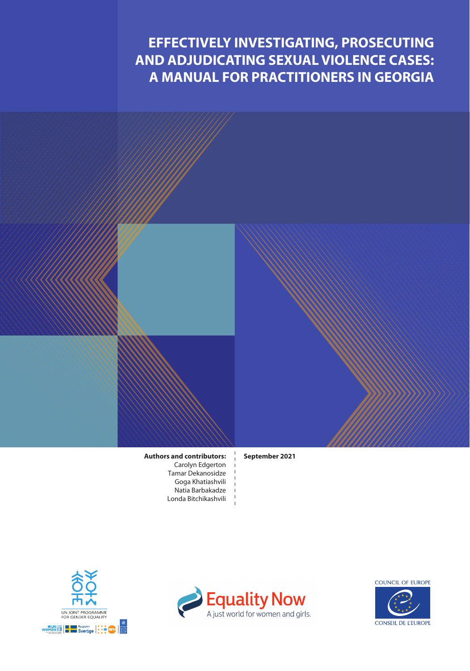# **EFFECTIVELY INVESTIGATING, PROSECUTING AND ADJUDICATING SEXUAL VIOLENCE CASES: A MANUAL FOR PRACTITIONERS IN GEORGIA**

**Authors and contributors:** Carolyn Edgerton Tamar Dekanosidze Goga Khatiashvili Natia Barbakadze Londa Bitchikashvili **September 2021**





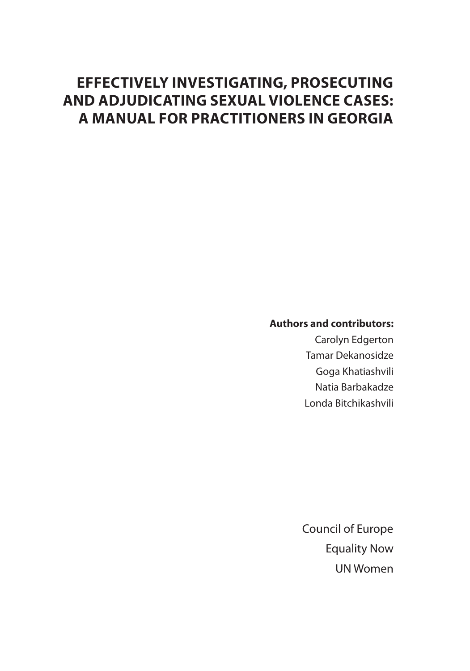# **EFFECTIVELY INVESTIGATING, PROSECUTING AND ADJUDICATING SEXUAL VIOLENCE CASES: A MANUAL FOR PRACTITIONERS IN GEORGIA**

# **Authors and contributors:**

Carolyn Edgerton Tamar Dekanosidze Goga Khatiashvili Natia Barbakadze Londa Bitchikashvili

Council of Europe UN Women Equality Now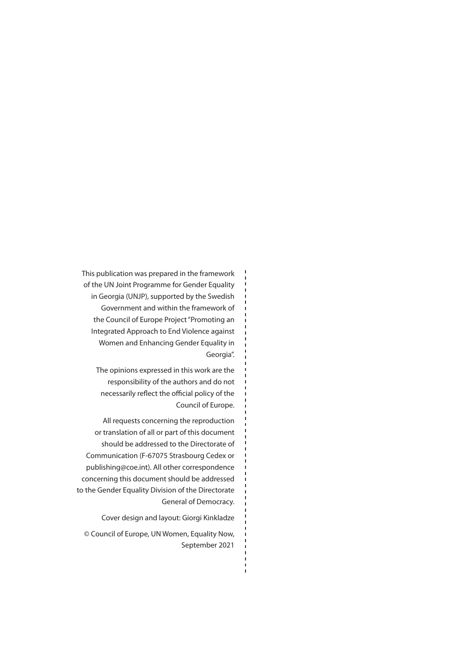This publication was prepared in the framework of the UN Joint Programme for Gender Equality in Georgia (UNJP), supported by the Swedish Government and within the framework of the Council of Europe Project "Promoting an Integrated Approach to End Violence against Women and Enhancing Gender Equality in Georgia".

The opinions expressed in this work are the responsibility of the authors and do not necessarily reflect the official policy of the Council of Europe.

All requests concerning the reproduction or translation of all or part of this document should be addressed to the Directorate of Communication (F-67075 Strasbourg Cedex or publishing@coe.int). All other correspondence concerning this document should be addressed to the Gender Equality Division of the Directorate General of Democracy.

Cover design and layout: Giorgi Kinkladze

© Council of Europe, UN Women, Equality Now, September 2021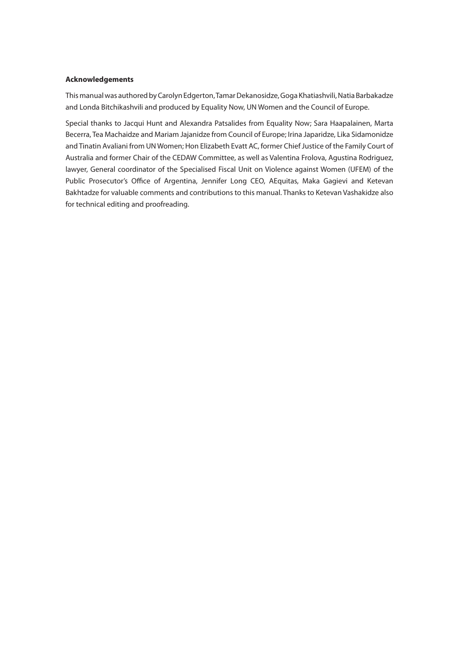#### **Acknowledgements**

This manual was authored by Carolyn Edgerton, Tamar Dekanosidze, Goga Khatiashvili, Natia Barbakadze and Londa Bitchikashvili and produced by Equality Now, UN Women and the Council of Europe.

Special thanks to Jacqui Hunt and Alexandra Patsalides from Equality Now; Sara Haapalainen, Marta Becerra, Tea Machaidze and Mariam Jajanidze from Council of Europe; Irina Japaridze, Lika Sidamonidze and Tinatin Avaliani from UN Women; Hon Elizabeth Evatt AC, former Chief Justice of the Family Court of Australia and former Chair of the CEDAW Committee, as well as Valentina Frolova, Agustina Rodriguez, lawyer, General coordinator of the Specialised Fiscal Unit on Violence against Women (UFEM) of the Public Prosecutor's Office of Argentina, Jennifer Long CEO, AEquitas, Maka Gagievi and Ketevan Bakhtadze for valuable comments and contributions to this manual. Thanks to Ketevan Vashakidze also for technical editing and proofreading.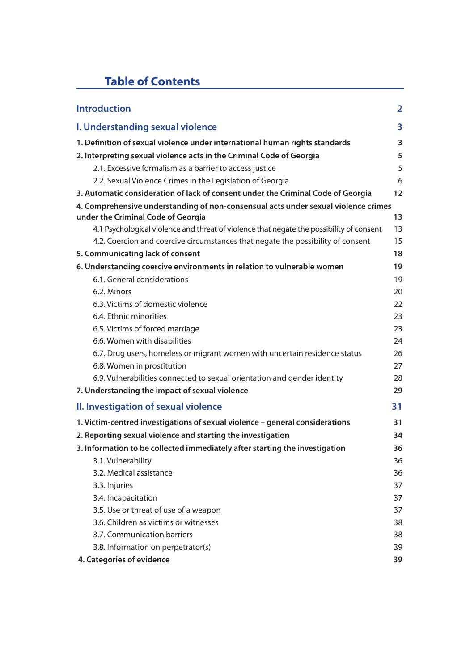# **Table of Contents**

| <b>Introduction</b>                                                                                                      | $\overline{\mathbf{2}}$ |
|--------------------------------------------------------------------------------------------------------------------------|-------------------------|
| I. Understanding sexual violence                                                                                         | 3                       |
| 1. Definition of sexual violence under international human rights standards                                              | 3                       |
| 2. Interpreting sexual violence acts in the Criminal Code of Georgia                                                     | 5                       |
| 2.1. Excessive formalism as a barrier to access justice                                                                  | 5                       |
| 2.2. Sexual Violence Crimes in the Legislation of Georgia                                                                | 6                       |
| 3. Automatic consideration of lack of consent under the Criminal Code of Georgia                                         | 12                      |
| 4. Comprehensive understanding of non-consensual acts under sexual violence crimes<br>under the Criminal Code of Georgia | 13                      |
| 4.1 Psychological violence and threat of violence that negate the possibility of consent                                 | 13                      |
| 4.2. Coercion and coercive circumstances that negate the possibility of consent                                          | 15                      |
| 5. Communicating lack of consent                                                                                         | 18                      |
| 6. Understanding coercive environments in relation to vulnerable women                                                   | 19                      |
| 6.1. General considerations                                                                                              | 19                      |
| 6.2. Minors                                                                                                              | 20                      |
| 6.3. Victims of domestic violence                                                                                        | 22                      |
| 6.4. Ethnic minorities                                                                                                   | 23                      |
| 6.5. Victims of forced marriage                                                                                          | 23                      |
| 6.6. Women with disabilities                                                                                             | 24                      |
| 6.7. Drug users, homeless or migrant women with uncertain residence status                                               | 26                      |
| 6.8. Women in prostitution                                                                                               | 27                      |
| 6.9. Vulnerabilities connected to sexual orientation and gender identity                                                 | 28                      |
| 7. Understanding the impact of sexual violence                                                                           | 29                      |
| II. Investigation of sexual violence                                                                                     | 31                      |
| 1. Victim-centred investigations of sexual violence - general considerations                                             | 31                      |
| 2. Reporting sexual violence and starting the investigation                                                              | 34                      |
| 3. Information to be collected immediately after starting the investigation                                              | 36                      |
| 3.1. Vulnerability                                                                                                       | 36                      |
| 3.2. Medical assistance                                                                                                  | 36                      |
| 3.3. Injuries                                                                                                            | 37                      |
| 3.4. Incapacitation                                                                                                      | 37                      |
| 3.5. Use or threat of use of a weapon                                                                                    | 37                      |
| 3.6. Children as victims or witnesses                                                                                    | 38                      |
| 3.7. Communication barriers                                                                                              | 38                      |
| 3.8. Information on perpetrator(s)                                                                                       | 39                      |
| 4. Categories of evidence                                                                                                | 39                      |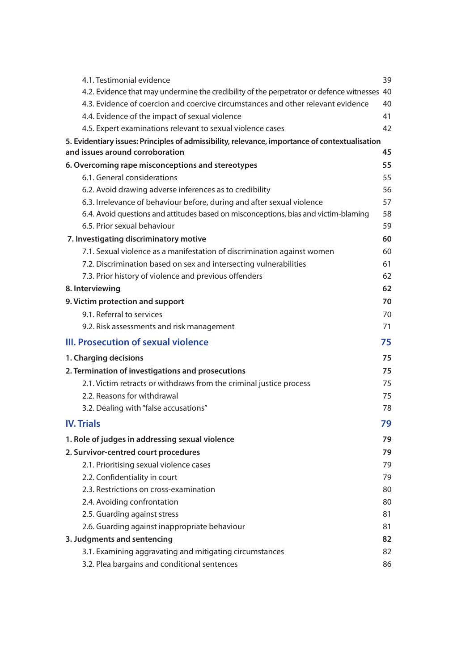| 4.1. Testimonial evidence                                                                      | 39 |
|------------------------------------------------------------------------------------------------|----|
| 4.2. Evidence that may undermine the credibility of the perpetrator or defence witnesses 40    |    |
| 4.3. Evidence of coercion and coercive circumstances and other relevant evidence               | 40 |
| 4.4. Evidence of the impact of sexual violence                                                 | 41 |
| 4.5. Expert examinations relevant to sexual violence cases                                     | 42 |
| 5. Evidentiary issues: Principles of admissibility, relevance, importance of contextualisation |    |
| and issues around corroboration                                                                | 45 |
| 6. Overcoming rape misconceptions and stereotypes                                              | 55 |
| 6.1. General considerations                                                                    | 55 |
| 6.2. Avoid drawing adverse inferences as to credibility                                        | 56 |
| 6.3. Irrelevance of behaviour before, during and after sexual violence                         | 57 |
| 6.4. Avoid questions and attitudes based on misconceptions, bias and victim-blaming            | 58 |
| 6.5. Prior sexual behaviour                                                                    | 59 |
| 7. Investigating discriminatory motive                                                         | 60 |
| 7.1. Sexual violence as a manifestation of discrimination against women                        | 60 |
| 7.2. Discrimination based on sex and intersecting vulnerabilities                              | 61 |
| 7.3. Prior history of violence and previous offenders                                          | 62 |
| 8. Interviewing                                                                                | 62 |
| 9. Victim protection and support                                                               | 70 |
| 9.1. Referral to services                                                                      | 70 |
| 9.2. Risk assessments and risk management                                                      | 71 |
| III. Prosecution of sexual violence                                                            | 75 |
| 1. Charging decisions                                                                          | 75 |
| 2. Termination of investigations and prosecutions                                              | 75 |
| 2.1. Victim retracts or withdraws from the criminal justice process                            | 75 |
| 2.2. Reasons for withdrawal                                                                    | 75 |
| 3.2. Dealing with "false accusations"                                                          | 78 |
| <b>IV. Trials</b>                                                                              | 79 |
| 1. Role of judges in addressing sexual violence                                                | 79 |
| 2. Survivor-centred court procedures                                                           | 79 |
| 2.1. Prioritising sexual violence cases                                                        | 79 |
| 2.2. Confidentiality in court                                                                  | 79 |
| 2.3. Restrictions on cross-examination                                                         | 80 |
| 2.4. Avoiding confrontation                                                                    | 80 |
| 2.5. Guarding against stress                                                                   | 81 |
| 2.6. Guarding against inappropriate behaviour                                                  | 81 |
| 3. Judgments and sentencing                                                                    | 82 |
| 3.1. Examining aggravating and mitigating circumstances                                        | 82 |
| 3.2. Plea bargains and conditional sentences                                                   | 86 |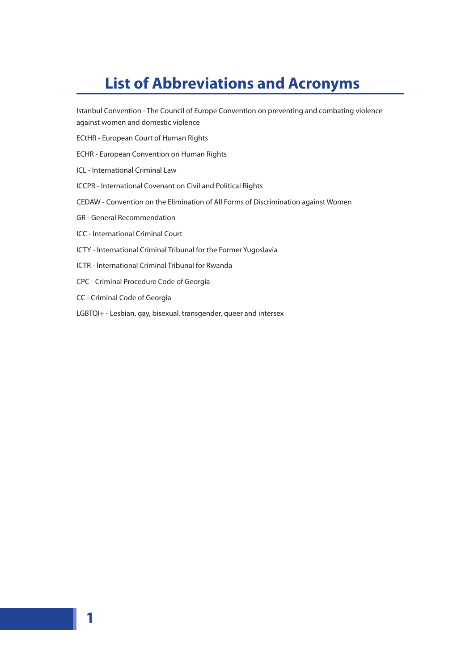# **List of Abbreviations and Acronyms**

Istanbul Convention - The Council of Europe Convention on preventing and combating violence against women and domestic violence

- ECtHR European Court of Human Rights
- ECHR European Convention on Human Rights
- ICL International Criminal Law
- ICCPR International Covenant on Civil and Political Rights
- CEDAW Convention on the Elimination of All Forms of Discrimination against Women
- GR General Recommendation
- ICC International Criminal Court
- ICTY International Criminal Tribunal for the Former Yugoslavia
- ICTR International Criminal Tribunal for Rwanda
- CPC Criminal Procedure Code of Georgia
- CC Criminal Code of Georgia

**1**

LGBTQI+ - Lesbian, gay, bisexual, transgender, queer and intersex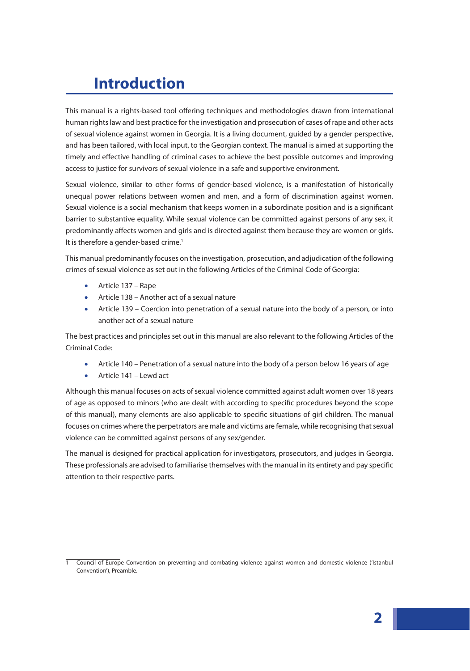# **Introduction**

This manual is a rights-based tool offering techniques and methodologies drawn from international human rights law and best practice for the investigation and prosecution of cases of rape and other acts of sexual violence against women in Georgia. It is a living document, guided by a gender perspective, and has been tailored, with local input, to the Georgian context. The manual is aimed at supporting the timely and effective handling of criminal cases to achieve the best possible outcomes and improving access to justice for survivors of sexual violence in a safe and supportive environment.

Sexual violence, similar to other forms of gender-based violence, is a manifestation of historically unequal power relations between women and men, and a form of discrimination against women. Sexual violence is a social mechanism that keeps women in a subordinate position and is a significant barrier to substantive equality. While sexual violence can be committed against persons of any sex, it predominantly affects women and girls and is directed against them because they are women or girls. It is therefore a gender-based crime.<sup>1</sup>

This manual predominantly focuses on the investigation, prosecution, and adjudication of the following crimes of sexual violence as set out in the following Articles of the Criminal Code of Georgia:

- Article 137 Rape
- Article 138 Another act of a sexual nature
- Article 139 Coercion into penetration of a sexual nature into the body of a person, or into another act of a sexual nature

The best practices and principles set out in this manual are also relevant to the following Articles of the Criminal Code:

- Article 140 Penetration of a sexual nature into the body of a person below 16 years of age
- Article 141 Lewd act

Although this manual focuses on acts of sexual violence committed against adult women over 18 years of age as opposed to minors (who are dealt with according to specific procedures beyond the scope of this manual), many elements are also applicable to specific situations of girl children. The manual focuses on crimes where the perpetrators are male and victims are female, while recognising that sexual violence can be committed against persons of any sex/gender.

The manual is designed for practical application for investigators, prosecutors, and judges in Georgia. These professionals are advised to familiarise themselves with the manual in its entirety and pay specific attention to their respective parts.

<sup>1</sup> Council of Europe Convention on preventing and combating violence against women and domestic violence ('Istanbul Convention'), Preamble.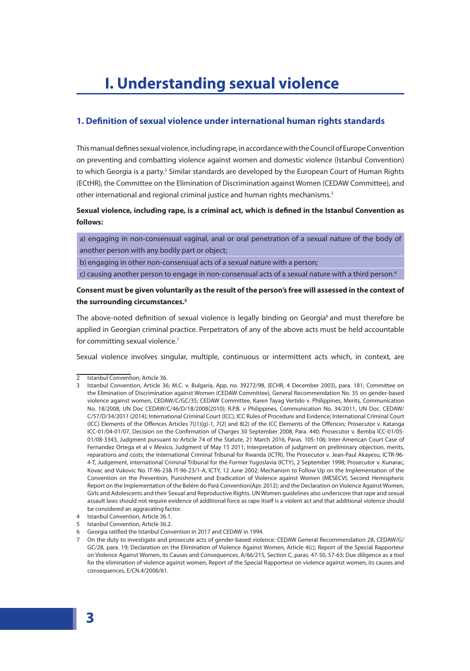# **I. Understanding sexual violence**

# **1. Definition of sexual violence under international human rights standards**

This manual defines sexual violence, including rape, in accordance with the Council of Europe Convention on preventing and combatting violence against women and domestic violence (Istanbul Convention) to which Georgia is a party.<sup>2</sup> Similar standards are developed by the European Court of Human Rights (ECtHR), the Committee on the Elimination of Discrimination against Women (CEDAW Committee), and other international and regional criminal justice and human rights mechanisms.<sup>3</sup>

**Sexual violence, including rape, is a criminal act, which is defined in the Istanbul Convention as follows:**

a) engaging in non-consensual vaginal, anal or oral penetration of a sexual nature of the body of another person with any bodily part or object;

b) engaging in other non-consensual acts of a sexual nature with a person;

c) causing another person to engage in non-consensual acts of a sexual nature with a third person.<sup>4</sup>

# **Consent must be given voluntarily as the result of the person's free will assessed in the context of the surrounding circumstances.5**

The above-noted definition of sexual violence is legally binding on Georgia<sup>6</sup> and must therefore be applied in Georgian criminal practice. Perpetrators of any of the above acts must be held accountable for committing sexual violence.<sup>7</sup>

Sexual violence involves singular, multiple, continuous or intermittent acts which, in context, are

<sup>2</sup> Istanbul Convention, Article 36.

<sup>3</sup> Istanbul Convention, Article 36; M.C. v. Bulgaria, App. no. 39272/98, (ECHR, 4 December 2003), para. 181; Committee on the Elimination of Discrimination against Women (CEDAW Committee), General Recommendation No. 35 on gender-based violence against women, CEDAW/C/GC/35; CEDAW Committee, Karen Tayag Vertido v. Philippines, Merits, Communication No. 18/2008, UN Doc CEDAW/C/46/D/18/2008(2010); R.P.B. v Philippines, Communication No. 34/2011, UN Doc. CEDAW/ C/57/D/34/2011 (2014); International Criminal Court (ICC), ICC Rules of Procedure and Evidence; International Criminal Court (ICC) Elements of the Offences Articles 7((1)(g)-1, 7(2) and 8(2) of the ICC Elements of the Offences; Prosecutor v. Katanga ICC-01/04-01/07, Decision on the Confirmation of Charges 30 September 2008, Para. 440; Prosecutor v. Bemba ICC-01/05- 01/08-3343, Judgment pursuant to Article 74 of the Statute, 21 March 2016, Paras. 105-106; Inter-American Court Case of Fernandez Ortega et al v Mexico, Judgment of May 15 2011; Interpretation of judgment on preliminary objection, merits, reparations and costs; the International Criminal Tribunal for Rwanda (ICTR), The Prosecutor v. Jean-Paul Akayesu, ICTR-96- 4-T, Judgement, international Criminal Tribunal for the Former Yugoslavia (ICTY), 2 September 1998; Prosecutor v. Kunarac, Kovac and Vukovic No. IT-96-23& IT-96-23/1-A, ICTY, 12 June 2002; Mechanism to Follow Up on the Implementation of the Convention on the Prevention, Punishment and Eradication of Violence against Women (MESECVI, Second Hemispheric Report on the Implementation of the Belém do Pará Convention(Apr. 2012); and the Declaration on Violence Against Women, Girls and Adolescents and their Sexual and Reproductive Rights. UN Women guidelines also underscore that rape and sexual assault laws should not require evidence of additional force as rape itself is a violent act and that additional violence should be considered an aggravating factor.

<sup>4</sup> Istanbul Convention, Article 36.1.

<sup>5</sup> Istanbul Convention, Article 36.2.

<sup>6</sup> Georgia ratified the Istanbul Convention in 2017 and CEDAW in 1994.

<sup>7</sup> On the duty to investigate and prosecute acts of gender-based violence: CEDAW General Recommendation 28, CEDAW/G/ GC/28, para. 19; Declaration on the Elimination of Violence Against Women, Article 4(c); Report of the Special Rapporteur on Violence Against Women, its Causes and Consequences, A/66/215, Section C, paras. 47-50, 57-63; Due diligence as a tool for the elimination of violence against women, Report of the Special Rapporteur on violence against women, its causes and consequences, E/CN.4/2006/61.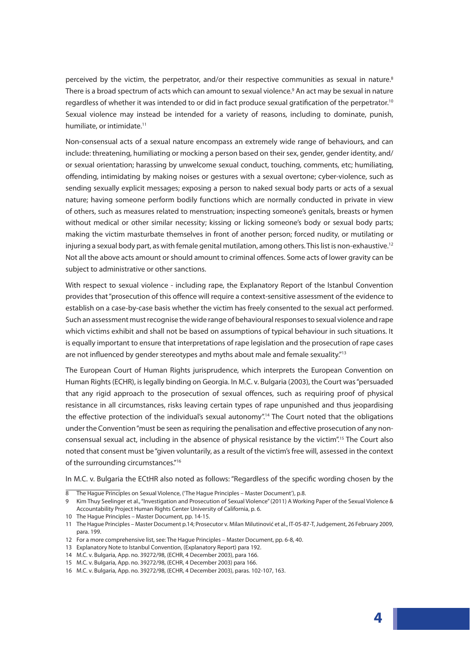perceived by the victim, the perpetrator, and/or their respective communities as sexual in nature.<sup>8</sup> There is a broad spectrum of acts which can amount to sexual violence.9 An act may be sexual in nature regardless of whether it was intended to or did in fact produce sexual gratification of the perpetrator.<sup>10</sup> Sexual violence may instead be intended for a variety of reasons, including to dominate, punish, humiliate, or intimidate.<sup>11</sup>

Non-consensual acts of a sexual nature encompass an extremely wide range of behaviours, and can include: threatening, humiliating or mocking a person based on their sex, gender, gender identity, and/ or sexual orientation; harassing by unwelcome sexual conduct, touching, comments, etc; humiliating, offending, intimidating by making noises or gestures with a sexual overtone; cyber-violence, such as sending sexually explicit messages; exposing a person to naked sexual body parts or acts of a sexual nature; having someone perform bodily functions which are normally conducted in private in view of others, such as measures related to menstruation; inspecting someone's genitals, breasts or hymen without medical or other similar necessity; kissing or licking someone's body or sexual body parts; making the victim masturbate themselves in front of another person; forced nudity, or mutilating or injuring a sexual body part, as with female genital mutilation, among others. This list is non-exhaustive.<sup>12</sup> Not all the above acts amount or should amount to criminal offences. Some acts of lower gravity can be subject to administrative or other sanctions.

With respect to sexual violence - including rape, the Explanatory Report of the Istanbul Convention provides that "prosecution of this offence will require a context-sensitive assessment of the evidence to establish on a case-by-case basis whether the victim has freely consented to the sexual act performed. Such an assessment must recognise the wide range of behavioural responses to sexual violence and rape which victims exhibit and shall not be based on assumptions of typical behaviour in such situations. It is equally important to ensure that interpretations of rape legislation and the prosecution of rape cases are not influenced by gender stereotypes and myths about male and female sexuality."<sup>13</sup>

The European Court of Human Rights jurisprudence, which interprets the European Convention on Human Rights (ECHR), is legally binding on Georgia. In M.C. v. Bulgaria (2003), the Court was "persuaded that any rigid approach to the prosecution of sexual offences, such as requiring proof of physical resistance in all circumstances, risks leaving certain types of rape unpunished and thus jeopardising the effective protection of the individual's sexual autonomy".<sup>14</sup> The Court noted that the obligations under the Convention "must be seen as requiring the penalisation and effective prosecution of any nonconsensual sexual act, including in the absence of physical resistance by the victim".<sup>15</sup> The Court also noted that consent must be "given voluntarily, as a result of the victim's free will, assessed in the context of the surrounding circumstances."<sup>16</sup>

In M.C. v. Bulgaria the ECtHR also noted as follows: "Regardless of the specific wording chosen by the

10 The Hague Principles – Master Document, pp. 14-15.

<sup>8</sup> The Hague Principles on Sexual Violence, ('The Hague Principles – Master Document'), p.8.

<sup>9</sup> Kim Thuy Seelinger et al., "Investigation and Prosecution of Sexual Violence" (2011) A Working Paper of the Sexual Violence & Accountability Project Human Rights Center University of California, p. 6.

<sup>11</sup> The Hague Principles – Master Document p.14; Prosecutor v. Milan Milutinović et al., IT-05-87-T, Judgement, 26 February 2009, para. 199.

<sup>12</sup> For a more comprehensive list, see: The Hague Principles – Master Document, pp. 6-8, 40.

<sup>13</sup> Explanatory Note to Istanbul Convention, (Explanatory Report) para 192.

<sup>14</sup> M.C. v. Bulgaria, App. no. 39272/98, (ECHR, 4 December 2003), para 166.

<sup>15</sup> M.C. v. Bulgaria, App. no. 39272/98, (ECHR, 4 December 2003) para 166.

<sup>16</sup> M.C. v. Bulgaria, App. no. 39272/98, (ECHR, 4 December 2003), paras. 102-107, 163.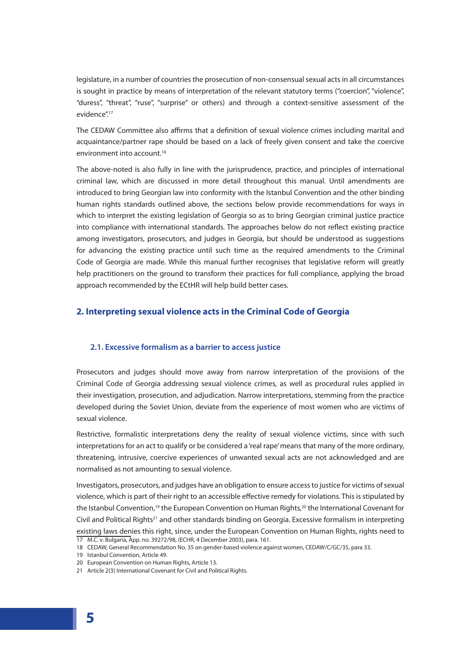legislature, in a number of countries the prosecution of non-consensual sexual acts in all circumstances is sought in practice by means of interpretation of the relevant statutory terms ("coercion", "violence", "duress", "threat", "ruse", "surprise" or others) and through a context-sensitive assessment of the evidence".17

The CEDAW Committee also affirms that a definition of sexual violence crimes including marital and acquaintance/partner rape should be based on a lack of freely given consent and take the coercive environment into account.<sup>18</sup>

The above-noted is also fully in line with the jurisprudence, practice, and principles of international criminal law, which are discussed in more detail throughout this manual. Until amendments are introduced to bring Georgian law into conformity with the Istanbul Convention and the other binding human rights standards outlined above, the sections below provide recommendations for ways in which to interpret the existing legislation of Georgia so as to bring Georgian criminal justice practice into compliance with international standards. The approaches below do not reflect existing practice among investigators, prosecutors, and judges in Georgia, but should be understood as suggestions for advancing the existing practice until such time as the required amendments to the Criminal Code of Georgia are made. While this manual further recognises that legislative reform will greatly help practitioners on the ground to transform their practices for full compliance, applying the broad approach recommended by the ECtHR will help build better cases.

# **2. Interpreting sexual violence acts in the Criminal Code of Georgia**

#### **2.1. Excessive formalism as a barrier to access justice**

Prosecutors and judges should move away from narrow interpretation of the provisions of the Criminal Code of Georgia addressing sexual violence crimes, as well as procedural rules applied in their investigation, prosecution, and adjudication. Narrow interpretations, stemming from the practice developed during the Soviet Union, deviate from the experience of most women who are victims of sexual violence.

Restrictive, formalistic interpretations deny the reality of sexual violence victims, since with such interpretations for an act to qualify or be considered a 'real rape' means that many of the more ordinary, threatening, intrusive, coercive experiences of unwanted sexual acts are not acknowledged and are normalised as not amounting to sexual violence.

Investigators, prosecutors, and judges have an obligation to ensure access to justice for victims of sexual violence, which is part of their right to an accessible effective remedy for violations. This is stipulated by the Istanbul Convention,<sup>19</sup> the European Convention on Human Rights,<sup>20</sup> the International Covenant for Civil and Political Rights<sup>21</sup> and other standards binding on Georgia. Excessive formalism in interpreting existing laws denies this right, since, under the European Convention on Human Rights, rights need to 17 M.C. v. Bulgaria, App. no. 39272/98, (ECHR, 4 December 2003), para. 161.

<sup>18</sup> CEDAW, General Recommendation No. 35 on gender-based violence against women, CEDAW/C/GC/35, para 33.

<sup>19</sup> Istanbul Convention, Article 49.

<sup>20</sup> European Convention on Human Rights, Article 13.

<sup>21</sup> Article 2(3) International Covenant for Civil and Political Rights.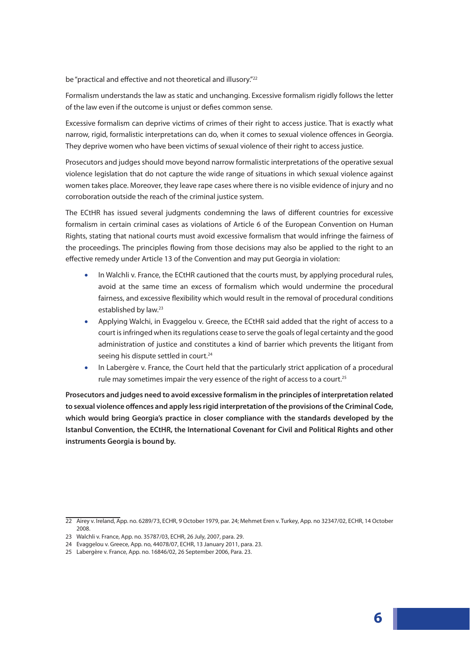be "practical and effective and not theoretical and illusory."<sup>22</sup>

Formalism understands the law as static and unchanging. Excessive formalism rigidly follows the letter of the law even if the outcome is unjust or defies common sense.

Excessive formalism can deprive victims of crimes of their right to access justice. That is exactly what narrow, rigid, formalistic interpretations can do, when it comes to sexual violence offences in Georgia. They deprive women who have been victims of sexual violence of their right to access justice.

Prosecutors and judges should move beyond narrow formalistic interpretations of the operative sexual violence legislation that do not capture the wide range of situations in which sexual violence against women takes place. Moreover, they leave rape cases where there is no visible evidence of injury and no corroboration outside the reach of the criminal justice system.

The ECtHR has issued several judgments condemning the laws of different countries for excessive formalism in certain criminal cases as violations of Article 6 of the European Convention on Human Rights, stating that national courts must avoid excessive formalism that would infringe the fairness of the proceedings. The principles flowing from those decisions may also be applied to the right to an effective remedy under Article 13 of the Convention and may put Georgia in violation:

- In Walchli v. France, the ECtHR cautioned that the courts must, by applying procedural rules, avoid at the same time an excess of formalism which would undermine the procedural fairness, and excessive flexibility which would result in the removal of procedural conditions established by law.23
- Applying Walchi, in Evaggelou v. Greece, the ECtHR said added that the right of access to a court is infringed when its regulations cease to serve the goals of legal certainty and the good administration of justice and constitutes a kind of barrier which prevents the litigant from seeing his dispute settled in court.<sup>24</sup>
- In Labergère v. France, the Court held that the particularly strict application of a procedural rule may sometimes impair the very essence of the right of access to a court.<sup>25</sup>

**Prosecutors and judges need to avoid excessive formalism in the principles of interpretation related to sexual violence offences and apply less rigid interpretation of the provisions of the Criminal Code, which would bring Georgia's practice in closer compliance with the standards developed by the Istanbul Convention, the ECtHR, the International Covenant for Civil and Political Rights and other instruments Georgia is bound by.** 

<sup>22</sup> Airey v. Ireland, App. no. 6289/73, ECHR, 9 October 1979, par. 24; Mehmet Eren v. Turkey, App. no 32347/02, ECHR, 14 October 2008.

<sup>23</sup> Walchli v. France, App. no. 35787/03, ECHR, 26 July, 2007, para. 29.

<sup>24</sup> Evaggelou v. Greece, App. no, 44078/07, ECHR, 13 January 2011, para. 23.

<sup>25</sup> Labergère v. France, App. no. 16846/02, 26 September 2006, Para. 23.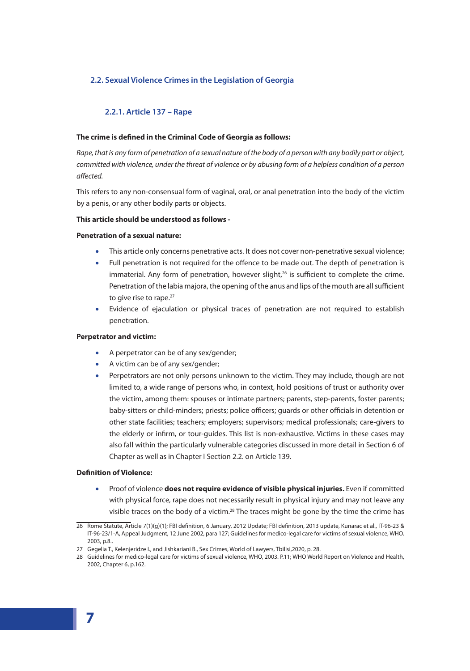# **2.2. Sexual Violence Crimes in the Legislation of Georgia**

### **2.2.1. Article 137 – Rape**

#### **The crime is defined in the Criminal Code of Georgia as follows:**

*Rape, that is any form of penetration of a sexual nature of the body of a person with any bodily part or object, committed with violence, under the threat of violence or by abusing form of a helpless condition of a person affected.*

This refers to any non-consensual form of vaginal, oral, or anal penetration into the body of the victim by a penis, or any other bodily parts or objects.

#### **This article should be understood as follows -**

#### **Penetration of a sexual nature:**

- This article only concerns penetrative acts. It does not cover non-penetrative sexual violence;
- Full penetration is not required for the offence to be made out. The depth of penetration is immaterial. Any form of penetration, however slight, $26$  is sufficient to complete the crime. Penetration of the labia majora, the opening of the anus and lips of the mouth are all sufficient to give rise to rape.<sup>27</sup>
- Evidence of ejaculation or physical traces of penetration are not required to establish penetration.

#### **Perpetrator and victim:**

- A perpetrator can be of any sex/gender;
- A victim can be of any sex/gender;
- Perpetrators are not only persons unknown to the victim. They may include, though are not limited to, a wide range of persons who, in context, hold positions of trust or authority over the victim, among them: spouses or intimate partners; parents, step-parents, foster parents; baby-sitters or child-minders; priests; police officers; guards or other officials in detention or other state facilities; teachers; employers; supervisors; medical professionals; care-givers to the elderly or infirm, or tour-guides. This list is non-exhaustive. Victims in these cases may also fall within the particularly vulnerable categories discussed in more detail in Section 6 of Chapter as well as in Chapter I Section 2.2. on Article 139.

#### **Definition of Violence:**

• Proof of violence **does not require evidence of visible physical injuries.** Even if committed with physical force, rape does not necessarily result in physical injury and may not leave any visible traces on the body of a victim.<sup>28</sup> The traces might be gone by the time the crime has

<sup>26</sup> Rome Statute, Article 7(1)(g)(1); FBI definition, 6 January, 2012 Update; FBI definition, 2013 update, Kunarac et al., IT-96-23 & IT-96-23/1-A, Appeal Judgment, 12 June 2002, para 127; Guidelines for medico-legal care for victims of sexual violence, WHO. 2003, p.8..

<sup>27</sup> Gegelia T., Kelenjeridze I., and Jishkariani B., Sex Crimes, World of Lawyers, Tbilisi,2020, p. 28.

<sup>28</sup> Guidelines for medico-legal care for victims of sexual violence, WHO, 2003. P.11; WHO World Report on Violence and Health, 2002, Chapter 6, p.162.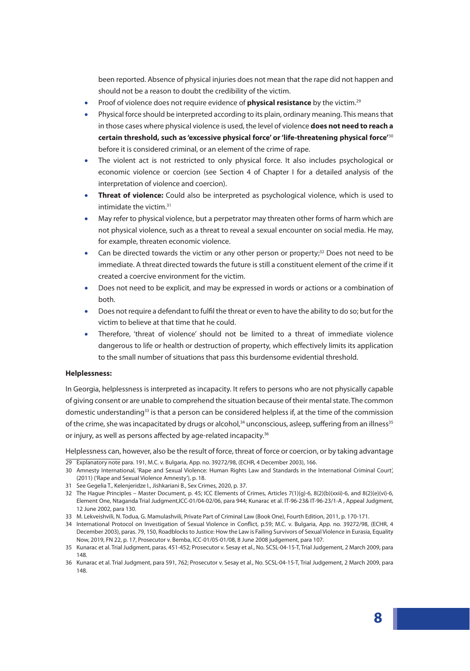been reported. Absence of physical injuries does not mean that the rape did not happen and should not be a reason to doubt the credibility of the victim.

- Proof of violence does not require evidence of **physical resistance** by the victim.29
- Physical force should be interpreted according to its plain, ordinary meaning. This means that in those cases where physical violence is used, the level of violence **does not need to reach a certain threshold, such as 'excessive physical force' or 'life-threatening physical force'**<sup>30</sup> before it is considered criminal, or an element of the crime of rape.
- The violent act is not restricted to only physical force. It also includes psychological or economic violence or coercion (see Section 4 of Chapter I for a detailed analysis of the interpretation of violence and coercion).
- **Threat of violence:** Could also be interpreted as psychological violence, which is used to intimidate the victim.<sup>31</sup>
- May refer to physical violence, but a perpetrator may threaten other forms of harm which are not physical violence, such as a threat to reveal a sexual encounter on social media. He may, for example, threaten economic violence.
- Can be directed towards the victim or any other person or property; $32$  Does not need to be immediate. A threat directed towards the future is still a constituent element of the crime if it created a coercive environment for the victim.
- Does not need to be explicit, and may be expressed in words or actions or a combination of both.
- Does not require a defendant to fulfil the threat or even to have the ability to do so; but for the victim to believe at that time that he could.
- Therefore, 'threat of violence' should not be limited to a threat of immediate violence dangerous to life or health or destruction of property, which effectively limits its application to the small number of situations that pass this burdensome evidential threshold.

#### **Helplessness:**

In Georgia, helplessness is interpreted as incapacity. It refers to persons who are not physically capable of giving consent or are unable to comprehend the situation because of their mental state. The common domestic understanding<sup>33</sup> is that a person can be considered helpless if, at the time of the commission of the crime, she was incapacitated by drugs or alcohol,<sup>34</sup> unconscious, asleep, suffering from an illness<sup>35</sup> or injury, as well as persons affected by age-related incapacity.<sup>36</sup>

Helplessness can, however, also be the result of force, threat of force or coercion, or by taking advantage

- 29 Explanatory note para. 191, M.C. v. Bulgaria, App. no. 39272/98, (ECHR, 4 December 2003), 166.
- 30 Amnesty International, 'Rape and Sexual Violence: Human Rights Law and Standards in the International Criminal Court', (2011) ('Rape and Sexual Violence Amnesty'), p. 18.
- 31 See Gegelia T., Kelenjeridze I., Jishkariani B., Sex Crimes, 2020, p. 37.
- 32 The Hague Principles Master Document, p. 45; ICC Elements of Crimes, Articles 7(1)(g)-6, 8(2)(b)(xxii)-6, and 8(2)(e)(vi)-6, Element One, Ntaganda Trial Judgment,ICC-01/04-02/06, para 944; Kunarac et al. IT-96-23& IT-96-23/1-A , Appeal Judgment, 12 June 2002, para 130.
- 33 M. Lekveishvili, N. Todua, G. Mamulashvili, Private Part of Criminal Law (Book One), Fourth Edition, 2011, p. 170-171.
- 34 International Protocol on Investigation of Sexual Violence in Conflict, p.59; M.C. v. Bulgaria, App. no. 39272/98, (ECHR, 4 December 2003), paras. 79, 150, Roadblocks to Justice: How the Law is Failing Survivors of Sexual Violence in Eurasia, Equality Now, 2019, FN 22, p. 17, Prosecutor v. Bemba, ICC-01/05-01/08, 8 June 2008 judgement, para 107.
- 35 Kunarac et al. Trial Judgment, paras. 451-452; Prosecutor v. Sesay et al., No. SCSL-04-15-T, Trial Judgement, 2 March 2009, para 148.
- 36 Kunarac et al. Trial Judgment, para 591, 762; Prosecutor v. Sesay et al., No. SCSL-04-15-T, Trial Judgement, 2 March 2009, para 148.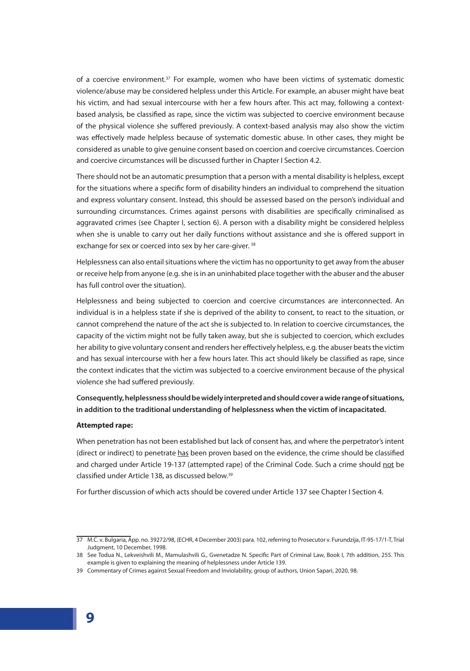of a coercive environment.<sup>37</sup> For example, women who have been victims of systematic domestic violence/abuse may be considered helpless under this Article. For example, an abuser might have beat his victim, and had sexual intercourse with her a few hours after. This act may, following a contextbased analysis, be classified as rape, since the victim was subjected to coercive environment because of the physical violence she suffered previously. A context-based analysis may also show the victim was effectively made helpless because of systematic domestic abuse. In other cases, they might be considered as unable to give genuine consent based on coercion and coercive circumstances. Coercion and coercive circumstances will be discussed further in Chapter I Section 4.2.

There should not be an automatic presumption that a person with a mental disability is helpless, except for the situations where a specific form of disability hinders an individual to comprehend the situation and express voluntary consent. Instead, this should be assessed based on the person's individual and surrounding circumstances. Crimes against persons with disabilities are specifically criminalised as aggravated crimes (see Chapter I, section 6). A person with a disability might be considered helpless when she is unable to carry out her daily functions without assistance and she is offered support in exchange for sex or coerced into sex by her care-giver.<sup>38</sup>

Helplessness can also entail situations where the victim has no opportunity to get away from the abuser or receive help from anyone (e.g. she is in an uninhabited place together with the abuser and the abuser has full control over the situation).

Helplessness and being subjected to coercion and coercive circumstances are interconnected. An individual is in a helpless state if she is deprived of the ability to consent, to react to the situation, or cannot comprehend the nature of the act she is subjected to. In relation to coercive circumstances, the capacity of the victim might not be fully taken away, but she is subjected to coercion, which excludes her ability to give voluntary consent and renders her effectively helpless, e.g. the abuser beats the victim and has sexual intercourse with her a few hours later. This act should likely be classified as rape, since the context indicates that the victim was subjected to a coercive environment because of the physical violence she had suffered previously.

# **Consequently, helplessness should be widely interpreted and should cover a wide range of situations, in addition to the traditional understanding of helplessness when the victim of incapacitated.**

#### **Attempted rape:**

When penetration has not been established but lack of consent has, and where the perpetrator's intent (direct or indirect) to penetrate has been proven based on the evidence, the crime should be classified and charged under Article 19-137 (attempted rape) of the Criminal Code. Such a crime should not be classified under Article 138, as discussed below.<sup>39</sup>

For further discussion of which acts should be covered under Article 137 see Chapter I Section 4.

<sup>37</sup> M.C. v. Bulgaria, App. no. 39272/98, (ECHR, 4 December 2003) para. 102, referring to Prosecutor v. Furundzija, IT-95-17/1-T, Trial Judgment, 10 December, 1998.

<sup>38</sup> See Todua N., Lekveishvili M., Mamulashvili G., Gvenetadze N. Specific Part of Criminal Law, Book I, 7th addition, 255. This example is given to explaining the meaning of helplessness under Article 139.

<sup>39</sup> Commentary of Crimes against Sexual Freedom and Inviolability, group of authors, Union Sapari, 2020, 98.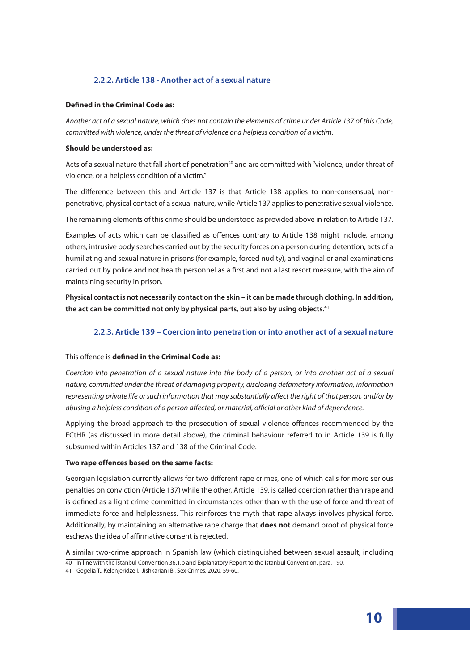# **2.2.2. Article 138 - Another act of a sexual nature**

#### **Defined in the Criminal Code as:**

*Another act of a sexual nature, which does not contain the elements of crime under Article 137 of this Code, committed with violence, under the threat of violence or a helpless condition of a victim.*

#### **Should be understood as:**

Acts of a sexual nature that fall short of penetration<sup>40</sup> and are committed with "violence, under threat of violence, or a helpless condition of a victim."

The difference between this and Article 137 is that Article 138 applies to non-consensual, nonpenetrative, physical contact of a sexual nature, while Article 137 applies to penetrative sexual violence.

The remaining elements of this crime should be understood as provided above in relation to Article 137.

Examples of acts which can be classified as offences contrary to Article 138 might include, among others, intrusive body searches carried out by the security forces on a person during detention; acts of a humiliating and sexual nature in prisons (for example, forced nudity), and vaginal or anal examinations carried out by police and not health personnel as a first and not a last resort measure, with the aim of maintaining security in prison.

**Physical contact is not necessarily contact on the skin – it can be made through clothing. In addition, the act can be committed not only by physical parts, but also by using objects.41**

# **2.2.3. Article 139 – Coercion into penetration or into another act of a sexual nature**

#### This offence is **defined in the Criminal Code as:**

*Coercion into penetration of a sexual nature into the body of a person, or into another act of a sexual nature, committed under the threat of damaging property, disclosing defamatory information, information representing private life or such information that may substantially affect the right of that person, and/or by abusing a helpless condition of a person affected, or material, official or other kind of dependence.* 

Applying the broad approach to the prosecution of sexual violence offences recommended by the ECtHR (as discussed in more detail above), the criminal behaviour referred to in Article 139 is fully subsumed within Articles 137 and 138 of the Criminal Code.

#### **Two rape offences based on the same facts:**

Georgian legislation currently allows for two different rape crimes, one of which calls for more serious penalties on conviction (Article 137) while the other, Article 139, is called coercion rather than rape and is defined as a light crime committed in circumstances other than with the use of force and threat of immediate force and helplessness. This reinforces the myth that rape always involves physical force. Additionally, by maintaining an alternative rape charge that **does not** demand proof of physical force eschews the idea of affirmative consent is rejected.

A similar two-crime approach in Spanish law (which distinguished between sexual assault, including 40 In line with the Istanbul Convention 36.1.b and Explanatory Report to the Istanbul Convention, para. 190.

<sup>41</sup> Gegelia T., Kelenjeridze I., Jishkariani B., Sex Crimes, 2020, 59-60.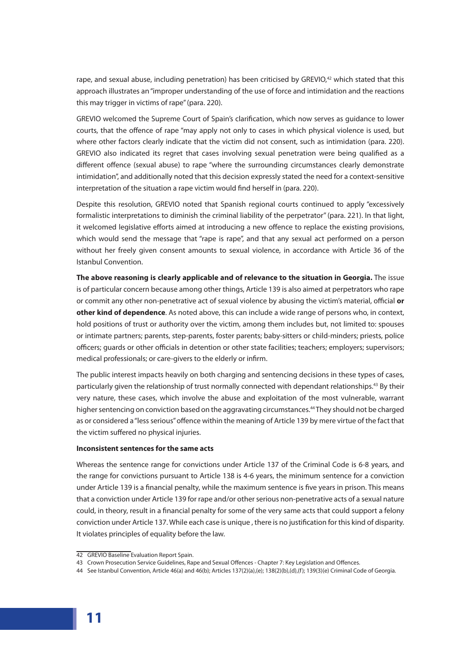rape, and sexual abuse, including penetration) has been criticised by GREVIO,<sup>42</sup> which stated that this approach illustrates an "improper understanding of the use of force and intimidation and the reactions this may trigger in victims of rape" (para. 220).

GREVIO welcomed the Supreme Court of Spain's clarification, which now serves as guidance to lower courts, that the offence of rape "may apply not only to cases in which physical violence is used, but where other factors clearly indicate that the victim did not consent, such as intimidation (para. 220). GREVIO also indicated its regret that cases involving sexual penetration were being qualified as a different offence (sexual abuse) to rape "where the surrounding circumstances clearly demonstrate intimidation'', and additionally noted that this decision expressly stated the need for a context-sensitive interpretation of the situation a rape victim would find herself in (para. 220).

Despite this resolution, GREVIO noted that Spanish regional courts continued to apply "excessively formalistic interpretations to diminish the criminal liability of the perpetrator'' (para. 221). In that light, it welcomed legislative efforts aimed at introducing a new offence to replace the existing provisions, which would send the message that "rape is rape", and that any sexual act performed on a person without her freely given consent amounts to sexual violence, in accordance with Article 36 of the Istanbul Convention.

**The above reasoning is clearly applicable and of relevance to the situation in Georgia.** The issue is of particular concern because among other things, Article 139 is also aimed at perpetrators who rape or commit any other non-penetrative act of sexual violence by abusing the victim's material, official **or other kind of dependence**. As noted above, this can include a wide range of persons who, in context, hold positions of trust or authority over the victim, among them includes but, not limited to: spouses or intimate partners; parents, step-parents, foster parents; baby-sitters or child-minders; priests, police officers; guards or other officials in detention or other state facilities; teachers; employers; supervisors; medical professionals; or care-givers to the elderly or infirm.

The public interest impacts heavily on both charging and sentencing decisions in these types of cases, particularly given the relationship of trust normally connected with dependant relationships.<sup>43</sup> By their very nature, these cases, which involve the abuse and exploitation of the most vulnerable, warrant higher sentencing on conviction based on the aggravating circumstances.<sup>44</sup> They should not be charged as or considered a "less serious" offence within the meaning of Article 139 by mere virtue of the fact that the victim suffered no physical injuries.

#### **Inconsistent sentences for the same acts**

Whereas the sentence range for convictions under Article 137 of the Criminal Code is 6-8 years, and the range for convictions pursuant to Article 138 is 4-6 years, the minimum sentence for a conviction under Article 139 is a financial penalty, while the maximum sentence is five years in prison. This means that a conviction under Article 139 for rape and/or other serious non-penetrative acts of a sexual nature could, in theory, result in a financial penalty for some of the very same acts that could support a felony conviction under Article 137. While each case is unique , there is no justification for this kind of disparity. It violates principles of equality before the law.

<sup>42</sup> GREVIO Baseline Evaluation Report Spain.

<sup>43</sup> Crown Prosecution Service Guidelines, Rape and Sexual Offences - Chapter 7: Key Legislation and Offences.

<sup>44</sup> See Istanbul Convention, Article 46(a) and 46(b); Articles 137(2)(a),(e); 138(2)(b),(d),(f); 139(3)(e) Criminal Code of Georgia.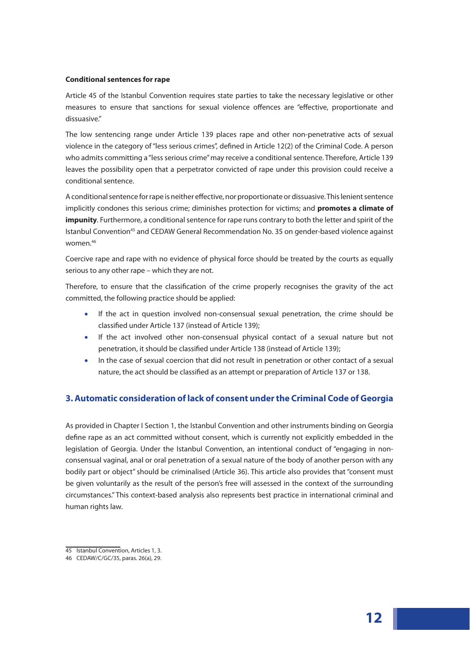#### **Conditional sentences for rape**

Article 45 of the Istanbul Convention requires state parties to take the necessary legislative or other measures to ensure that sanctions for sexual violence offences are "effective, proportionate and dissuasive."

The low sentencing range under Article 139 places rape and other non-penetrative acts of sexual violence in the category of "less serious crimes", defined in Article 12(2) of the Criminal Code. A person who admits committing a "less serious crime" may receive a conditional sentence. Therefore, Article 139 leaves the possibility open that a perpetrator convicted of rape under this provision could receive a conditional sentence.

A conditional sentence for rape is neither effective, nor proportionate or dissuasive. This lenient sentence implicitly condones this serious crime; diminishes protection for victims; and **promotes a climate of impunity**. Furthermore, a conditional sentence for rape runs contrary to both the letter and spirit of the Istanbul Convention<sup>45</sup> and CEDAW General Recommendation No. 35 on gender-based violence against women.46

Coercive rape and rape with no evidence of physical force should be treated by the courts as equally serious to any other rape – which they are not.

Therefore, to ensure that the classification of the crime properly recognises the gravity of the act committed, the following practice should be applied:

- If the act in question involved non-consensual sexual penetration, the crime should be classified under Article 137 (instead of Article 139);
- If the act involved other non-consensual physical contact of a sexual nature but not penetration, it should be classified under Article 138 (instead of Article 139);
- In the case of sexual coercion that did not result in penetration or other contact of a sexual nature, the act should be classified as an attempt or preparation of Article 137 or 138.

# **3. Automatic consideration of lack of consent under the Criminal Code of Georgia**

As provided in Chapter I Section 1, the Istanbul Convention and other instruments binding on Georgia define rape as an act committed without consent, which is currently not explicitly embedded in the legislation of Georgia. Under the Istanbul Convention, an intentional conduct of "engaging in non‐ consensual vaginal, anal or oral penetration of a sexual nature of the body of another person with any bodily part or object'' should be criminalised (Article 36). This article also provides that "consent must be given voluntarily as the result of the person's free will assessed in the context of the surrounding circumstances.'' This context-based analysis also represents best practice in international criminal and human rights law.

<sup>45</sup> Istanbul Convention, Articles 1, 3.

<sup>46</sup> CEDAW/C/GC/35, paras. 26(a), 29.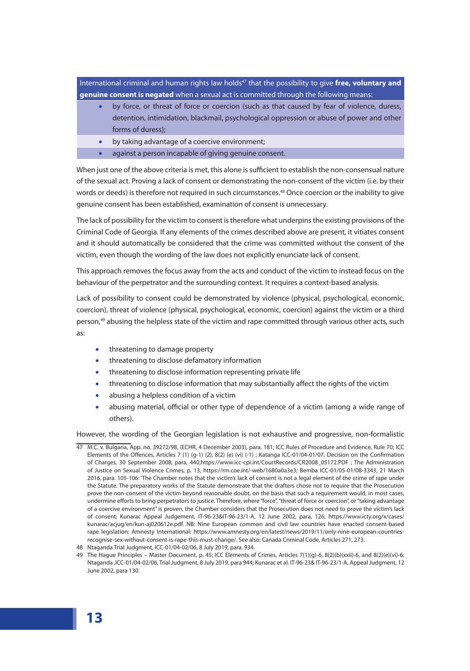International criminal and human rights law holds<sup>47</sup> that the possibility to give free, voluntary and **genuine consent is negated** when a sexual act is committed through the following means:

- by force, or threat of force or coercion (such as that caused by fear of violence, duress, detention, intimidation, blackmail, psychological oppression or abuse of power and other forms of duress);
- by taking advantage of a coercive environment;
- against a person incapable of giving genuine consent.

When just one of the above criteria is met, this alone is sufficient to establish the non-consensual nature of the sexual act. Proving a lack of consent or demonstrating the non-consent of the victim (i.e. by their words or deeds) is therefore not required in such circumstances.<sup>48</sup> Once coercion or the inability to give genuine consent has been established, examination of consent is unnecessary.

The lack of possibility for the victim to consent is therefore what underpins the existing provisions of the Criminal Code of Georgia. If any elements of the crimes described above are present, it vitiates consent and it should automatically be considered that the crime was committed without the consent of the victim, even though the wording of the law does not explicitly enunciate lack of consent.

This approach removes the focus away from the acts and conduct of the victim to instead focus on the behaviour of the perpetrator and the surrounding context. It requires a context-based analysis.

Lack of possibility to consent could be demonstrated by violence (physical, psychological, economic, coercion), threat of violence (physical, psychological, economic, coercion) against the victim or a third person,<sup>49</sup> abusing the helpless state of the victim and rape committed through various other acts, such as:

- threatening to damage property
- threatening to disclose defamatory information
- threatening to disclose information representing private life
- threatening to disclose information that may substantially affect the rights of the victim
- abusing a helpless condition of a victim
- abusing material, official or other type of dependence of a victim (among a wide range of others).

However, the wording of the Georgian legislation is not exhaustive and progressive, non-formalistic

47 M.C. v. Bulgaria, App. no. 39272/98, (ECHR, 4 December 2003), para. 181; ICC Rules of Procedure and Evidence, Rule 70; ICC Elements of the Offences, Articles 7 (1) (g-1) (2), 8(2) (e) (vi) (-1) ; Katanga ICC-01/04-01/07, Decision on the Confirmation of Charges, 30 September 2008, para, 440,https://www.icc-cpi.int/CourtRecords/CR2008\_05172.PDF ; The Administration of Justice on Sexual Violence Crimes, p. 13, https://rm.coe.int/-web/1680a0a3e3; Bemba ICC-01/05-01/08-3343, 21 March 2016, para. 105-106: 'The Chamber notes that the victim's lack of consent is not a legal element of the crime of rape under the Statute. The preparatory works of the Statute demonstrate that the drafters chose not to require that the Prosecution prove the non-consent of the victim beyond reasonable doubt, on the basis that such a requirement would, in most cases, undermine efforts to bring perpetrators to justice. Therefore, where "force", "threat of force or coercion", or "taking advantage of a coercive environment" is proven, the Chamber considers that the Prosecution does not need to prove the victim's lack of consent; Kunarac Appeal Judgement, IT-96-23&IT-96-23/1-A, 12 June 2002, para, 126, https://www.icty.org/x/cases/ kunarac/acjug/en/kun-aj020612e.pdf. NB: Nine European common and civil law countries have enacted consent-based rape legislation: Amnesty International: https://www.amnesty.org/en/latest/news/2019/11/only-nine-european-countriesrecognise-sex-without-consent-is-rape-this-must-change/. See also: Canada Criminal Code, Articles 271, 273.

49 The Hague Principles – Master Document, p. 45; ICC Elements of Crimes, Articles 7(1)(g)-6, 8(2)(b)(xxii)-6, and 8(2)(e)(vi)-6; Ntaganda ,ICC-01/04-02/06, Trial Judgment, 8 July 2019, para 944; Kunarac et al. IT-96-23& IT-96-23/1-A, Appeal Judgment, 12 June 2002, para 130.

<sup>48</sup> Ntaganda Trial Judgment, ICC-01/04-02/06, 8 July 2019, para. 934.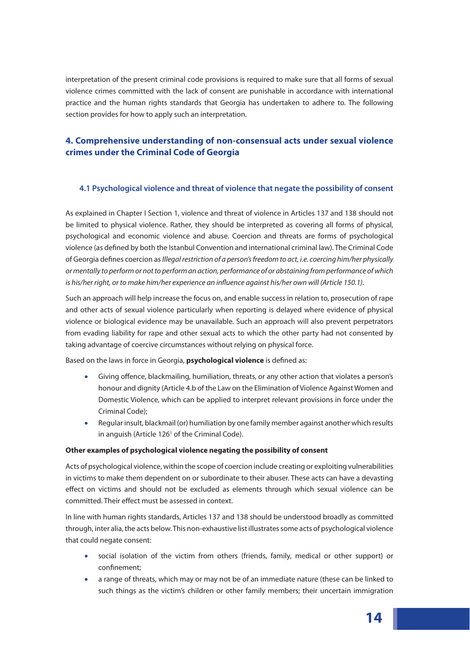interpretation of the present criminal code provisions is required to make sure that all forms of sexual violence crimes committed with the lack of consent are punishable in accordance with international practice and the human rights standards that Georgia has undertaken to adhere to. The following section provides for how to apply such an interpretation.

# **4. Comprehensive understanding of non-consensual acts under sexual violence crimes under the Criminal Code of Georgia**

# **4.1 Psychological violence and threat of violence that negate the possibility of consent**

As explained in Chapter I Section 1, violence and threat of violence in Articles 137 and 138 should not be limited to physical violence. Rather, they should be interpreted as covering all forms of physical, psychological and economic violence and abuse. Coercion and threats are forms of psychological violence (as defined by both the Istanbul Convention and international criminal law). The Criminal Code of Georgia defines coercion as *Illegal restriction of a person's freedom to act, i.e. coercing him/her physically or mentally to perform or not to perform an action, performance of or abstaining from performance of which*  is his/her right, or to make him/her experience an influence against his/her own will (Article 150.1).

Such an approach will help increase the focus on, and enable success in relation to, prosecution of rape and other acts of sexual violence particularly when reporting is delayed where evidence of physical violence or biological evidence may be unavailable. Such an approach will also prevent perpetrators from evading liability for rape and other sexual acts to which the other party had not consented by taking advantage of coercive circumstances without relying on physical force.

Based on the laws in force in Georgia, **psychological violence** is defined as:

- Giving offence, blackmailing, humiliation, threats, or any other action that violates a person's honour and dignity (Article 4.b of the Law on the Elimination of Violence Against Women and Domestic Violence, which can be applied to interpret relevant provisions in force under the Criminal Code);
- Regular insult, blackmail (or) humiliation by one family member against another which results in anguish (Article 126<sup>1</sup> of the Criminal Code).

#### **Other examples of psychological violence negating the possibility of consent**

Acts of psychological violence, within the scope of coercion include creating or exploiting vulnerabilities in victims to make them dependent on or subordinate to their abuser. These acts can have a devasting effect on victims and should not be excluded as elements through which sexual violence can be committed. Their effect must be assessed in context.

In line with human rights standards, Articles 137 and 138 should be understood broadly as committed through, inter alia, the acts below. This non-exhaustive list illustrates some acts of psychological violence that could negate consent:

- social isolation of the victim from others (friends, family, medical or other support) or confinement;
- a range of threats, which may or may not be of an immediate nature (these can be linked to such things as the victim's children or other family members; their uncertain immigration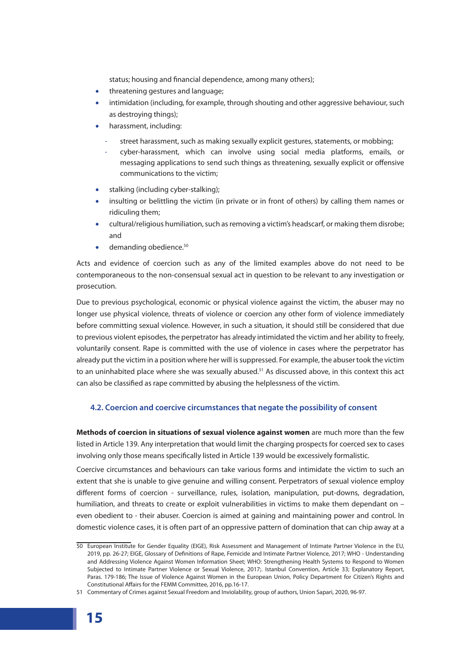status; housing and financial dependence, among many others);

- threatening gestures and language;
- intimidation (including, for example, through shouting and other aggressive behaviour, such as destroying things);
- harassment, including:
	- street harassment, such as making sexually explicit gestures, statements, or mobbing;
	- cyber-harassment, which can involve using social media platforms, emails, or messaging applications to send such things as threatening, sexually explicit or offensive communications to the victim;
- stalking (including cyber-stalking);
- insulting or belittling the victim (in private or in front of others) by calling them names or ridiculing them;
- cultural/religious humiliation, such as removing a victim's headscarf, or making them disrobe; and
- demanding obedience.<sup>50</sup>

Acts and evidence of coercion such as any of the limited examples above do not need to be contemporaneous to the non-consensual sexual act in question to be relevant to any investigation or prosecution.

Due to previous psychological, economic or physical violence against the victim, the abuser may no longer use physical violence, threats of violence or coercion any other form of violence immediately before committing sexual violence. However, in such a situation, it should still be considered that due to previous violent episodes, the perpetrator has already intimidated the victim and her ability to freely, voluntarily consent. Rape is committed with the use of violence in cases where the perpetrator has already put the victim in a position where her will is suppressed. For example, the abuser took the victim to an uninhabited place where she was sexually abused.<sup>51</sup> As discussed above, in this context this act can also be classified as rape committed by abusing the helplessness of the victim.

# **4.2. Coercion and coercive circumstances that negate the possibility of consent**

**Methods of coercion in situations of sexual violence against women** are much more than the few listed in Article 139. Any interpretation that would limit the charging prospects for coerced sex to cases involving only those means specifically listed in Article 139 would be excessively formalistic.

Coercive circumstances and behaviours can take various forms and intimidate the victim to such an extent that she is unable to give genuine and willing consent. Perpetrators of sexual violence employ different forms of coercion - surveillance, rules, isolation, manipulation, put-downs, degradation, humiliation, and threats to create or exploit vulnerabilities in victims to make them dependant on even obedient to - their abuser. Coercion is aimed at gaining and maintaining power and control. In domestic violence cases, it is often part of an oppressive pattern of domination that can chip away at a

<sup>50</sup> European Institute for Gender Equality (EIGE), Risk Assessment and Management of Intimate Partner Violence in the EU, 2019, pp. 26-27; EIGE, Glossary of Definitions of Rape, Femicide and Intimate Partner Violence, 2017; WHO - Understanding and Addressing Violence Against Women Information Sheet; WHO: Strengthening Health Systems to Respond to Women Subjected to Intimate Partner Violence or Sexual Violence, 2017;. Istanbul Convention, Article 33; Explanatory Report, Paras. 179-186; The Issue of Violence Against Women in the European Union, Policy Department for Citizen's Rights and Constitutional Affairs for the FEMM Committee, 2016, pp.16-17.

<sup>51</sup> Commentary of Crimes against Sexual Freedom and Inviolability, group of authors, Union Sapari, 2020, 96-97.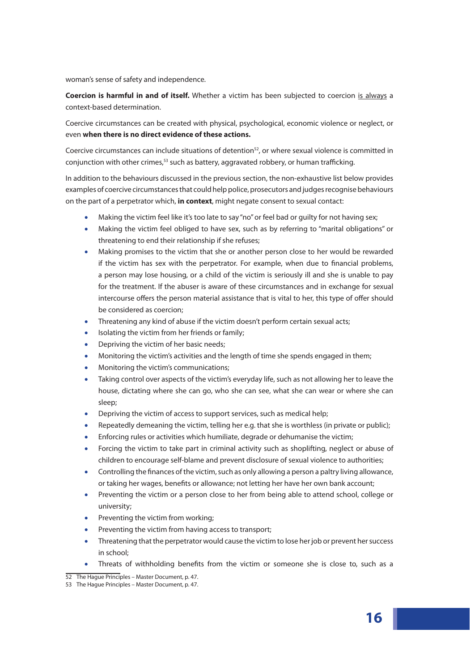woman's sense of safety and independence.

**Coercion is harmful in and of itself.** Whether a victim has been subjected to coercion is always a context-based determination.

Coercive circumstances can be created with physical, psychological, economic violence or neglect, or even **when there is no direct evidence of these actions.** 

Coercive circumstances can include situations of detention<sup>52</sup>, or where sexual violence is committed in conjunction with other crimes, $53$  such as battery, aggravated robbery, or human trafficking.

In addition to the behaviours discussed in the previous section, the non-exhaustive list below provides examples of coercive circumstances that could help police, prosecutors and judges recognise behaviours on the part of a perpetrator which, **in context**, might negate consent to sexual contact:

- Making the victim feel like it's too late to say "no" or feel bad or guilty for not having sex;
- Making the victim feel obliged to have sex, such as by referring to "marital obligations" or threatening to end their relationship if she refuses;
- Making promises to the victim that she or another person close to her would be rewarded if the victim has sex with the perpetrator. For example, when due to financial problems, a person may lose housing, or a child of the victim is seriously ill and she is unable to pay for the treatment. If the abuser is aware of these circumstances and in exchange for sexual intercourse offers the person material assistance that is vital to her, this type of offer should be considered as coercion;
- Threatening any kind of abuse if the victim doesn't perform certain sexual acts;
- Isolating the victim from her friends or family;
- Depriving the victim of her basic needs;
- Monitoring the victim's activities and the length of time she spends engaged in them;
- Monitoring the victim's communications;
- Taking control over aspects of the victim's everyday life, such as not allowing her to leave the house, dictating where she can go, who she can see, what she can wear or where she can sleep;
- Depriving the victim of access to support services, such as medical help;
- Repeatedly demeaning the victim, telling her e.g. that she is worthless (in private or public);
- Enforcing rules or activities which humiliate, degrade or dehumanise the victim;
- Forcing the victim to take part in criminal activity such as shoplifting, neglect or abuse of children to encourage self-blame and prevent disclosure of sexual violence to authorities;
- Controlling the finances of the victim, such as only allowing a person a paltry living allowance, or taking her wages, benefits or allowance; not letting her have her own bank account;
- Preventing the victim or a person close to her from being able to attend school, college or university;
- Preventing the victim from working;
- Preventing the victim from having access to transport;
- Threatening that the perpetrator would cause the victim to lose her job or prevent her success in school;
- Threats of withholding benefits from the victim or someone she is close to, such as a

<sup>52</sup> The Hague Principles – Master Document, p. 47.

<sup>53</sup> The Hague Principles – Master Document, p. 47.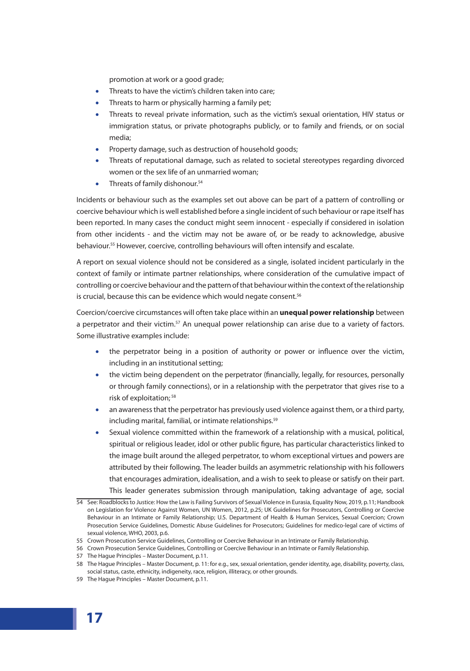promotion at work or a good grade;

- Threats to have the victim's children taken into care;
- Threats to harm or physically harming a family pet:
- Threats to reveal private information, such as the victim's sexual orientation, HIV status or immigration status, or private photographs publicly, or to family and friends, or on social media;
- Property damage, such as destruction of household goods;
- Threats of reputational damage, such as related to societal stereotypes regarding divorced women or the sex life of an unmarried woman;
- Threats of family dishonour. $54$

Incidents or behaviour such as the examples set out above can be part of a pattern of controlling or coercive behaviour which is well established before a single incident of such behaviour or rape itself has been reported. In many cases the conduct might seem innocent - especially if considered in isolation from other incidents - and the victim may not be aware of, or be ready to acknowledge, abusive behaviour.<sup>55</sup> However, coercive, controlling behaviours will often intensify and escalate.

A report on sexual violence should not be considered as a single, isolated incident particularly in the context of family or intimate partner relationships, where consideration of the cumulative impact of controlling or coercive behaviour and the pattern of that behaviour within the context of the relationship is crucial, because this can be evidence which would negate consent.<sup>56</sup>

Coercion/coercive circumstances will often take place within an **unequal power relationship** between a perpetrator and their victim.<sup>57</sup> An unequal power relationship can arise due to a variety of factors. Some illustrative examples include:

- the perpetrator being in a position of authority or power or influence over the victim, including in an institutional setting;
- the victim being dependent on the perpetrator (financially, legally, for resources, personally or through family connections), or in a relationship with the perpetrator that gives rise to a risk of exploitation; <sup>58</sup>
- an awareness that the perpetrator has previously used violence against them, or a third party, including marital, familial, or intimate relationships.<sup>59</sup>
- Sexual violence committed within the framework of a relationship with a musical, political, spiritual or religious leader, idol or other public figure, has particular characteristics linked to the image built around the alleged perpetrator, to whom exceptional virtues and powers are attributed by their following. The leader builds an asymmetric relationship with his followers that encourages admiration, idealisation, and a wish to seek to please or satisfy on their part. This leader generates submission through manipulation, taking advantage of age, social

<sup>54</sup> See: Roadblocks to Justice: How the Law is Failing Survivors of Sexual Violence in Eurasia, Equality Now, 2019, p.11; Handbook on Legislation for Violence Against Women, UN Women, 2012, p.25; UK Guidelines for Prosecutors, Controlling or Coercive Behaviour in an Intimate or Family Relationship; U.S. Department of Health & Human Services, Sexual Coercion; Crown Prosecution Service Guidelines, Domestic Abuse Guidelines for Prosecutors; Guidelines for medico-legal care of victims of sexual violence, WHO, 2003, p.6.

<sup>55</sup> Crown Prosecution Service Guidelines, Controlling or Coercive Behaviour in an Intimate or Family Relationship.

<sup>56</sup> Crown Prosecution Service Guidelines, Controlling or Coercive Behaviour in an Intimate or Family Relationship.

<sup>57</sup> The Hague Principles – Master Document, p.11.

<sup>58</sup> The Hague Principles – Master Document, p. 11: for e.g., sex, sexual orientation, gender identity, age, disability, poverty, class, social status, caste, ethnicity, indigeneity, race, religion, illiteracy, or other grounds.

<sup>59</sup> The Hague Principles – Master Document, p.11.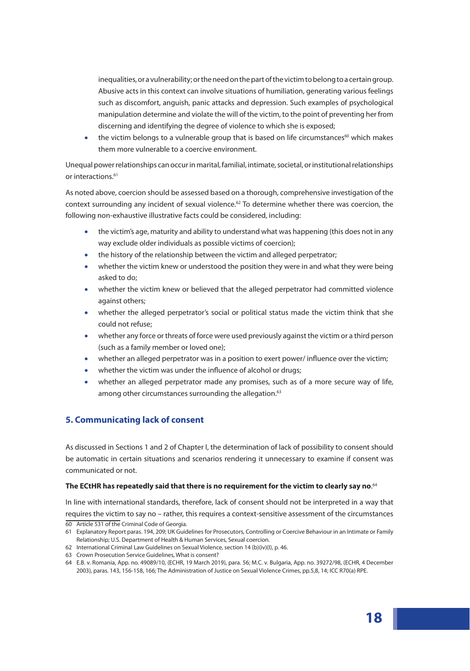inequalities, or a vulnerability; or the need on the part of the victim to belong to a certain group. Abusive acts in this context can involve situations of humiliation, generating various feelings such as discomfort, anguish, panic attacks and depression. Such examples of psychological manipulation determine and violate the will of the victim, to the point of preventing her from discerning and identifying the degree of violence to which she is exposed;

• the victim belongs to a vulnerable group that is based on life circumstances<sup>60</sup> which makes them more vulnerable to a coercive environment.

Unequal power relationships can occur in marital, familial, intimate, societal, or institutional relationships or interactions.<sup>61</sup>

As noted above, coercion should be assessed based on a thorough, comprehensive investigation of the context surrounding any incident of sexual violence.<sup>62</sup> To determine whether there was coercion, the following non-exhaustive illustrative facts could be considered, including:

- the victim's age, maturity and ability to understand what was happening (this does not in any way exclude older individuals as possible victims of coercion);
- the history of the relationship between the victim and alleged perpetrator;
- whether the victim knew or understood the position they were in and what they were being asked to do;
- whether the victim knew or believed that the alleged perpetrator had committed violence against others;
- whether the alleged perpetrator's social or political status made the victim think that she could not refuse;
- whether any force or threats of force were used previously against the victim or a third person (such as a family member or loved one);
- whether an alleged perpetrator was in a position to exert power/ influence over the victim;
- whether the victim was under the influence of alcohol or drugs;
- whether an alleged perpetrator made any promises, such as of a more secure way of life, among other circumstances surrounding the allegation.<sup>63</sup>

# **5. Communicating lack of consent**

As discussed in Sections 1 and 2 of Chapter I, the determination of lack of possibility to consent should be automatic in certain situations and scenarios rendering it unnecessary to examine if consent was communicated or not.

#### **The ECtHR has repeatedly said that there is no requirement for the victim to clearly say no**. 64

In line with international standards, therefore, lack of consent should not be interpreted in a way that requires the victim to say no – rather, this requires a context-sensitive assessment of the circumstances 60 Article 531 of the Criminal Code of Georgia.

<sup>61</sup> Explanatory Report paras. 194, 209; UK Guidelines for Prosecutors, Controlling or Coercive Behaviour in an Intimate or Family Relationship; U.S. Department of Health & Human Services, Sexual coercion.

<sup>62</sup> International Criminal Law Guidelines on Sexual Violence, section 14 (b)(iv)(I), p. 46.

<sup>63</sup> Crown Prosecution Service Guidelines, What is consent?

<sup>64</sup> E.B. v. Romania, App. no. 49089/10, (ECHR, 19 March 2019), para. 56; M.C. v. Bulgaria, App. no. 39272/98, (ECHR, 4 December 2003), paras. 143, 156-158, 166; The Administration of Justice on Sexual Violence Crimes, pp.5,8, 14; ICC R70(a) RPE.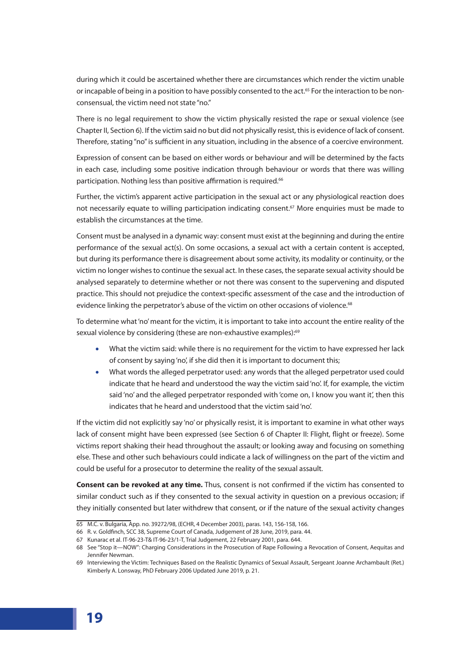during which it could be ascertained whether there are circumstances which render the victim unable or incapable of being in a position to have possibly consented to the act.<sup>65</sup> For the interaction to be nonconsensual, the victim need not state "no."

There is no legal requirement to show the victim physically resisted the rape or sexual violence (see Chapter II, Section 6). If the victim said no but did not physically resist, this is evidence of lack of consent. Therefore, stating "no" is sufficient in any situation, including in the absence of a coercive environment.

Expression of consent can be based on either words or behaviour and will be determined by the facts in each case, including some positive indication through behaviour or words that there was willing participation. Nothing less than positive affirmation is required.<sup>66</sup>

Further, the victim's apparent active participation in the sexual act or any physiological reaction does not necessarily equate to willing participation indicating consent.<sup>67</sup> More enquiries must be made to establish the circumstances at the time.

Consent must be analysed in a dynamic way: consent must exist at the beginning and during the entire performance of the sexual act(s). On some occasions, a sexual act with a certain content is accepted, but during its performance there is disagreement about some activity, its modality or continuity, or the victim no longer wishes to continue the sexual act. In these cases, the separate sexual activity should be analysed separately to determine whether or not there was consent to the supervening and disputed practice. This should not prejudice the context-specific assessment of the case and the introduction of evidence linking the perpetrator's abuse of the victim on other occasions of violence.<sup>68</sup>

To determine what 'no' meant for the victim, it is important to take into account the entire reality of the sexual violence by considering (these are non-exhaustive examples):<sup>69</sup>

- What the victim said: while there is no requirement for the victim to have expressed her lack of consent by saying 'no', if she did then it is important to document this;
- What words the alleged perpetrator used: any words that the alleged perpetrator used could indicate that he heard and understood the way the victim said 'no'. If, for example, the victim said 'no' and the alleged perpetrator responded with 'come on, I know you want it', then this indicates that he heard and understood that the victim said 'no'.

If the victim did not explicitly say 'no' or physically resist, it is important to examine in what other ways lack of consent might have been expressed (see Section 6 of Chapter II: Flight, flight or freeze). Some victims report shaking their head throughout the assault; or looking away and focusing on something else. These and other such behaviours could indicate a lack of willingness on the part of the victim and could be useful for a prosecutor to determine the reality of the sexual assault.

**Consent can be revoked at any time.** Thus, consent is not confirmed if the victim has consented to similar conduct such as if they consented to the sexual activity in question on a previous occasion; if they initially consented but later withdrew that consent, or if the nature of the sexual activity changes

<sup>65</sup> M.C. v. Bulgaria, App. no. 39272/98, (ECHR, 4 December 2003), paras. 143, 156-158, 166.

<sup>66</sup> R. v. Goldfinch, SCC 38, Supreme Court of Canada, Judgement of 28 June, 2019, para. 44.

<sup>67</sup> Kunarac et al. IT-96-23-T& IT-96-23/1-T, Trial Judgement, 22 February 2001, para. 644.

<sup>68</sup> See "Stop it—NOW": Charging Considerations in the Prosecution of Rape Following a Revocation of Consent, Aequitas and Jennifer Newman.

<sup>69</sup> Interviewing the Victim: Techniques Based on the Realistic Dynamics of Sexual Assault, Sergeant Joanne Archambault (Ret.) Kimberly A. Lonsway, PhD February 2006 Updated June 2019, p. 21.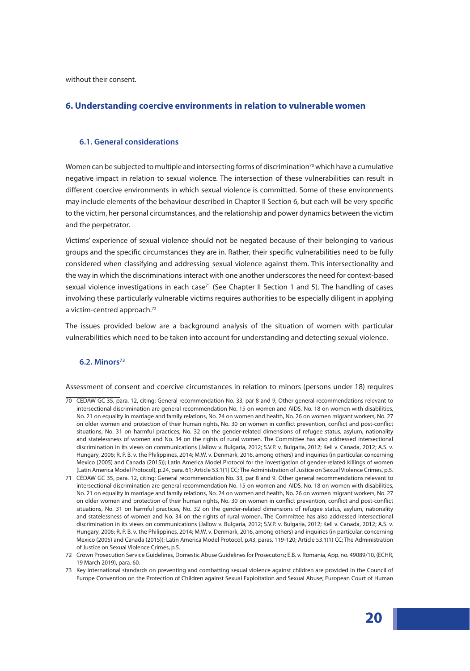without their consent.

### **6. Understanding coercive environments in relation to vulnerable women**

#### **6.1. General considerations**

Women can be subjected to multiple and intersecting forms of discrimination<sup>70</sup> which have a cumulative negative impact in relation to sexual violence. The intersection of these vulnerabilities can result in different coercive environments in which sexual violence is committed. Some of these environments may include elements of the behaviour described in Chapter II Section 6, but each will be very specific to the victim, her personal circumstances, and the relationship and power dynamics between the victim and the perpetrator.

Victims' experience of sexual violence should not be negated because of their belonging to various groups and the specific circumstances they are in. Rather, their specific vulnerabilities need to be fully considered when classifying and addressing sexual violence against them. This intersectionality and the way in which the discriminations interact with one another underscores the need for context-based sexual violence investigations in each case<sup>71</sup> (See Chapter II Section 1 and 5). The handling of cases involving these particularly vulnerable victims requires authorities to be especially diligent in applying a victim-centred approach.<sup>72</sup>

The issues provided below are a background analysis of the situation of women with particular vulnerabilities which need to be taken into account for understanding and detecting sexual violence.

# **6.2. Minors73**

Assessment of consent and coercive circumstances in relation to minors (persons under 18) requires

<sup>70</sup> CEDAW GC 35, para. 12, citing: General recommendation No. 33, par 8 and 9, Other general recommendations relevant to intersectional discrimination are general recommendation No. 15 on women and AIDS, No. 18 on women with disabilities, No. 21 on equality in marriage and family relations, No. 24 on women and health, No. 26 on women migrant workers, No. 27 on older women and protection of their human rights, No. 30 on women in conflict prevention, conflict and post-conflict situations, No. 31 on harmful practices, No. 32 on the gender-related dimensions of refugee status, asylum, nationality and statelessness of women and No. 34 on the rights of rural women. The Committee has also addressed intersectional discrimination in its views on communications (Jallow v. Bulgaria, 2012; S.V.P. v. Bulgaria, 2012; Kell v. Canada, 2012; A.S. v. Hungary, 2006; R. P. B. v. the Philippines, 2014; M.W. v. Denmark, 2016, among others) and inquiries (in particular, concerning Mexico (2005) and Canada (2015)); Latin America Model Protocol for the investigation of gender-related killings of women (Latin America Model Protocol), p.24, para. 61; Article 53.1(1) CC; The Administration of Justice on Sexual Violence Crimes, p.5.

<sup>71</sup> CEDAW GC 35, para. 12, citing: General recommendation No. 33, par 8 and 9. Other general recommendations relevant to intersectional discrimination are general recommendation No. 15 on women and AIDS, No. 18 on women with disabilities, No. 21 on equality in marriage and family relations, No. 24 on women and health, No. 26 on women migrant workers, No. 27 on older women and protection of their human rights, No. 30 on women in conflict prevention, conflict and post-conflict situations, No. 31 on harmful practices, No. 32 on the gender-related dimensions of refugee status, asylum, nationality and statelessness of women and No. 34 on the rights of rural women. The Committee has also addressed intersectional discrimination in its views on communications (Jallow v. Bulgaria, 2012; S.V.P. v. Bulgaria, 2012; Kell v. Canada, 2012; A.S. v. Hungary, 2006; R. P. B. v. the Philippines, 2014; M.W. v. Denmark, 2016, among others) and inquiries (in particular, concerning Mexico (2005) and Canada (2015)); Latin America Model Protocol, p.43, paras. 119-120; Article 53.1(1) CC; The Administration of Justice on Sexual Violence Crimes, p.5.

<sup>72</sup> Crown Prosecution Service Guidelines, Domestic Abuse Guidelines for Prosecutors; E.B. v. Romania, App. no. 49089/10, (ECHR, 19 March 2019), para. 60.

<sup>73</sup> Key international standards on preventing and combatting sexual violence against children are provided in the Council of Europe Convention on the Protection of Children against Sexual Exploitation and Sexual Abuse; European Court of Human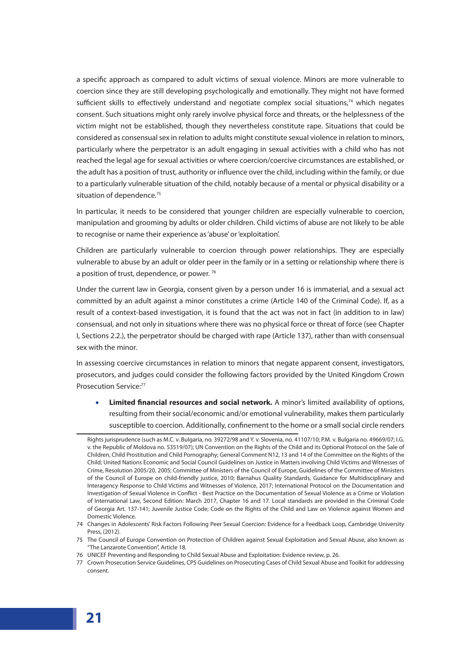a specific approach as compared to adult victims of sexual violence. Minors are more vulnerable to coercion since they are still developing psychologically and emotionally. They might not have formed sufficient skills to effectively understand and negotiate complex social situations,<sup>74</sup> which negates consent. Such situations might only rarely involve physical force and threats, or the helplessness of the victim might not be established, though they nevertheless constitute rape. Situations that could be considered as consensual sex in relation to adults might constitute sexual violence in relation to minors, particularly where the perpetrator is an adult engaging in sexual activities with a child who has not reached the legal age for sexual activities or where coercion/coercive circumstances are established, or the adult has a position of trust, authority or influence over the child, including within the family, or due to a particularly vulnerable situation of the child, notably because of a mental or physical disability or a situation of dependence. $75$ 

In particular, it needs to be considered that younger children are especially vulnerable to coercion, manipulation and grooming by adults or older children. Child victims of abuse are not likely to be able to recognise or name their experience as 'abuse' or 'exploitation'.

Children are particularly vulnerable to coercion through power relationships. They are especially vulnerable to abuse by an adult or older peer in the family or in a setting or relationship where there is a position of trust, dependence, or power.<sup>76</sup>

Under the current law in Georgia, consent given by a person under 16 is immaterial, and a sexual act committed by an adult against a minor constitutes a crime (Article 140 of the Criminal Code). If, as a result of a context-based investigation, it is found that the act was not in fact (in addition to in law) consensual, and not only in situations where there was no physical force or threat of force (see Chapter I, Sections 2.2.), the perpetrator should be charged with rape (Article 137), rather than with consensual sex with the minor.

In assessing coercive circumstances in relation to minors that negate apparent consent, investigators, prosecutors, and judges could consider the following factors provided by the United Kingdom Crown Prosecution Service:<sup>77</sup>

• **Limited financial resources and social network.** A minor's limited availability of options, resulting from their social/economic and/or emotional vulnerability, makes them particularly susceptible to coercion. Additionally, confinement to the home or a small social circle renders

Rights jurisprudence (such as M.C. v. Bulgaria, no. 39272/98 and Y. v. Slovenia, no. 41107/10; P.M. v. Bulgaria no. 49669/07; I.G. v. the Republic of Moldova no. 53519/07); UN Convention on the Rights of the Child and its Optional Protocol on the Sale of Children, Child Prostitution and Child Pornography; General Comment N12, 13 and 14 of the Committee on the Rights of the Child; United Nations Economic and Social Council Guidelines on Justice in Matters involving Child Victims and Witnesses of Crime, Resolution 2005/20, 2005; Committee of Ministers of the Council of Europe, Guidelines of the Committee of Ministers of the Council of Europe on child-friendly justice, 2010; Barnahus Quality Standards, Guidance for Multidisciplinary and Interagency Response to Child Victims and Witnesses of Violence, 2017; International Protocol on the Documentation and Investigation of Sexual Violence in Conflict - Best Practice on the Documentation of Sexual Violence as a Crime or Violation of International Law, Second Edition: March 2017, Chapter 16 and 17. Local standards are provided in the Criminal Code of Georgia Art. 137-141; Juvenile Justice Code; Code on the Rights of the Child and Law on Violence against Women and Domestic Violence.

<sup>74</sup> Changes in Adolescents' Risk Factors Following Peer Sexual Coercion: Evidence for a Feedback Loop, Cambridge University Press, (2012).

<sup>75</sup> The Council of Europe Convention on Protection of Children against Sexual Exploitation and Sexual Abuse, also known as "The Lanzarote Convention", Article 18.

<sup>76</sup> UNICEF Preventing and Responding to Child Sexual Abuse and Exploitation: Evidence review, p. 26.

<sup>77</sup> Crown Prosecution Service Guidelines, CPS Guidelines on Prosecuting Cases of Child Sexual Abuse and Toolkit for addressing consent.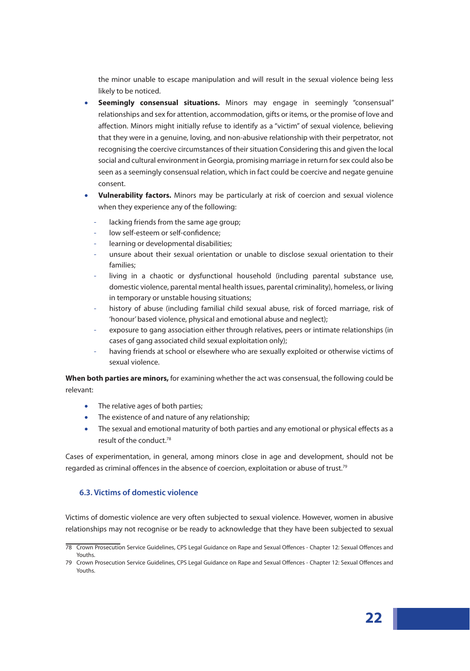the minor unable to escape manipulation and will result in the sexual violence being less likely to be noticed.

- **Seemingly consensual situations.** Minors may engage in seemingly "consensual" relationships and sex for attention, accommodation, gifts or items, or the promise of love and affection. Minors might initially refuse to identify as a "victim" of sexual violence, believing that they were in a genuine, loving, and non-abusive relationship with their perpetrator, not recognising the coercive circumstances of their situation Considering this and given the local social and cultural environment in Georgia, promising marriage in return for sex could also be seen as a seemingly consensual relation, which in fact could be coercive and negate genuine consent.
- **Vulnerability factors.** Minors may be particularly at risk of coercion and sexual violence when they experience any of the following:
	- lacking friends from the same age group;
	- low self-esteem or self-confidence;
	- learning or developmental disabilities;
	- unsure about their sexual orientation or unable to disclose sexual orientation to their families;
	- living in a chaotic or dysfunctional household (including parental substance use, domestic violence, parental mental health issues, parental criminality), homeless, or living in temporary or unstable housing situations;
	- history of abuse (including familial child sexual abuse, risk of forced marriage, risk of 'honour' based violence, physical and emotional abuse and neglect);
	- exposure to gang association either through relatives, peers or intimate relationships (in cases of gang associated child sexual exploitation only);
	- having friends at school or elsewhere who are sexually exploited or otherwise victims of sexual violence.

**When both parties are minors,** for examining whether the act was consensual, the following could be relevant:

- The relative ages of both parties;
- The existence of and nature of any relationship;
- The sexual and emotional maturity of both parties and any emotional or physical effects as a result of the conduct.78

Cases of experimentation, in general, among minors close in age and development, should not be regarded as criminal offences in the absence of coercion, exploitation or abuse of trust.<sup>79</sup>

# **6.3. Victims of domestic violence**

Victims of domestic violence are very often subjected to sexual violence. However, women in abusive relationships may not recognise or be ready to acknowledge that they have been subjected to sexual

<sup>78</sup> Crown Prosecution Service Guidelines, CPS Legal Guidance on Rape and Sexual Offences - Chapter 12: Sexual Offences and Youths.

<sup>79</sup> Crown Prosecution Service Guidelines, CPS Legal Guidance on Rape and Sexual Offences - Chapter 12: Sexual Offences and Youths.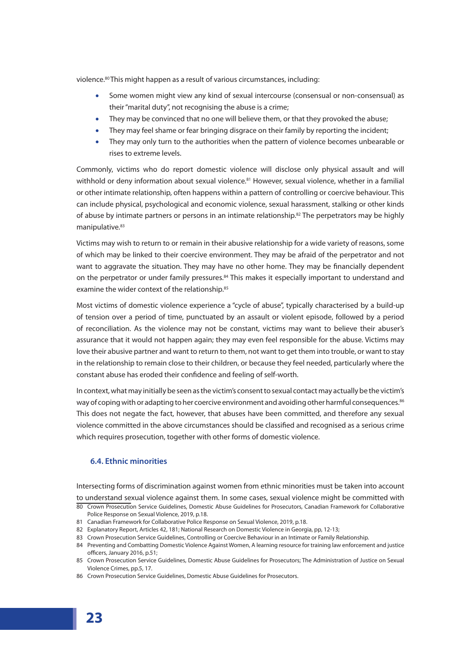violence.<sup>80</sup> This might happen as a result of various circumstances, including:

- Some women might view any kind of sexual intercourse (consensual or non-consensual) as their "marital duty'', not recognising the abuse is a crime;
- They may be convinced that no one will believe them, or that they provoked the abuse;
- They may feel shame or fear bringing disgrace on their family by reporting the incident;
- They may only turn to the authorities when the pattern of violence becomes unbearable or rises to extreme levels.

Commonly, victims who do report domestic violence will disclose only physical assault and will withhold or deny information about sexual violence.<sup>81</sup> However, sexual violence, whether in a familial or other intimate relationship, often happens within a pattern of controlling or coercive behaviour. This can include physical, psychological and economic violence, sexual harassment, stalking or other kinds of abuse by intimate partners or persons in an intimate relationship.<sup>82</sup> The perpetrators may be highly manipulative.<sup>83</sup>

Victims may wish to return to or remain in their abusive relationship for a wide variety of reasons, some of which may be linked to their coercive environment. They may be afraid of the perpetrator and not want to aggravate the situation. They may have no other home. They may be financially dependent on the perpetrator or under family pressures.<sup>84</sup> This makes it especially important to understand and examine the wider context of the relationship.<sup>85</sup>

Most victims of domestic violence experience a "cycle of abuse", typically characterised by a build-up of tension over a period of time, punctuated by an assault or violent episode, followed by a period of reconciliation. As the violence may not be constant, victims may want to believe their abuser's assurance that it would not happen again; they may even feel responsible for the abuse. Victims may love their abusive partner and want to return to them, not want to get them into trouble, or want to stay in the relationship to remain close to their children, or because they feel needed, particularly where the constant abuse has eroded their confidence and feeling of self-worth.

In context, what may initially be seen as the victim's consent to sexual contact may actually be the victim's way of coping with or adapting to her coercive environment and avoiding other harmful consequences.<sup>86</sup> This does not negate the fact, however, that abuses have been committed, and therefore any sexual violence committed in the above circumstances should be classified and recognised as a serious crime which requires prosecution, together with other forms of domestic violence.

# **6.4. Ethnic minorities**

Intersecting forms of discrimination against women from ethnic minorities must be taken into account to understand sexual violence against them. In some cases, sexual violence might be committed with 80 Crown Prosecution Service Guidelines, Domestic Abuse Guidelines for Prosecutors, Canadian Framework for Collaborative

- 81 Canadian Framework for Collaborative Police Response on Sexual Violence, 2019, p.18.
- 82 Explanatory Report, Articles 42, 181; National Research on Domestic Violence in Georgia, pp, 12-13;
- 83 Crown Prosecution Service Guidelines, Controlling or Coercive Behaviour in an Intimate or Family Relationship.
- 84 Preventing and Combatting Domestic Violence Against Women, A learning resource for training law enforcement and justice officers, January 2016, p.51;
- 85 Crown Prosecution Service Guidelines, Domestic Abuse Guidelines for Prosecutors; The Administration of Justice on Sexual Violence Crimes, pp.5, 17.
- 86 Crown Prosecution Service Guidelines, Domestic Abuse Guidelines for Prosecutors.

Police Response on Sexual Violence, 2019, p.18.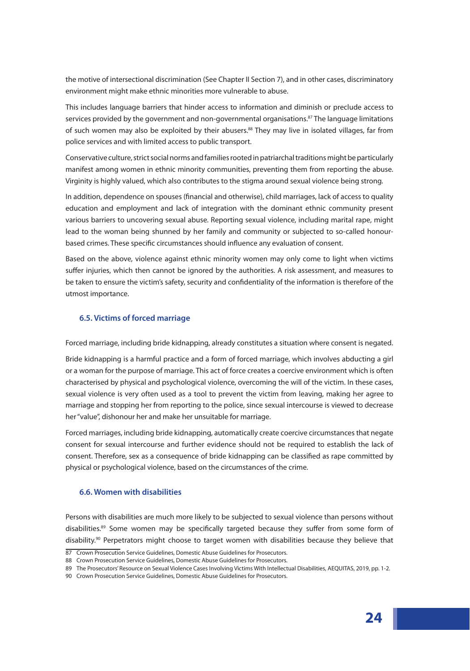the motive of intersectional discrimination (See Chapter II Section 7), and in other cases, discriminatory environment might make ethnic minorities more vulnerable to abuse.

This includes language barriers that hinder access to information and diminish or preclude access to services provided by the government and non-governmental organisations.<sup>87</sup> The language limitations of such women may also be exploited by their abusers.<sup>88</sup> They may live in isolated villages, far from police services and with limited access to public transport.

Conservative culture, strict social norms and families rooted in patriarchal traditions might be particularly manifest among women in ethnic minority communities, preventing them from reporting the abuse. Virginity is highly valued, which also contributes to the stigma around sexual violence being strong.

In addition, dependence on spouses (financial and otherwise), child marriages, lack of access to quality education and employment and lack of integration with the dominant ethnic community present various barriers to uncovering sexual abuse. Reporting sexual violence, including marital rape, might lead to the woman being shunned by her family and community or subjected to so-called honourbased crimes. These specific circumstances should influence any evaluation of consent.

Based on the above, violence against ethnic minority women may only come to light when victims suffer injuries, which then cannot be ignored by the authorities. A risk assessment, and measures to be taken to ensure the victim's safety, security and confidentiality of the information is therefore of the utmost importance.

### **6.5. Victims of forced marriage**

Forced marriage, including bride kidnapping, already constitutes a situation where consent is negated.

Bride kidnapping is a harmful practice and a form of forced marriage, which involves abducting a girl or a woman for the purpose of marriage. This act of force creates a coercive environment which is often characterised by physical and psychological violence, overcoming the will of the victim. In these cases, sexual violence is very often used as a tool to prevent the victim from leaving, making her agree to marriage and stopping her from reporting to the police, since sexual intercourse is viewed to decrease her "value", dishonour her and make her unsuitable for marriage.

Forced marriages, including bride kidnapping, automatically create coercive circumstances that negate consent for sexual intercourse and further evidence should not be required to establish the lack of consent. Therefore, sex as a consequence of bride kidnapping can be classified as rape committed by physical or psychological violence, based on the circumstances of the crime.

#### **6.6. Women with disabilities**

Persons with disabilities are much more likely to be subjected to sexual violence than persons without disabilities.<sup>89</sup> Some women may be specifically targeted because they suffer from some form of disability.90 Perpetrators might choose to target women with disabilities because they believe that

<sup>87</sup> Crown Prosecution Service Guidelines, Domestic Abuse Guidelines for Prosecutors.

<sup>88</sup> Crown Prosecution Service Guidelines, Domestic Abuse Guidelines for Prosecutors.

<sup>89</sup> The Prosecutors' Resource on Sexual Violence Cases Involving Victims With Intellectual Disabilities, AEQUITAS, 2019, pp. 1-2.

<sup>90</sup> Crown Prosecution Service Guidelines, Domestic Abuse Guidelines for Prosecutors.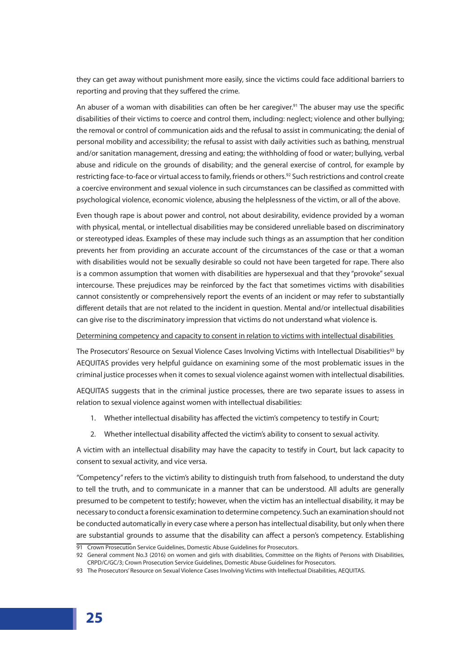they can get away without punishment more easily, since the victims could face additional barriers to reporting and proving that they suffered the crime.

An abuser of a woman with disabilities can often be her caregiver.<sup>91</sup> The abuser may use the specific disabilities of their victims to coerce and control them, including: neglect; violence and other bullying; the removal or control of communication aids and the refusal to assist in communicating; the denial of personal mobility and accessibility; the refusal to assist with daily activities such as bathing, menstrual and/or sanitation management, dressing and eating; the withholding of food or water; bullying, verbal abuse and ridicule on the grounds of disability; and the general exercise of control, for example by restricting face-to-face or virtual access to family, friends or others.<sup>92</sup> Such restrictions and control create a coercive environment and sexual violence in such circumstances can be classified as committed with psychological violence, economic violence, abusing the helplessness of the victim, or all of the above.

Even though rape is about power and control, not about desirability, evidence provided by a woman with physical, mental, or intellectual disabilities may be considered unreliable based on discriminatory or stereotyped ideas. Examples of these may include such things as an assumption that her condition prevents her from providing an accurate account of the circumstances of the case or that a woman with disabilities would not be sexually desirable so could not have been targeted for rape. There also is a common assumption that women with disabilities are hypersexual and that they "provoke" sexual intercourse. These prejudices may be reinforced by the fact that sometimes victims with disabilities cannot consistently or comprehensively report the events of an incident or may refer to substantially different details that are not related to the incident in question. Mental and/or intellectual disabilities can give rise to the discriminatory impression that victims do not understand what violence is.

#### Determining competency and capacity to consent in relation to victims with intellectual disabilities

The Prosecutors' Resource on Sexual Violence Cases Involving Victims with Intellectual Disabilities<sup>93</sup> by AEQUITAS provides very helpful guidance on examining some of the most problematic issues in the criminal justice processes when it comes to sexual violence against women with intellectual disabilities.

AEQUITAS suggests that in the criminal justice processes, there are two separate issues to assess in relation to sexual violence against women with intellectual disabilities:

- 1. Whether intellectual disability has affected the victim's competency to testify in Court;
- 2. Whether intellectual disability affected the victim's ability to consent to sexual activity.

A victim with an intellectual disability may have the capacity to testify in Court, but lack capacity to consent to sexual activity, and vice versa.

"Competency" refers to the victim's ability to distinguish truth from falsehood, to understand the duty to tell the truth, and to communicate in a manner that can be understood. All adults are generally presumed to be competent to testify; however, when the victim has an intellectual disability, it may be necessary to conduct a forensic examination to determine competency. Such an examination should not be conducted automatically in every case where a person has intellectual disability, but only when there are substantial grounds to assume that the disability can affect a person's competency. Establishing

<sup>91</sup> Crown Prosecution Service Guidelines, Domestic Abuse Guidelines for Prosecutors.

<sup>92</sup> General comment No.3 (2016) on women and girls with disabilities, Committee on the Rights of Persons with Disabilities, CRPD/C/GC/3; Crown Prosecution Service Guidelines, Domestic Abuse Guidelines for Prosecutors.

<sup>93</sup> The Prosecutors' Resource on Sexual Violence Cases Involving Victims with Intellectual Disabilities, AEQUITAS.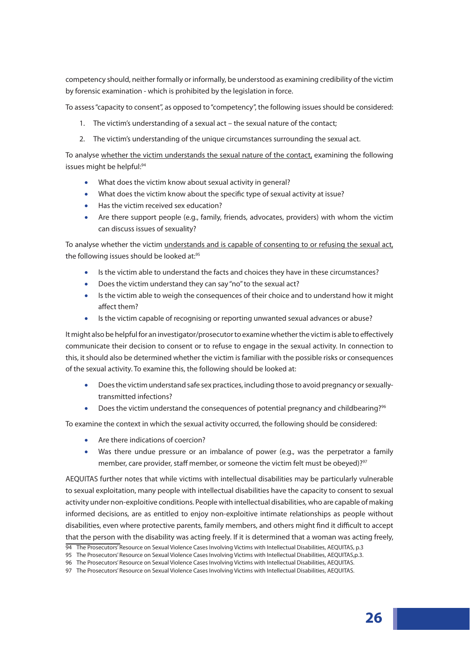competency should, neither formally or informally, be understood as examining credibility of the victim by forensic examination - which is prohibited by the legislation in force.

To assess "capacity to consent'', as opposed to "competency'', the following issues should be considered:

- 1. The victim's understanding of a sexual act the sexual nature of the contact;
- 2. The victim's understanding of the unique circumstances surrounding the sexual act.

To analyse whether the victim understands the sexual nature of the contact, examining the following issues might be helpful:<sup>94</sup>

- What does the victim know about sexual activity in general?
- What does the victim know about the specific type of sexual activity at issue?
- Has the victim received sex education?
- Are there support people (e.g., family, friends, advocates, providers) with whom the victim can discuss issues of sexuality?

To analyse whether the victim understands and is capable of consenting to or refusing the sexual act, the following issues should be looked at:<sup>95</sup>

- Is the victim able to understand the facts and choices they have in these circumstances?
- Does the victim understand they can say "no" to the sexual act?
- Is the victim able to weigh the consequences of their choice and to understand how it might affect them?
- Is the victim capable of recognising or reporting unwanted sexual advances or abuse?

It might also be helpful for an investigator/prosecutor to examine whether the victim is able to effectively communicate their decision to consent or to refuse to engage in the sexual activity. In connection to this, it should also be determined whether the victim is familiar with the possible risks or consequences of the sexual activity. To examine this, the following should be looked at:

- Does the victim understand safe sex practices, including those to avoid pregnancy or sexuallytransmitted infections?
- Does the victim understand the consequences of potential pregnancy and childbearing?<sup>96</sup>

To examine the context in which the sexual activity occurred, the following should be considered:

- Are there indications of coercion?
- Was there undue pressure or an imbalance of power (e.g., was the perpetrator a family member, care provider, staff member, or someone the victim felt must be obeyed)?<sup>97</sup>

AEQUITAS further notes that while victims with intellectual disabilities may be particularly vulnerable to sexual exploitation, many people with intellectual disabilities have the capacity to consent to sexual activity under non-exploitive conditions. People with intellectual disabilities, who are capable of making informed decisions, are as entitled to enjoy non-exploitive intimate relationships as people without disabilities, even where protective parents, family members, and others might find it difficult to accept that the person with the disability was acting freely. If it is determined that a woman was acting freely,

<sup>94</sup> The Prosecutors' Resource on Sexual Violence Cases Involving Victims with Intellectual Disabilities, AEQUITAS, p.3

<sup>95</sup> The Prosecutors' Resource on Sexual Violence Cases Involving Victims with Intellectual Disabilities, AEQUITAS,p.3.

<sup>96</sup> The Prosecutors' Resource on Sexual Violence Cases Involving Victims with Intellectual Disabilities, AEQUITAS.

<sup>97</sup> The Prosecutors' Resource on Sexual Violence Cases Involving Victims with Intellectual Disabilities, AEQUITAS.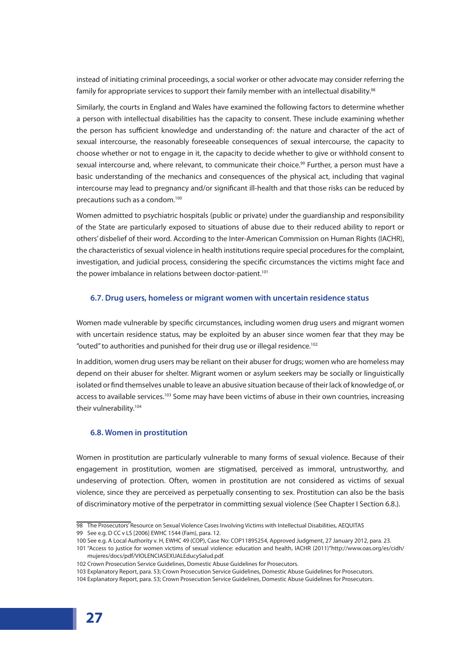instead of initiating criminal proceedings, a social worker or other advocate may consider referring the family for appropriate services to support their family member with an intellectual disability.<sup>98</sup>

Similarly, the courts in England and Wales have examined the following factors to determine whether a person with intellectual disabilities has the capacity to consent. These include examining whether the person has sufficient knowledge and understanding of: the nature and character of the act of sexual intercourse, the reasonably foreseeable consequences of sexual intercourse, the capacity to choose whether or not to engage in it, the capacity to decide whether to give or withhold consent to sexual intercourse and, where relevant, to communicate their choice.<sup>99</sup> Further, a person must have a basic understanding of the mechanics and consequences of the physical act, including that vaginal intercourse may lead to pregnancy and/or significant ill-health and that those risks can be reduced by precautions such as a condom.<sup>100</sup>

Women admitted to psychiatric hospitals (public or private) under the guardianship and responsibility of the State are particularly exposed to situations of abuse due to their reduced ability to report or others' disbelief of their word. According to the Inter-American Commission on Human Rights (IACHR), the characteristics of sexual violence in health institutions require special procedures for the complaint, investigation, and judicial process, considering the specific circumstances the victims might face and the power imbalance in relations between doctor-patient.<sup>101</sup>

#### **6.7. Drug users, homeless or migrant women with uncertain residence status**

Women made vulnerable by specific circumstances, including women drug users and migrant women with uncertain residence status, may be exploited by an abuser since women fear that they may be "outed" to authorities and punished for their drug use or illegal residence.<sup>102</sup>

In addition, women drug users may be reliant on their abuser for drugs; women who are homeless may depend on their abuser for shelter. Migrant women or asylum seekers may be socially or linguistically isolated or find themselves unable to leave an abusive situation because of their lack of knowledge of, or access to available services.<sup>103</sup> Some may have been victims of abuse in their own countries, increasing their vulnerability.<sup>104</sup>

#### **6.8. Women in prostitution**

Women in prostitution are particularly vulnerable to many forms of sexual violence. Because of their engagement in prostitution, women are stigmatised, perceived as immoral, untrustworthy, and undeserving of protection. Often, women in prostitution are not considered as victims of sexual violence, since they are perceived as perpetually consenting to sex. Prostitution can also be the basis of discriminatory motive of the perpetrator in committing sexual violence (See Chapter I Section 6.8.).

<sup>98</sup> The Prosecutors' Resource on Sexual Violence Cases Involving Victims with Intellectual Disabilities, AEQUITAS

<sup>99</sup> See e.g. D CC v LS [2006] EWHC 1544 (Fam), para. 12.

<sup>100</sup> See e.g. A Local Authority v. H, EWHC 49 (COP), Case No: COP11895254, Approved Judgment, 27 January 2012, para. 23.

<sup>101</sup> "Access to justice for women victims of sexual violence: education and health, IACHR (2011)"http://www.oas.org/es/cidh/ mujeres/docs/pdf/VIOLENCIASEXUALEducySalud.pdf.

<sup>102</sup> Crown Prosecution Service Guidelines, Domestic Abuse Guidelines for Prosecutors.

<sup>103</sup> Explanatory Report, para. 53; Crown Prosecution Service Guidelines, Domestic Abuse Guidelines for Prosecutors.

<sup>104</sup> Explanatory Report, para. 53; Crown Prosecution Service Guidelines, Domestic Abuse Guidelines for Prosecutors.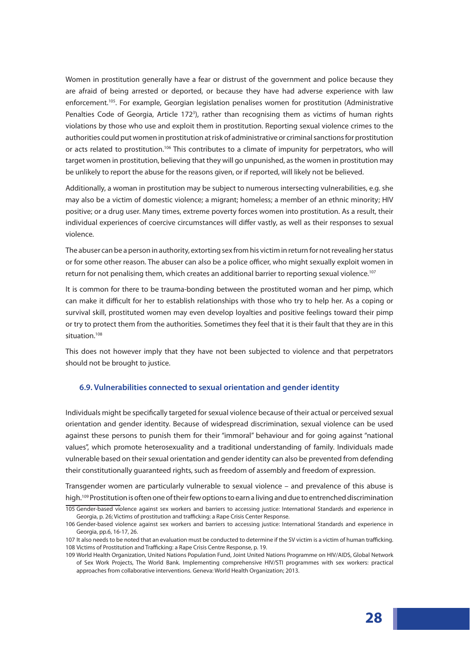Women in prostitution generally have a fear or distrust of the government and police because they are afraid of being arrested or deported, or because they have had adverse experience with law enforcement.<sup>105</sup>. For example, Georgian legislation penalises women for prostitution (Administrative Penalties Code of Georgia, Article 172<sup>3</sup>), rather than recognising them as victims of human rights violations by those who use and exploit them in prostitution. Reporting sexual violence crimes to the authorities could put women in prostitution at risk of administrative or criminal sanctions for prostitution or acts related to prostitution.<sup>106</sup> This contributes to a climate of impunity for perpetrators, who will target women in prostitution, believing that they will go unpunished, as the women in prostitution may be unlikely to report the abuse for the reasons given, or if reported, will likely not be believed.

Additionally, a woman in prostitution may be subject to numerous intersecting vulnerabilities, e.g. she may also be a victim of domestic violence; a migrant; homeless; a member of an ethnic minority; HIV positive; or a drug user. Many times, extreme poverty forces women into prostitution. As a result, their individual experiences of coercive circumstances will differ vastly, as well as their responses to sexual violence.

The abuser can be a person in authority, extorting sex from his victim in return for not revealing her status or for some other reason. The abuser can also be a police officer, who might sexually exploit women in return for not penalising them, which creates an additional barrier to reporting sexual violence.<sup>107</sup>

It is common for there to be trauma-bonding between the prostituted woman and her pimp, which can make it difficult for her to establish relationships with those who try to help her. As a coping or survival skill, prostituted women may even develop loyalties and positive feelings toward their pimp or try to protect them from the authorities. Sometimes they feel that it is their fault that they are in this situation.<sup>108</sup>

This does not however imply that they have not been subjected to violence and that perpetrators should not be brought to justice.

#### **6.9. Vulnerabilities connected to sexual orientation and gender identity**

Individuals might be specifically targeted for sexual violence because of their actual or perceived sexual orientation and gender identity. Because of widespread discrimination, sexual violence can be used against these persons to punish them for their "immoral" behaviour and for going against "national values", which promote heterosexuality and a traditional understanding of family. Individuals made vulnerable based on their sexual orientation and gender identity can also be prevented from defending their constitutionally guaranteed rights, such as freedom of assembly and freedom of expression.

Transgender women are particularly vulnerable to sexual violence – and prevalence of this abuse is high.109 Prostitution is often one of their few options to earn a living and due to entrenched discrimination

<sup>105</sup> Gender-based violence against sex workers and barriers to accessing justice: International Standards and experience in Georgia, p. 26; Victims of prostitution and trafficking: a Rape Crisis Center Response.

<sup>106</sup> Gender-based violence against sex workers and barriers to accessing justice: International Standards and experience in Georgia, pp.6, 16-17, 26.

<sup>107</sup> It also needs to be noted that an evaluation must be conducted to determine if the SV victim is a victim of human trafficking. 108 Victims of Prostitution and Trafficking: a Rape Crisis Centre Response, p. 19.

<sup>109</sup> World Health Organization, United Nations Population Fund, Joint United Nations Programme on HIV/AIDS, Global Network of Sex Work Projects, The World Bank. Implementing comprehensive HIV/STI programmes with sex workers: practical approaches from collaborative interventions. Geneva: World Health Organization; 2013.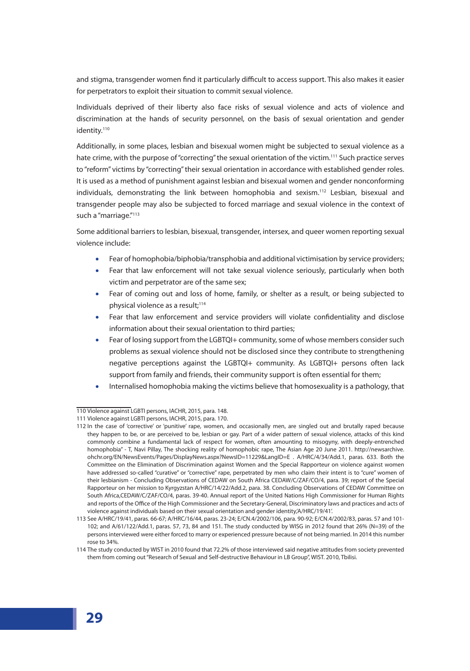and stigma, transgender women find it particularly difficult to access support. This also makes it easier for perpetrators to exploit their situation to commit sexual violence.

Individuals deprived of their liberty also face risks of sexual violence and acts of violence and discrimination at the hands of security personnel, on the basis of sexual orientation and gender identity.<sup>110</sup>

Additionally, in some places, lesbian and bisexual women might be subjected to sexual violence as a hate crime, with the purpose of "correcting" the sexual orientation of the victim.<sup>111</sup> Such practice serves to "reform" victims by "correcting" their sexual orientation in accordance with established gender roles. It is used as a method of punishment against lesbian and bisexual women and gender nonconforming individuals, demonstrating the link between homophobia and sexism.<sup>112</sup> Lesbian, bisexual and transgender people may also be subjected to forced marriage and sexual violence in the context of such a "marriage."<sup>113</sup>

Some additional barriers to lesbian, bisexual, transgender, intersex, and queer women reporting sexual violence include:

- Fear of homophobia/biphobia/transphobia and additional victimisation by service providers;
- Fear that law enforcement will not take sexual violence seriously, particularly when both victim and perpetrator are of the same sex;
- Fear of coming out and loss of home, family, or shelter as a result, or being subjected to physical violence as a result;<sup>114</sup>
- Fear that law enforcement and service providers will violate confidentiality and disclose information about their sexual orientation to third parties;
- Fear of losing support from the LGBTQI+ community, some of whose members consider such problems as sexual violence should not be disclosed since they contribute to strengthening negative perceptions against the LGBTQI+ community. As LGBTQI+ persons often lack support from family and friends, their community support is often essential for them;
- Internalised homophobia making the victims believe that homosexuality is a pathology, that

<sup>110</sup> Violence against LGBTI persons, IACHR, 2015, para. 148.

<sup>111</sup> Violence against LGBTI persons, IACHR, 2015, para. 170.

<sup>112</sup> In the case of 'corrective' or 'punitive' rape, women, and occasionally men, are singled out and brutally raped because they happen to be, or are perceived to be, lesbian or gay. Part of a wider pattern of sexual violence, attacks of this kind commonly combine a fundamental lack of respect for women, often amounting to misogyny, with deeply-entrenched homophobia" - T, Navi Pillay, The shocking reality of homophobic rape, The Asian Age 20 June 2011. http://newsarchive. ohchr.org/EN/NewsEvents/Pages/DisplayNews.aspx?NewsID=11229&LangID=E . A/HRC/4/34/Add.1, paras. 633. Both the Committee on the Elimination of Discrimination against Women and the Special Rapporteur on violence against women have addressed so-called "curative" or "corrective" rape, perpetrated by men who claim their intent is to "cure" women of their lesbianism - Concluding Observations of CEDAW on South Africa CEDAW/C/ZAF/CO/4, para. 39; report of the Special Rapporteur on her mission to Kyrgyzstan A/HRC/14/22/Add.2, para. 38. Concluding Observations of CEDAW Committee on South Africa,CEDAW/C/ZAF/CO/4, paras. 39-40. Annual report of the United Nations High Commissioner for Human Rights and reports of the Office of the High Commissioner and the Secretary-General, Discriminatory laws and practices and acts of violence against individuals based on their sexual orientation and gender identity,'A/HRC/19/41'.

<sup>113</sup> See A/HRC/19/41, paras. 66-67; A/HRC/16/44, paras. 23-24; E/CN.4/2002/106, para. 90-92; E/CN.4/2002/83, paras. 57 and 101- 102; and A/61/122/Add.1, paras. 57, 73, 84 and 151. The study conducted by WISG in 2012 found that 26% (N=39) of the persons interviewed were either forced to marry or experienced pressure because of not being married. In 2014 this number rose to 34%.

<sup>114</sup> The study conducted by WIST in 2010 found that 72.2% of those interviewed said negative attitudes from society prevented them from coming out "Research of Sexual and Self-destructive Behaviour in LB Group", WIST. 2010, Tbilisi.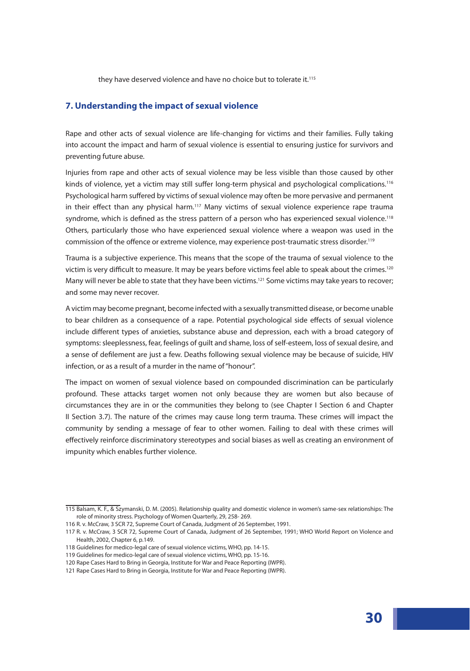they have deserved violence and have no choice but to tolerate it.<sup>115</sup>

# **7. Understanding the impact of sexual violence**

Rape and other acts of sexual violence are life-changing for victims and their families. Fully taking into account the impact and harm of sexual violence is essential to ensuring justice for survivors and preventing future abuse.

Injuries from rape and other acts of sexual violence may be less visible than those caused by other kinds of violence, yet a victim may still suffer long-term physical and psychological complications.<sup>116</sup> Psychological harm suffered by victims of sexual violence may often be more pervasive and permanent in their effect than any physical harm.117 Many victims of sexual violence experience rape trauma syndrome, which is defined as the stress pattern of a person who has experienced sexual violence.<sup>118</sup> Others, particularly those who have experienced sexual violence where a weapon was used in the commission of the offence or extreme violence, may experience post-traumatic stress disorder.119

Trauma is a subjective experience. This means that the scope of the trauma of sexual violence to the victim is very difficult to measure. It may be years before victims feel able to speak about the crimes.<sup>120</sup> Many will never be able to state that they have been victims.<sup>121</sup> Some victims may take years to recover; and some may never recover.

A victim may become pregnant, become infected with a sexually transmitted disease, or become unable to bear children as a consequence of a rape. Potential psychological side effects of sexual violence include different types of anxieties, substance abuse and depression, each with a broad category of symptoms: sleeplessness, fear, feelings of guilt and shame, loss of self-esteem, loss of sexual desire, and a sense of defilement are just a few. Deaths following sexual violence may be because of suicide, HIV infection, or as a result of a murder in the name of "honour".

The impact on women of sexual violence based on compounded discrimination can be particularly profound. These attacks target women not only because they are women but also because of circumstances they are in or the communities they belong to (see Chapter I Section 6 and Chapter II Section 3.7). The nature of the crimes may cause long term trauma. These crimes will impact the community by sending a message of fear to other women. Failing to deal with these crimes will effectively reinforce discriminatory stereotypes and social biases as well as creating an environment of impunity which enables further violence.

<sup>115</sup> Balsam, K. F., & Szymanski, D. M. (2005). Relationship quality and domestic violence in women's same-sex relationships: The role of minority stress. Psychology of Women Quarterly, 29, 258- 269.

<sup>116</sup> R. v. McCraw, 3 SCR 72, Supreme Court of Canada, Judgment of 26 September, 1991.

<sup>117</sup> R. v. McCraw, 3 SCR 72, Supreme Court of Canada, Judgment of 26 September, 1991; WHO World Report on Violence and Health, 2002, Chapter 6, p.149.

<sup>118</sup> Guidelines for medico-legal care of sexual violence victims, WHO, pp. 14-15.

<sup>119</sup> Guidelines for medico-legal care of sexual violence victims, WHO, pp. 15-16.

<sup>120</sup> Rape Cases Hard to Bring in Georgia, Institute for War and Peace Reporting (IWPR).

<sup>121</sup> Rape Cases Hard to Bring in Georgia, Institute for War and Peace Reporting (IWPR).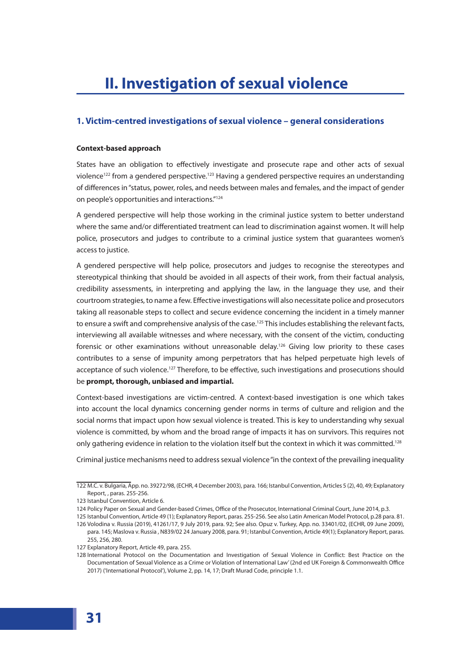# **1. Victim-centred investigations of sexual violence – general considerations**

### **Context-based approach**

States have an obligation to effectively investigate and prosecute rape and other acts of sexual violence<sup>122</sup> from a gendered perspective.<sup>123</sup> Having a gendered perspective requires an understanding of differences in "status, power, roles, and needs between males and females, and the impact of gender on people's opportunities and interactions."124

A gendered perspective will help those working in the criminal justice system to better understand where the same and/or differentiated treatment can lead to discrimination against women. It will help police, prosecutors and judges to contribute to a criminal justice system that guarantees women's access to justice.

A gendered perspective will help police, prosecutors and judges to recognise the stereotypes and stereotypical thinking that should be avoided in all aspects of their work, from their factual analysis, credibility assessments, in interpreting and applying the law, in the language they use, and their courtroom strategies, to name a few. Effective investigations will also necessitate police and prosecutors taking all reasonable steps to collect and secure evidence concerning the incident in a timely manner to ensure a swift and comprehensive analysis of the case.<sup>125</sup> This includes establishing the relevant facts, interviewing all available witnesses and where necessary, with the consent of the victim, conducting forensic or other examinations without unreasonable delay.<sup>126</sup> Giving low priority to these cases contributes to a sense of impunity among perpetrators that has helped perpetuate high levels of acceptance of such violence.<sup>127</sup> Therefore, to be effective, such investigations and prosecutions should be **prompt, thorough, unbiased and impartial.**

Context-based investigations are victim-centred. A context-based investigation is one which takes into account the local dynamics concerning gender norms in terms of culture and religion and the social norms that impact upon how sexual violence is treated. This is key to understanding why sexual violence is committed, by whom and the broad range of impacts it has on survivors. This requires not only gathering evidence in relation to the violation itself but the context in which it was committed.<sup>128</sup>

Criminal justice mechanisms need to address sexual violence "in the context of the prevailing inequality

<sup>122</sup> M.C. v. Bulgaria, App. no. 39272/98, (ECHR, 4 December 2003), para. 166; Istanbul Convention, Articles 5 (2), 40, 49; Explanatory Report, , paras. 255-256.

<sup>123</sup> Istanbul Convention, Article 6.

<sup>124</sup> Policy Paper on Sexual and Gender-based Crimes, Office of the Prosecutor, International Criminal Court, June 2014, p.3.

<sup>125</sup> Istanbul Convention, Article 49 (1); Explanatory Report, paras. 255-256. See also Latin American Model Protocol, p.28 para. 81.

<sup>126</sup> Volodina v. Russia (2019), 41261/17, 9 July 2019, para. 92; See also. Opuz v. Turkey, App. no. 33401/02, (ECHR, 09 June 2009), para. 145; Maslova v. Russia , N839/02 24 January 2008, para. 91; Istanbul Convention, Article 49(1); Explanatory Report, paras. 255, 256, 280.

<sup>127</sup> Explanatory Report, Article 49, para. 255.

<sup>128</sup> International Protocol on the Documentation and Investigation of Sexual Violence in Conflict: Best Practice on the Documentation of Sexual Violence as a Crime or Violation of International Law' (2nd ed UK Foreign & Commonwealth Office 2017) ('International Protocol'), Volume 2, pp. 14, 17; Draft Murad Code, principle 1.1.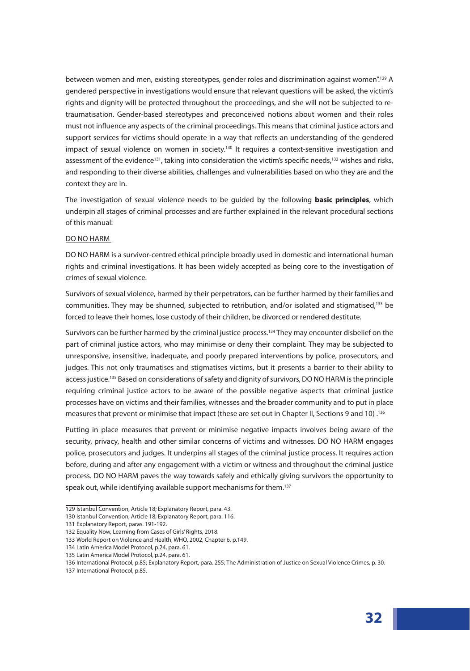between women and men, existing stereotypes, gender roles and discrimination against women".<sup>129</sup> A gendered perspective in investigations would ensure that relevant questions will be asked, the victim's rights and dignity will be protected throughout the proceedings, and she will not be subjected to retraumatisation. Gender-based stereotypes and preconceived notions about women and their roles must not influence any aspects of the criminal proceedings. This means that criminal justice actors and support services for victims should operate in a way that reflects an understanding of the gendered impact of sexual violence on women in society.<sup>130</sup> It requires a context-sensitive investigation and assessment of the evidence<sup>131</sup>, taking into consideration the victim's specific needs,<sup>132</sup> wishes and risks, and responding to their diverse abilities, challenges and vulnerabilities based on who they are and the context they are in.

The investigation of sexual violence needs to be guided by the following **basic principles**, which underpin all stages of criminal processes and are further explained in the relevant procedural sections of this manual:

#### DO NO HARM

DO NO HARM is a survivor-centred ethical principle broadly used in domestic and international human rights and criminal investigations. It has been widely accepted as being core to the investigation of crimes of sexual violence.

Survivors of sexual violence, harmed by their perpetrators, can be further harmed by their families and communities. They may be shunned, subjected to retribution, and/or isolated and stigmatised,<sup>133</sup> be forced to leave their homes, lose custody of their children, be divorced or rendered destitute.

Survivors can be further harmed by the criminal justice process.<sup>134</sup> They may encounter disbelief on the part of criminal justice actors, who may minimise or deny their complaint. They may be subjected to unresponsive, insensitive, inadequate, and poorly prepared interventions by police, prosecutors, and judges. This not only traumatises and stigmatises victims, but it presents a barrier to their ability to access justice.<sup>135</sup> Based on considerations of safety and dignity of survivors, DO NO HARM is the principle requiring criminal justice actors to be aware of the possible negative aspects that criminal justice processes have on victims and their families, witnesses and the broader community and to put in place <sup>136</sup>. (10 neasures that prevent or minimise that impact (these are set out in Chapter II, Sections 9 and 10)

Putting in place measures that prevent or minimise negative impacts involves being aware of the security, privacy, health and other similar concerns of victims and witnesses. DO NO HARM engages police, prosecutors and judges. It underpins all stages of the criminal justice process. It requires action before, during and after any engagement with a victim or witness and throughout the criminal justice process. DO NO HARM paves the way towards safely and ethically giving survivors the opportunity to speak out, while identifying available support mechanisms for them.<sup>137</sup>

<sup>129</sup> Istanbul Convention, Article 18; Explanatory Report, para. 43.

<sup>130</sup> Istanbul Convention, Article 18; Explanatory Report, para. 116.

<sup>131</sup> Explanatory Report, paras. 191-192.

<sup>132</sup> Equality Now, Learning from Cases of Girls' Rights, 2018.

<sup>133</sup> World Report on Violence and Health, WHO, 2002, Chapter 6, p.149.

<sup>134</sup> Latin America Model Protocol, p.24, para. 61.

<sup>135</sup> Latin America Model Protocol, p.24, para. 61.

<sup>136</sup> International Protocol, p.85; Explanatory Report, para. 255; The Administration of Justice on Sexual Violence Crimes, p. 30.

<sup>137</sup> International Protocol, p.85.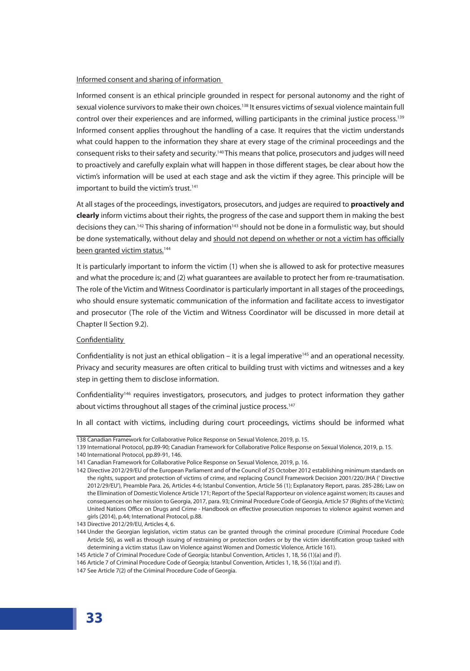### Informed consent and sharing of information

Informed consent is an ethical principle grounded in respect for personal autonomy and the right of sexual violence survivors to make their own choices.<sup>138</sup> It ensures victims of sexual violence maintain full control over their experiences and are informed, willing participants in the criminal justice process.<sup>139</sup> Informed consent applies throughout the handling of a case. It requires that the victim understands what could happen to the information they share at every stage of the criminal proceedings and the consequent risks to their safety and security.140 This means that police, prosecutors and judges will need to proactively and carefully explain what will happen in those different stages, be clear about how the victim's information will be used at each stage and ask the victim if they agree. This principle will be important to build the victim's trust.<sup>141</sup>

At all stages of the proceedings, investigators, prosecutors, and judges are required to **proactively and clearly** inform victims about their rights, the progress of the case and support them in making the best decisions they can.<sup>142</sup> This sharing of information<sup>143</sup> should not be done in a formulistic way, but should be done systematically, without delay and should not depend on whether or not a victim has officially been granted victim status.<sup>144</sup>

It is particularly important to inform the victim (1) when she is allowed to ask for protective measures and what the procedure is; and (2) what guarantees are available to protect her from re-traumatisation. The role of the Victim and Witness Coordinator is particularly important in all stages of the proceedings, who should ensure systematic communication of the information and facilitate access to investigator and prosecutor (The role of the Victim and Witness Coordinator will be discussed in more detail at Chapter II Section 9.2).

#### Confidentiality

Confidentiality is not just an ethical obligation – it is a legal imperative<sup>145</sup> and an operational necessity. Privacy and security measures are often critical to building trust with victims and witnesses and a key step in getting them to disclose information.

Confidentiality146 requires investigators, prosecutors, and judges to protect information they gather about victims throughout all stages of the criminal justice process.<sup>147</sup>

In all contact with victims, including during court proceedings, victims should be informed what

<sup>138</sup> Canadian Framework for Collaborative Police Response on Sexual Violence, 2019, p. 15.

<sup>139</sup> International Protocol, pp.89-90; Canadian Framework for Collaborative Police Response on Sexual Violence, 2019, p. 15.

<sup>140</sup> International Protocol, pp.89-91, 146.

<sup>141</sup> Canadian Framework for Collaborative Police Response on Sexual Violence, 2019, p. 16.

<sup>142</sup> Directive 2012/29/EU of the European Parliament and of the Council of 25 October 2012 establishing minimum standards on the rights, support and protection of victims of crime, and replacing Council Framework Decision 2001/220/JHA (' Directive 2012/29/EU'), Preamble Para. 26, Articles 4-6; Istanbul Convention, Article 56 (1); Explanatory Report, paras. 285-286; Law on the Elimination of Domestic Violence Article 171; Report of the Special Rapporteur on violence against women; its causes and consequences on her mission to Georgia, 2017, para. 93; Criminal Procedure Code of Georgia, Article 57 (Rights of the Victim); United Nations Office on Drugs and Crime - Handbook on effective prosecution responses to violence against women and girls (2014), p.44; International Protocol, p.88.

<sup>143</sup> Directive 2012/29/EU, Articles 4, 6.

<sup>144</sup> Under the Georgian legislation, victim status can be granted through the criminal procedure (Criminal Procedure Code Article 56), as well as through issuing of restraining or protection orders or by the victim identification group tasked with determining a victim status (Law on Violence against Women and Domestic Violence, Article 161).

<sup>145</sup> Article 7 of Criminal Procedure Code of Georgia; Istanbul Convention, Articles 1, 18, 56 (1)(a) and (f).

<sup>146</sup> Article 7 of Criminal Procedure Code of Georgia; Istanbul Convention, Articles 1, 18, 56 (1)(a) and (f).

<sup>147</sup> See Article 7(2) of the Criminal Procedure Code of Georgia.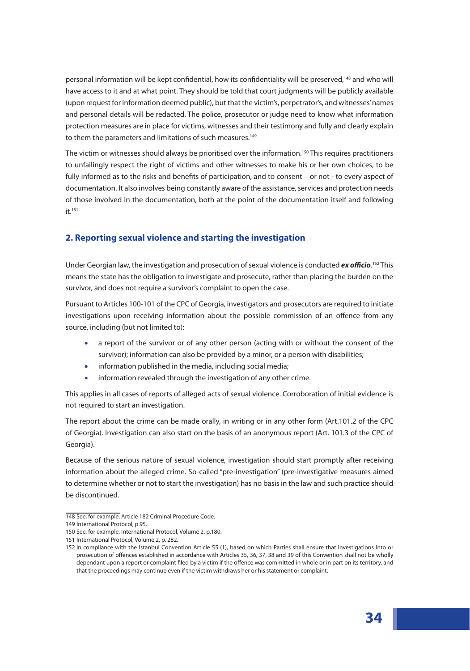personal information will be kept confidential, how its confidentiality will be preserved,<sup>148</sup> and who will have access to it and at what point. They should be told that court judgments will be publicly available (upon request for information deemed public), but that the victim's, perpetrator's, and witnesses' names and personal details will be redacted. The police, prosecutor or judge need to know what information protection measures are in place for victims, witnesses and their testimony and fully and clearly explain to them the parameters and limitations of such measures.<sup>149</sup>

The victim or witnesses should always be prioritised over the information.<sup>150</sup> This requires practitioners to unfailingly respect the right of victims and other witnesses to make his or her own choices, to be fully informed as to the risks and benefits of participation, and to consent – or not - to every aspect of documentation. It also involves being constantly aware of the assistance, services and protection needs of those involved in the documentation, both at the point of the documentation itself and following  $it$ <sup>151</sup>

# **2. Reporting sexual violence and starting the investigation**

Under Georgian law, the investigation and prosecution of sexual violence is conducted *ex officio*. 152 This means the state has the obligation to investigate and prosecute, rather than placing the burden on the survivor, and does not require a survivor's complaint to open the case.

Pursuant to Articles 100-101 of the CPC of Georgia, investigators and prosecutors are required to initiate investigations upon receiving information about the possible commission of an offence from any source, including (but not limited to):

- a report of the survivor or of any other person (acting with or without the consent of the survivor); information can also be provided by a minor, or a person with disabilities;
- information published in the media, including social media;
- information revealed through the investigation of any other crime.

This applies in all cases of reports of alleged acts of sexual violence. Corroboration of initial evidence is not required to start an investigation.

The report about the crime can be made orally, in writing or in any other form (Art.101.2 of the CPC of Georgia). Investigation can also start on the basis of an anonymous report (Art. 101.3 of the CPC of Georgia).

Because of the serious nature of sexual violence, investigation should start promptly after receiving information about the alleged crime. So-called "pre-investigation" (pre-investigative measures aimed to determine whether or not to start the investigation) has no basis in the law and such practice should be discontinued.

<sup>148</sup> See, for example, Article 182 Criminal Procedure Code.

<sup>149</sup> International Protocol, p.95.

<sup>150</sup> See, for example, International Protocol, Volume 2, p.180.

<sup>151</sup> International Protocol, Volume 2, p. 282.

<sup>152</sup> In compliance with the Istanbul Convention Article 55 (1), based on which Parties shall ensure that investigations into or prosecution of offences established in accordance with Articles 35, 36, 37, 38 and 39 of this Convention shall not be wholly dependant upon a report or complaint filed by a victim if the offence was committed in whole or in part on its territory, and that the proceedings may continue even if the victim withdraws her or his statement or complaint.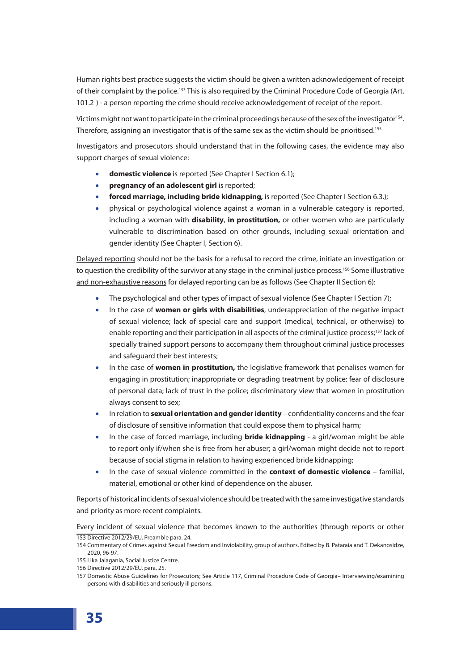Human rights best practice suggests the victim should be given a written acknowledgement of receipt of their complaint by the police.<sup>153</sup> This is also required by the Criminal Procedure Code of Georgia (Art. 101.21 ) - a person reporting the crime should receive acknowledgement of receipt of the report.

Victims might not want to participate in the criminal proceedings because of the sex of the investigator<sup>154</sup>. Therefore, assigning an investigator that is of the same sex as the victim should be prioritised.155

Investigators and prosecutors should understand that in the following cases, the evidence may also support charges of sexual violence:

- **domestic violence** is reported (See Chapter I Section 6.1);
- **pregnancy of an adolescent girl** is reported;
- **forced marriage, including bride kidnapping,** is reported (See Chapter I Section 6.3.);
- physical or psychological violence against a woman in a vulnerable category is reported, including a woman with **disability**, **in prostitution,** or other women who are particularly vulnerable to discrimination based on other grounds, including sexual orientation and gender identity (See Chapter I, Section 6).

Delayed reporting should not be the basis for a refusal to record the crime, initiate an investigation or to question the credibility of the survivor at any stage in the criminal justice process.<sup>156</sup> Some illustrative and non-exhaustive reasons for delayed reporting can be as follows (See Chapter II Section 6):

- The psychological and other types of impact of sexual violence (See Chapter I Section 7);
- In the case of **women or girls with disabilities**, underappreciation of the negative impact of sexual violence; lack of special care and support (medical, technical, or otherwise) to enable reporting and their participation in all aspects of the criminal justice process;<sup>157</sup> lack of specially trained support persons to accompany them throughout criminal justice processes and safeguard their best interests;
- In the case of **women in prostitution,** the legislative framework that penalises women for engaging in prostitution; inappropriate or degrading treatment by police; fear of disclosure of personal data; lack of trust in the police; discriminatory view that women in prostitution always consent to sex;
- In relation to **sexual orientation and gender identity** confidentiality concerns and the fear of disclosure of sensitive information that could expose them to physical harm;
- In the case of forced marriage, including **bride kidnapping** a girl/woman might be able to report only if/when she is free from her abuser; a girl/woman might decide not to report because of social stigma in relation to having experienced bride kidnapping;
- In the case of sexual violence committed in the **context of domestic violence** familial, material, emotional or other kind of dependence on the abuser.

Reports of historical incidents of sexual violence should be treated with the same investigative standards and priority as more recent complaints.

Every incident of sexual violence that becomes known to the authorities (through reports or other 153 Directive 2012/29/EU, Preamble para. 24.

<sup>154</sup> Commentary of Crimes against Sexual Freedom and Inviolability, group of authors, Edited by B. Pataraia and T. Dekanosidze, 2020, 96-97.

<sup>155</sup> Lika Jalagania, Social Justice Centre.

<sup>156</sup> Directive 2012/29/EU, para. 25.

<sup>157</sup> Domestic Abuse Guidelines for Prosecutors; See Article 117, Criminal Procedure Code of Georgia– Interviewing/examining persons with disabilities and seriously ill persons.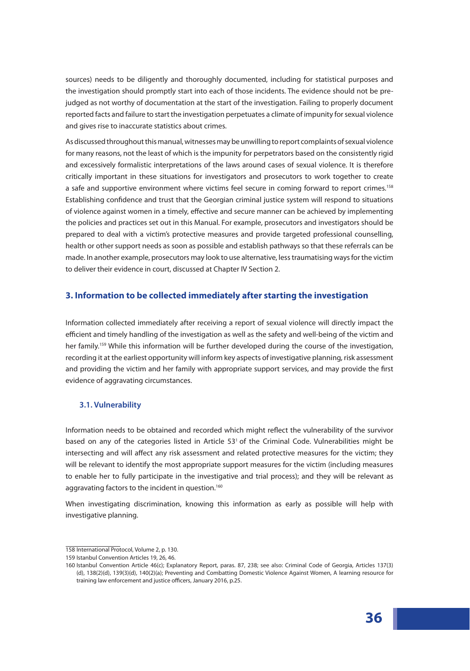sources) needs to be diligently and thoroughly documented, including for statistical purposes and the investigation should promptly start into each of those incidents. The evidence should not be prejudged as not worthy of documentation at the start of the investigation. Failing to properly document reported facts and failure to start the investigation perpetuates a climate of impunity for sexual violence and gives rise to inaccurate statistics about crimes.

As discussed throughout this manual, witnesses may be unwilling to report complaints of sexual violence for many reasons, not the least of which is the impunity for perpetrators based on the consistently rigid and excessively formalistic interpretations of the laws around cases of sexual violence. It is therefore critically important in these situations for investigators and prosecutors to work together to create a safe and supportive environment where victims feel secure in coming forward to report crimes.<sup>158</sup> Establishing confidence and trust that the Georgian criminal justice system will respond to situations of violence against women in a timely, effective and secure manner can be achieved by implementing the policies and practices set out in this Manual. For example, prosecutors and investigators should be prepared to deal with a victim's protective measures and provide targeted professional counselling, health or other support needs as soon as possible and establish pathways so that these referrals can be made. In another example, prosecutors may look to use alternative, less traumatising ways for the victim to deliver their evidence in court, discussed at Chapter IV Section 2.

# **3. Information to be collected immediately after starting the investigation**

Information collected immediately after receiving a report of sexual violence will directly impact the efficient and timely handling of the investigation as well as the safety and well-being of the victim and her family.<sup>159</sup> While this information will be further developed during the course of the investigation, recording it at the earliest opportunity will inform key aspects of investigative planning, risk assessment and providing the victim and her family with appropriate support services, and may provide the first evidence of aggravating circumstances.

### **3.1. Vulnerability**

Information needs to be obtained and recorded which might reflect the vulnerability of the survivor based on any of the categories listed in Article 53<sup>1</sup> of the Criminal Code. Vulnerabilities might be intersecting and will affect any risk assessment and related protective measures for the victim; they will be relevant to identify the most appropriate support measures for the victim (including measures to enable her to fully participate in the investigative and trial process); and they will be relevant as aggravating factors to the incident in question.<sup>160</sup>

When investigating discrimination, knowing this information as early as possible will help with investigative planning.

<sup>158</sup> International Protocol, Volume 2, p. 130.

<sup>159</sup> Istanbul Convention Articles 19, 26, 46.

<sup>160</sup> Istanbul Convention Article 46(c); Explanatory Report, paras. 87, 238; see also: Criminal Code of Georgia, Articles 137(3) (d), 138(2)(d), 139(3)(d), 140(2)(a); Preventing and Combatting Domestic Violence Against Women, A learning resource for training law enforcement and justice officers, January 2016, p.25.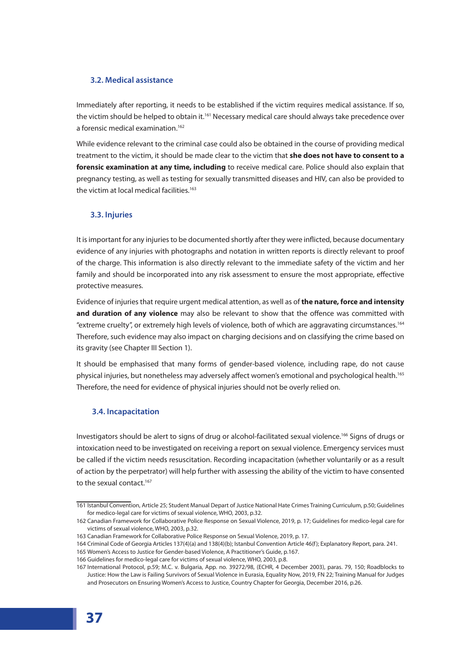# **3.2. Medical assistance**

Immediately after reporting, it needs to be established if the victim requires medical assistance. If so, the victim should be helped to obtain it.<sup>161</sup> Necessary medical care should always take precedence over a forensic medical examination.<sup>162</sup>

While evidence relevant to the criminal case could also be obtained in the course of providing medical treatment to the victim, it should be made clear to the victim that **she does not have to consent to a forensic examination at any time, including** to receive medical care. Police should also explain that pregnancy testing, as well as testing for sexually transmitted diseases and HIV, can also be provided to the victim at local medical facilities.<sup>163</sup>

# **3.3. Injuries**

It is important for any injuries to be documented shortly after they were inflicted, because documentary evidence of any injuries with photographs and notation in written reports is directly relevant to proof of the charge. This information is also directly relevant to the immediate safety of the victim and her family and should be incorporated into any risk assessment to ensure the most appropriate, effective protective measures.

Evidence of injuries that require urgent medical attention, as well as of **the nature, force and intensity and duration of any violence** may also be relevant to show that the offence was committed with "extreme cruelty", or extremely high levels of violence, both of which are aggravating circumstances.164 Therefore, such evidence may also impact on charging decisions and on classifying the crime based on its gravity (see Chapter III Section 1).

It should be emphasised that many forms of gender-based violence, including rape, do not cause physical injuries, but nonetheless may adversely affect women's emotional and psychological health.<sup>165</sup> Therefore, the need for evidence of physical injuries should not be overly relied on.

# **3.4. Incapacitation**

Investigators should be alert to signs of drug or alcohol-facilitated sexual violence.166 Signs of drugs or intoxication need to be investigated on receiving a report on sexual violence. Emergency services must be called if the victim needs resuscitation. Recording incapacitation (whether voluntarily or as a result of action by the perpetrator) will help further with assessing the ability of the victim to have consented to the sexual contact.<sup>167</sup>

<sup>161</sup> Istanbul Convention, Article 25; Student Manual Depart of Justice National Hate Crimes Training Curriculum, p.50; Guidelines for medico-legal care for victims of sexual violence, WHO, 2003, p.32.

<sup>162</sup> Canadian Framework for Collaborative Police Response on Sexual Violence, 2019, p. 17; Guidelines for medico-legal care for victims of sexual violence, WHO, 2003, p.32.

<sup>163</sup> Canadian Framework for Collaborative Police Response on Sexual Violence, 2019, p. 17.

<sup>164</sup> Criminal Code of Georgia Articles 137(4)(a) and 138(4)(b); Istanbul Convention Article 46(f); Explanatory Report, para. 241.

<sup>165</sup> Women's Access to Justice for Gender-based Violence, A Practitioner's Guide, p.167.

<sup>166</sup> Guidelines for medico-legal care for victims of sexual violence, WHO, 2003, p.8.

<sup>167</sup> International Protocol, p.59; M.C. v. Bulgaria, App. no. 39272/98, (ECHR, 4 December 2003), paras. 79, 150; Roadblocks to Justice: How the Law is Failing Survivors of Sexual Violence in Eurasia, Equality Now, 2019, FN 22; Training Manual for Judges and Prosecutors on Ensuring Women's Access to Justice, Country Chapter for Georgia, December 2016, p.26.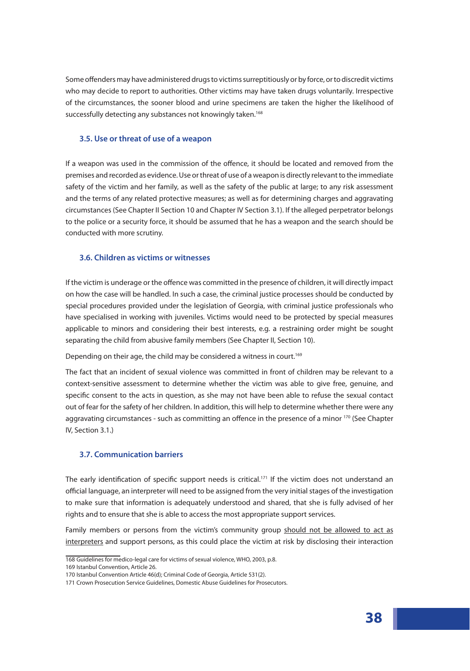Some offenders may have administered drugs to victims surreptitiously or by force, or to discredit victims who may decide to report to authorities. Other victims may have taken drugs voluntarily. Irrespective of the circumstances, the sooner blood and urine specimens are taken the higher the likelihood of successfully detecting any substances not knowingly taken.<sup>168</sup>

### **3.5. Use or threat of use of a weapon**

If a weapon was used in the commission of the offence, it should be located and removed from the premises and recorded as evidence. Use or threat of use of a weapon is directly relevant to the immediate safety of the victim and her family, as well as the safety of the public at large; to any risk assessment and the terms of any related protective measures; as well as for determining charges and aggravating circumstances (See Chapter II Section 10 and Chapter IV Section 3.1). If the alleged perpetrator belongs to the police or a security force, it should be assumed that he has a weapon and the search should be conducted with more scrutiny.

### **3.6. Children as victims or witnesses**

If the victim is underage or the offence was committed in the presence of children, it will directly impact on how the case will be handled. In such a case, the criminal justice processes should be conducted by special procedures provided under the legislation of Georgia, with criminal justice professionals who have specialised in working with juveniles. Victims would need to be protected by special measures applicable to minors and considering their best interests, e.g. a restraining order might be sought separating the child from abusive family members (See Chapter II, Section 10).

Depending on their age, the child may be considered a witness in court.<sup>169</sup>

The fact that an incident of sexual violence was committed in front of children may be relevant to a context-sensitive assessment to determine whether the victim was able to give free, genuine, and specific consent to the acts in question, as she may not have been able to refuse the sexual contact out of fear for the safety of her children. In addition, this will help to determine whether there were any aggravating circumstances - such as committing an offence in the presence of a minor 170 (See Chapter IV, Section 3.1.)

## **3.7. Communication barriers**

The early identification of specific support needs is critical.<sup>171</sup> If the victim does not understand an official language, an interpreter will need to be assigned from the very initial stages of the investigation to make sure that information is adequately understood and shared, that she is fully advised of her rights and to ensure that she is able to access the most appropriate support services.

Family members or persons from the victim's community group should not be allowed to act as interpreters and support persons, as this could place the victim at risk by disclosing their interaction

<sup>168</sup> Guidelines for medico-legal care for victims of sexual violence, WHO, 2003, p.8. 169 Istanbul Convention, Article 26.

<sup>170</sup> Istanbul Convention Article 46(d); Criminal Code of Georgia, Article 531(2).

<sup>171</sup> Crown Prosecution Service Guidelines, Domestic Abuse Guidelines for Prosecutors.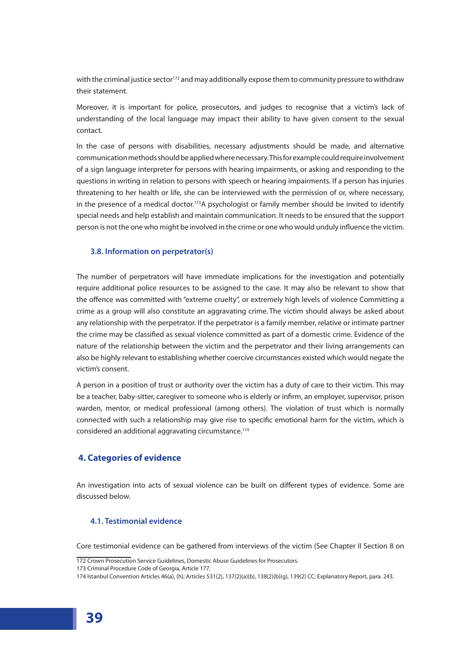with the criminal justice sector<sup>172</sup> and may additionally expose them to community pressure to withdraw their statement.

Moreover, it is important for police, prosecutors, and judges to recognise that a victim's lack of understanding of the local language may impact their ability to have given consent to the sexual contact.

In the case of persons with disabilities, necessary adjustments should be made, and alternative communication methods should be applied where necessary. This for example could require involvement of a sign language interpreter for persons with hearing impairments, or asking and responding to the questions in writing in relation to persons with speech or hearing impairments. If a person has injuries threatening to her health or life, she can be interviewed with the permission of or, where necessary, in the presence of a medical doctor.<sup>173</sup>A psychologist or family member should be invited to identify special needs and help establish and maintain communication. It needs to be ensured that the support person is not the one who might be involved in the crime or one who would unduly influence the victim.

### **3.8. Information on perpetrator(s)**

The number of perpetrators will have immediate implications for the investigation and potentially require additional police resources to be assigned to the case. It may also be relevant to show that the offence was committed with "extreme cruelty", or extremely high levels of violence Committing a crime as a group will also constitute an aggravating crime. The victim should always be asked about any relationship with the perpetrator. If the perpetrator is a family member, relative or intimate partner the crime may be classified as sexual violence committed as part of a domestic crime. Evidence of the nature of the relationship between the victim and the perpetrator and their living arrangements can also be highly relevant to establishing whether coercive circumstances existed which would negate the victim's consent.

A person in a position of trust or authority over the victim has a duty of care to their victim. This may be a teacher, baby-sitter, caregiver to someone who is elderly or infirm, an employer, supervisor, prison warden, mentor, or medical professional (among others). The violation of trust which is normally connected with such a relationship may give rise to specific emotional harm for the victim, which is considered an additional aggravating circumstance.174

# **4. Categories of evidence**

An investigation into acts of sexual violence can be built on different types of evidence. Some are discussed below.

# **4.1. Testimonial evidence**

Core testimonial evidence can be gathered from interviews of the victim (See Chapter II Section 8 on

<sup>172</sup> Crown Prosecution Service Guidelines, Domestic Abuse Guidelines for Prosecutors.

<sup>173</sup> Criminal Procedure Code of Georgia, Article 177.

<sup>174</sup> Istanbul Convention Articles 46(a), (h); Articles 531(2), 137(2)(a)(b), 138(2)(b)(g), 139(2) CC; Explanatory Report, para. 243.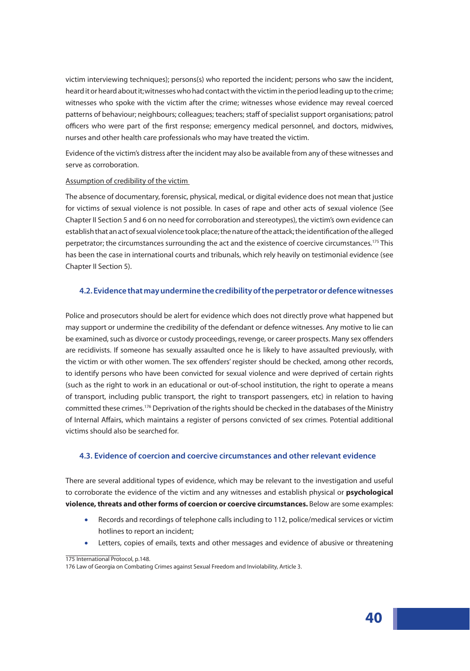victim interviewing techniques); persons(s) who reported the incident; persons who saw the incident, heard it or heard about it;witnesses who had contact with the victim in the period leading up to the crime; witnesses who spoke with the victim after the crime; witnesses whose evidence may reveal coerced patterns of behaviour; neighbours; colleagues; teachers; staff of specialist support organisations; patrol officers who were part of the first response; emergency medical personnel, and doctors, midwives, nurses and other health care professionals who may have treated the victim.

Evidence of the victim's distress after the incident may also be available from any of these witnesses and serve as corroboration.

### Assumption of credibility of the victim

The absence of documentary, forensic, physical, medical, or digital evidence does not mean that justice for victims of sexual violence is not possible. In cases of rape and other acts of sexual violence (See Chapter II Section 5 and 6 on no need for corroboration and stereotypes), the victim's own evidence can establish that an act of sexual violence took place; the nature of the attack; the identification of the alleged perpetrator; the circumstances surrounding the act and the existence of coercive circumstances.<sup>175</sup> This has been the case in international courts and tribunals, which rely heavily on testimonial evidence (see Chapter II Section 5).

### **4.2. Evidence that may undermine the credibility of the perpetrator or defence witnesses**

Police and prosecutors should be alert for evidence which does not directly prove what happened but may support or undermine the credibility of the defendant or defence witnesses. Any motive to lie can be examined, such as divorce or custody proceedings, revenge, or career prospects. Many sex offenders are recidivists. If someone has sexually assaulted once he is likely to have assaulted previously, with the victim or with other women. The sex offenders' register should be checked, among other records, to identify persons who have been convicted for sexual violence and were deprived of certain rights (such as the right to work in an educational or out-of-school institution, the right to operate a means of transport, including public transport, the right to transport passengers, etc) in relation to having committed these crimes.176 Deprivation of the rights should be checked in the databases of the Ministry of Internal Affairs, which maintains a register of persons convicted of sex crimes. Potential additional victims should also be searched for.

#### **4.3. Evidence of coercion and coercive circumstances and other relevant evidence**

There are several additional types of evidence, which may be relevant to the investigation and useful to corroborate the evidence of the victim and any witnesses and establish physical or **psychological violence, threats and other forms of coercion or coercive circumstances.** Below are some examples:

- Records and recordings of telephone calls including to 112, police/medical services or victim hotlines to report an incident;
- Letters, copies of emails, texts and other messages and evidence of abusive or threatening

<sup>175</sup> International Protocol, p.148.

<sup>176</sup> Law of Georgia on Combating Crimes against Sexual Freedom and Inviolability, Article 3.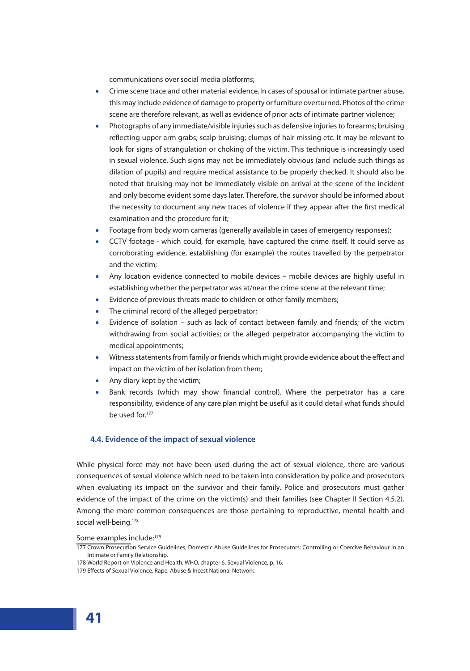communications over social media platforms;

- Crime scene trace and other material evidence. In cases of spousal or intimate partner abuse, this may include evidence of damage to property or furniture overturned. Photos of the crime scene are therefore relevant, as well as evidence of prior acts of intimate partner violence;
- Photographs of any immediate/visible injuries such as defensive injuries to forearms; bruising reflecting upper arm grabs; scalp bruising; clumps of hair missing etc. It may be relevant to look for signs of strangulation or choking of the victim. This technique is increasingly used in sexual violence. Such signs may not be immediately obvious (and include such things as dilation of pupils) and require medical assistance to be properly checked. It should also be noted that bruising may not be immediately visible on arrival at the scene of the incident and only become evident some days later. Therefore, the survivor should be informed about the necessity to document any new traces of violence if they appear after the first medical examination and the procedure for it;
- Footage from body worn cameras (generally available in cases of emergency responses);
- CCTV footage which could, for example, have captured the crime itself. It could serve as corroborating evidence, establishing (for example) the routes travelled by the perpetrator and the victim;
- Any location evidence connected to mobile devices mobile devices are highly useful in establishing whether the perpetrator was at/near the crime scene at the relevant time;
- Evidence of previous threats made to children or other family members;
- The criminal record of the alleged perpetrator;
- Evidence of isolation such as lack of contact between family and friends; of the victim withdrawing from social activities; or the alleged perpetrator accompanying the victim to medical appointments;
- Witness statements from family or friends which might provide evidence about the effect and impact on the victim of her isolation from them;
- Any diary kept by the victim;
- Bank records (which may show financial control). Where the perpetrator has a care responsibility, evidence of any care plan might be useful as it could detail what funds should be used for.<sup>177</sup>

# **4.4. Evidence of the impact of sexual violence**

While physical force may not have been used during the act of sexual violence, there are various consequences of sexual violence which need to be taken into consideration by police and prosecutors when evaluating its impact on the survivor and their family. Police and prosecutors must gather evidence of the impact of the crime on the victim(s) and their families (see Chapter II Section 4.5.2). Among the more common consequences are those pertaining to reproductive, mental health and social well-being.<sup>178</sup>

Some examples include:<sup>179</sup>

<sup>177</sup> Crown Prosecution Service Guidelines, Domestic Abuse Guidelines for Prosecutors: Controlling or Coercive Behaviour in an Intimate or Family Relationship.

<sup>178</sup> World Report on Violence and Health, WHO, chapter 6, Sexual Violence, p. 16.

<sup>179</sup> Effects of Sexual Violence, Rape, Abuse & Incest National Network.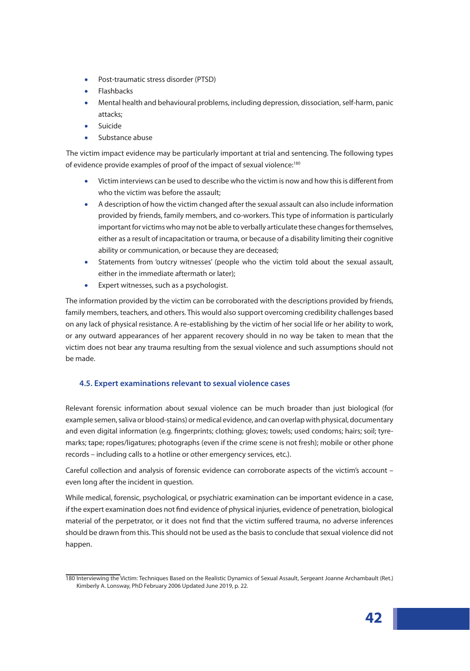- Post-traumatic stress disorder (PTSD)
- Flashbacks
- Mental health and behavioural problems, including depression, dissociation, self-harm, panic attacks;
- Suicide
- Substance abuse

The victim impact evidence may be particularly important at trial and sentencing. The following types of evidence provide examples of proof of the impact of sexual violence:<sup>180</sup>

- Victim interviews can be used to describe who the victim is now and how this is different from who the victim was before the assault;
- A description of how the victim changed after the sexual assault can also include information provided by friends, family members, and co-workers. This type of information is particularly important for victims who may not be able to verbally articulate these changes for themselves, either as a result of incapacitation or trauma, or because of a disability limiting their cognitive ability or communication, or because they are deceased;
- Statements from 'outcry witnesses' (people who the victim told about the sexual assault, either in the immediate aftermath or later);
- Expert witnesses, such as a psychologist.

The information provided by the victim can be corroborated with the descriptions provided by friends, family members, teachers, and others. This would also support overcoming credibility challenges based on any lack of physical resistance. A re-establishing by the victim of her social life or her ability to work, or any outward appearances of her apparent recovery should in no way be taken to mean that the victim does not bear any trauma resulting from the sexual violence and such assumptions should not be made.

# **4.5. Expert examinations relevant to sexual violence cases**

Relevant forensic information about sexual violence can be much broader than just biological (for example semen, saliva or blood-stains) or medical evidence, and can overlap with physical, documentary and even digital information (e.g. fingerprints; clothing; gloves; towels; used condoms; hairs; soil; tyremarks; tape; ropes/ligatures; photographs (even if the crime scene is not fresh); mobile or other phone records – including calls to a hotline or other emergency services, etc.).

Careful collection and analysis of forensic evidence can corroborate aspects of the victim's account – even long after the incident in question.

While medical, forensic, psychological, or psychiatric examination can be important evidence in a case, if the expert examination does not find evidence of physical injuries, evidence of penetration, biological material of the perpetrator, or it does not find that the victim suffered trauma, no adverse inferences should be drawn from this. This should not be used as the basis to conclude that sexual violence did not happen.

<sup>180</sup> Interviewing the Victim: Techniques Based on the Realistic Dynamics of Sexual Assault, Sergeant Joanne Archambault (Ret.) Kimberly A. Lonsway, PhD February 2006 Updated June 2019, p. 22.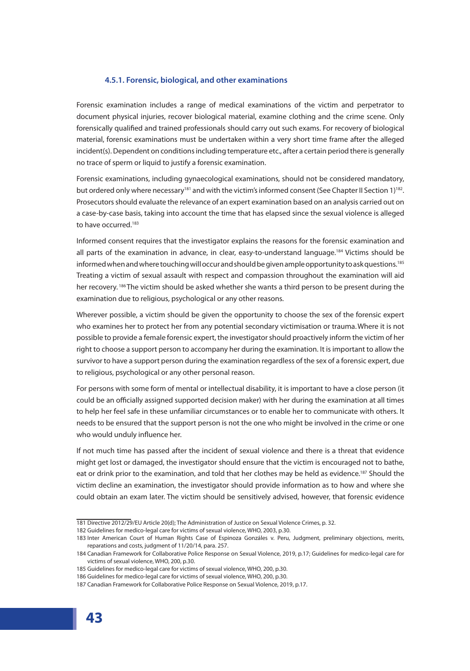### **4.5.1. Forensic, biological, and other examinations**

Forensic examination includes a range of medical examinations of the victim and perpetrator to document physical injuries, recover biological material, examine clothing and the crime scene. Only forensically qualified and trained professionals should carry out such exams. For recovery of biological material, forensic examinations must be undertaken within a very short time frame after the alleged incident(s). Dependent on conditions including temperature etc., after a certain period there is generally no trace of sperm or liquid to justify a forensic examination.

Forensic examinations, including gynaecological examinations, should not be considered mandatory, but ordered only where necessary<sup>181</sup> and with the victim's informed consent (See Chapter II Section 1)<sup>182</sup>. Prosecutors should evaluate the relevance of an expert examination based on an analysis carried out on a case-by-case basis, taking into account the time that has elapsed since the sexual violence is alleged to have occurred.<sup>183</sup>

Informed consent requires that the investigator explains the reasons for the forensic examination and all parts of the examination in advance, in clear, easy-to-understand language.<sup>184</sup> Victims should be informed when and where touching will occur and should be given ample opportunity to ask questions. $^{185}$ Treating a victim of sexual assault with respect and compassion throughout the examination will aid her recovery. <sup>186</sup> The victim should be asked whether she wants a third person to be present during the examination due to religious, psychological or any other reasons.

Wherever possible, a victim should be given the opportunity to choose the sex of the forensic expert who examines her to protect her from any potential secondary victimisation or trauma.Where it is not possible to provide a female forensic expert, the investigator should proactively inform the victim of her right to choose a support person to accompany her during the examination. It is important to allow the survivor to have a support person during the examination regardless of the sex of a forensic expert, due to religious, psychological or any other personal reason.

For persons with some form of mental or intellectual disability, it is important to have a close person (it could be an officially assigned supported decision maker) with her during the examination at all times to help her feel safe in these unfamiliar circumstances or to enable her to communicate with others. It needs to be ensured that the support person is not the one who might be involved in the crime or one who would unduly influence her.

If not much time has passed after the incident of sexual violence and there is a threat that evidence might get lost or damaged, the investigator should ensure that the victim is encouraged not to bathe, eat or drink prior to the examination, and told that her clothes may be held as evidence.<sup>187</sup> Should the victim decline an examination, the investigator should provide information as to how and where she could obtain an exam later. The victim should be sensitively advised, however, that forensic evidence

<sup>181</sup> Directive 2012/29/EU Article 20(d); The Administration of Justice on Sexual Violence Crimes, p. 32.

<sup>182</sup> Guidelines for medico-legal care for victims of sexual violence, WHO, 2003, p.30.

<sup>183</sup> Inter American Court of Human Rights Case of Espinoza Gonzáles v. Peru, Judgment, preliminary objections, merits, reparations and costs, judgment of 11/20/14, para. 257.

<sup>184</sup> Canadian Framework for Collaborative Police Response on Sexual Violence, 2019, p.17; Guidelines for medico-legal care for victims of sexual violence, WHO, 200, p.30.

<sup>185</sup> Guidelines for medico-legal care for victims of sexual violence, WHO, 200, p.30.

<sup>186</sup> Guidelines for medico-legal care for victims of sexual violence, WHO, 200, p.30.

<sup>187</sup> Canadian Framework for Collaborative Police Response on Sexual Violence, 2019, p.17.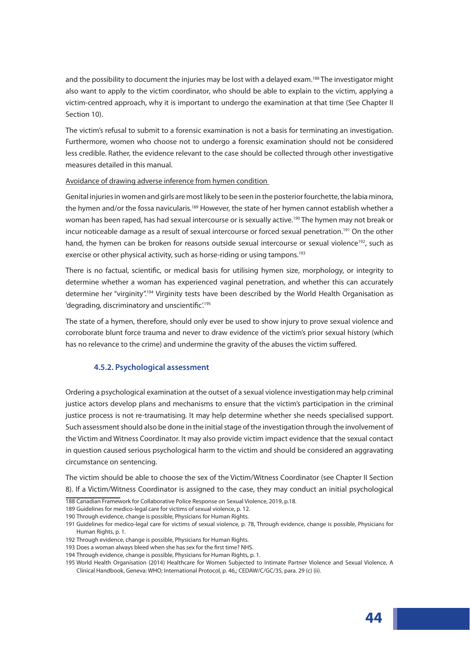and the possibility to document the injuries may be lost with a delayed exam.<sup>188</sup> The investigator might also want to apply to the victim coordinator, who should be able to explain to the victim, applying a victim-centred approach, why it is important to undergo the examination at that time (See Chapter II Section 10).

The victim's refusal to submit to a forensic examination is not a basis for terminating an investigation. Furthermore, women who choose not to undergo a forensic examination should not be considered less credible. Rather, the evidence relevant to the case should be collected through other investigative measures detailed in this manual.

### Avoidance of drawing adverse inference from hymen condition

Genital injuries in women and girls are most likely to be seen in the posterior fourchette, the labia minora, the hymen and/or the fossa navicularis.<sup>189</sup> However, the state of her hymen cannot establish whether a woman has been raped, has had sexual intercourse or is sexually active.<sup>190</sup> The hymen may not break or incur noticeable damage as a result of sexual intercourse or forced sexual penetration.<sup>191</sup> On the other hand, the hymen can be broken for reasons outside sexual intercourse or sexual violence<sup>192</sup>, such as exercise or other physical activity, such as horse-riding or using tampons.<sup>193</sup>

There is no factual, scientific, or medical basis for utilising hymen size, morphology, or integrity to determine whether a woman has experienced vaginal penetration, and whether this can accurately determine her "virginity".<sup>194</sup> Virginity tests have been described by the World Health Organisation as 'degrading, discriminatory and unscientific<sup>'195</sup>

The state of a hymen, therefore, should only ever be used to show injury to prove sexual violence and corroborate blunt force trauma and never to draw evidence of the victim's prior sexual history (which has no relevance to the crime) and undermine the gravity of the abuses the victim suffered.

#### **4.5.2. Psychological assessment**

Ordering a psychological examination at the outset of a sexual violence investigationmay help criminal justice actors develop plans and mechanisms to ensure that the victim's participation in the criminal justice process is not re-traumatising. It may help determine whether she needs specialised support. Such assessment should also be done in the initial stage of the investigation through the involvement of the Victim and Witness Coordinator. It may also provide victim impact evidence that the sexual contact in question caused serious psychological harm to the victim and should be considered an aggravating circumstance on sentencing.

The victim should be able to choose the sex of the Victim/Witness Coordinator (see Chapter II Section 8). If a Victim/Witness Coordinator is assigned to the case, they may conduct an initial psychological

- 188 Canadian Framework for Collaborative Police Response on Sexual Violence, 2019, p.18.
- 189 Guidelines for medico-legal care for victims of sexual violence, p. 12.
- 190 Through evidence, change is possible, Physicians for Human Rights.

- 192 Through evidence, change is possible, Physicians for Human Rights.
- 193 Does a woman always bleed when she has sex for the first time? NHS.
- 194 Through evidence, change is possible, Physicians for Human Rights, p. 1.

<sup>191</sup> Guidelines for medico-legal care for victims of sexual violence, p. 78, Through evidence, change is possible, Physicians for Human Rights, p. 1.

<sup>195</sup> World Health Organisation (2014) Healthcare for Women Subjected to Intimate Partner Violence and Sexual Violence, A Clinical Handbook, Geneva: WHO; International Protocol, p. 46,; CEDAW/C/GC/35, para. 29 (c) (ii).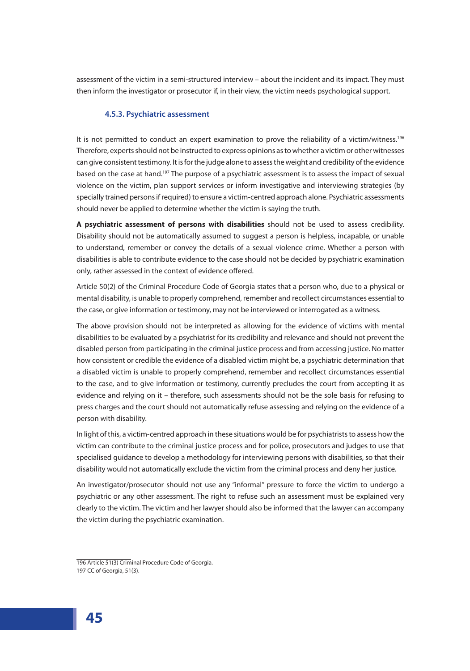assessment of the victim in a semi-structured interview – about the incident and its impact. They must then inform the investigator or prosecutor if, in their view, the victim needs psychological support.

### **4.5.3. Psychiatric assessment**

It is not permitted to conduct an expert examination to prove the reliability of a victim/witness.<sup>196</sup> Therefore, experts should not be instructed to express opinions as to whether a victim or other witnesses can give consistent testimony. It is for the judge alone to assess the weight and credibility of the evidence based on the case at hand.<sup>197</sup> The purpose of a psychiatric assessment is to assess the impact of sexual violence on the victim, plan support services or inform investigative and interviewing strategies (by specially trained persons if required) to ensure a victim-centred approach alone. Psychiatric assessments should never be applied to determine whether the victim is saying the truth.

**A psychiatric assessment of persons with disabilities** should not be used to assess credibility. Disability should not be automatically assumed to suggest a person is helpless, incapable, or unable to understand, remember or convey the details of a sexual violence crime. Whether a person with disabilities is able to contribute evidence to the case should not be decided by psychiatric examination only, rather assessed in the context of evidence offered.

Article 50(2) of the Criminal Procedure Code of Georgia states that a person who, due to a physical or mental disability, is unable to properly comprehend, remember and recollect circumstances essential to the case, or give information or testimony, may not be interviewed or interrogated as a witness.

The above provision should not be interpreted as allowing for the evidence of victims with mental disabilities to be evaluated by a psychiatrist for its credibility and relevance and should not prevent the disabled person from participating in the criminal justice process and from accessing justice. No matter how consistent or credible the evidence of a disabled victim might be, a psychiatric determination that a disabled victim is unable to properly comprehend, remember and recollect circumstances essential to the case, and to give information or testimony, currently precludes the court from accepting it as evidence and relying on it – therefore, such assessments should not be the sole basis for refusing to press charges and the court should not automatically refuse assessing and relying on the evidence of a person with disability.

In light of this, a victim-centred approach in these situations would be for psychiatrists to assess how the victim can contribute to the criminal justice process and for police, prosecutors and judges to use that specialised guidance to develop a methodology for interviewing persons with disabilities, so that their disability would not automatically exclude the victim from the criminal process and deny her justice.

An investigator/prosecutor should not use any "informal" pressure to force the victim to undergo a psychiatric or any other assessment. The right to refuse such an assessment must be explained very clearly to the victim. The victim and her lawyer should also be informed that the lawyer can accompany the victim during the psychiatric examination.

<sup>196</sup> Article 51(3) Criminal Procedure Code of Georgia. 197 CC of Georgia, 51(3).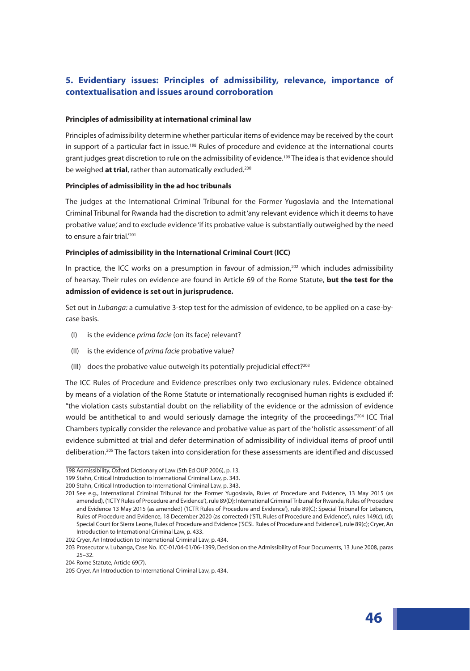# **5. Evidentiary issues: Principles of admissibility, relevance, importance of contextualisation and issues around corroboration**

### **Principles of admissibility at international criminal law**

Principles of admissibility determine whether particular items of evidence may be received by the court in support of a particular fact in issue.<sup>198</sup> Rules of procedure and evidence at the international courts grant judges great discretion to rule on the admissibility of evidence.<sup>199</sup> The idea is that evidence should be weighed **at trial**, rather than automatically excluded.<sup>200</sup>

### **Principles of admissibility in the ad hoc tribunals**

The judges at the International Criminal Tribunal for the Former Yugoslavia and the International Criminal Tribunal for Rwanda had the discretion to admit 'any relevant evidence which it deems to have probative value,' and to exclude evidence 'if its probative value is substantially outweighed by the need to ensure a fair trial.<sup>'201</sup>

### **Principles of admissibility in the International Criminal Court (ICC)**

In practice, the ICC works on a presumption in favour of admission,<sup>202</sup> which includes admissibility of hearsay. Their rules on evidence are found in Article 69 of the Rome Statute, **but the test for the admission of evidence is set out in jurisprudence.** 

Set out in *Lubanga:* a cumulative 3-step test for the admission of evidence, to be applied on a case-bycase basis.

- (I) is the evidence *prima facie* (on its face) relevant?
- (II) is the evidence of *prima facie* probative value?
- (III) does the probative value outweigh its potentially prejudicial effect?<sup>203</sup>

The ICC Rules of Procedure and Evidence prescribes only two exclusionary rules. Evidence obtained by means of a violation of the Rome Statute or internationally recognised human rights is excluded if: "the violation casts substantial doubt on the reliability of the evidence or the admission of evidence would be antithetical to and would seriously damage the integrity of the proceedings."204 ICC Trial Chambers typically consider the relevance and probative value as part of the 'holistic assessment' of all evidence submitted at trial and defer determination of admissibility of individual items of proof until deliberation.205 The factors taken into consideration for these assessments are identified and discussed

<sup>198</sup> Admissibility, Oxford Dictionary of Law (5th Ed OUP 2006), p. 13.

<sup>199</sup> Stahn, Critical Introduction to International Criminal Law, p. 343.

<sup>200</sup> Stahn, Critical Introduction to International Criminal Law, p. 343.

<sup>201</sup> See e.g., International Criminal Tribunal for the Former Yugoslavia, Rules of Procedure and Evidence, 13 May 2015 (as amended), ('ICTY Rules of Procedure and Evidence'), rule 89(D); International Criminal Tribunal for Rwanda, Rules of Procedure and Evidence 13 May 2015 (as amended) ('ICTR Rules of Procedure and Evidence'), rule 89(C); Special Tribunal for Lebanon, Rules of Procedure and Evidence, 18 December 2020 (as corrected) ('STL Rules of Procedure and Evidence'), rules 149(c), (d); Special Court for Sierra Leone, Rules of Procedure and Evidence ('SCSL Rules of Procedure and Evidence'), rule 89(c); Cryer, An Introduction to International Criminal Law, p. 433.

<sup>202</sup> Cryer, An Introduction to International Criminal Law, p. 434.

<sup>203</sup> Prosecutor v. Lubanga, Case No. ICC-01/04-01/06-1399, Decision on the Admissibility of Four Documents, 13 June 2008, paras 25–32.

<sup>204</sup> Rome Statute, Article 69(7).

<sup>205</sup> Cryer, An Introduction to International Criminal Law, p. 434.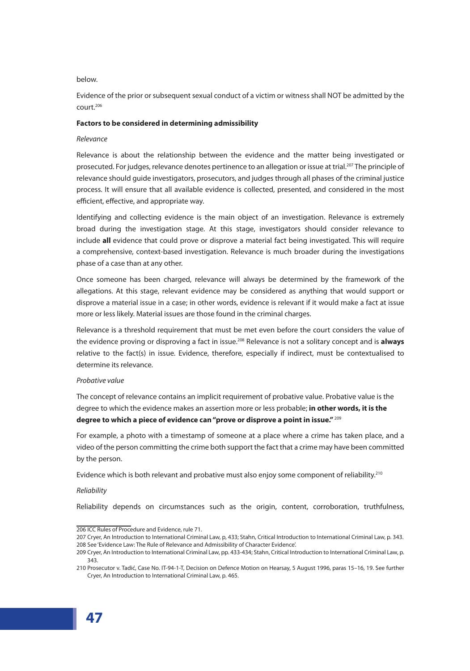### below.

Evidence of the prior or subsequent sexual conduct of a victim or witness shall NOT be admitted by the court.206

### **Factors to be considered in determining admissibility**

### *Relevance*

Relevance is about the relationship between the evidence and the matter being investigated or prosecuted. For judges, relevance denotes pertinence to an allegation or issue at trial.<sup>207</sup> The principle of relevance should guide investigators, prosecutors, and judges through all phases of the criminal justice process. It will ensure that all available evidence is collected, presented, and considered in the most efficient, effective, and appropriate way.

Identifying and collecting evidence is the main object of an investigation. Relevance is extremely broad during the investigation stage. At this stage, investigators should consider relevance to include **all** evidence that could prove or disprove a material fact being investigated. This will require a comprehensive, context-based investigation. Relevance is much broader during the investigations phase of a case than at any other.

Once someone has been charged, relevance will always be determined by the framework of the allegations. At this stage, relevant evidence may be considered as anything that would support or disprove a material issue in a case; in other words, evidence is relevant if it would make a fact at issue more or less likely. Material issues are those found in the criminal charges.

Relevance is a threshold requirement that must be met even before the court considers the value of the evidence proving or disproving a fact in issue.208 Relevance is not a solitary concept and is **always** relative to the fact(s) in issue. Evidence, therefore, especially if indirect, must be contextualised to determine its relevance.

#### *Probative value*

The concept of relevance contains an implicit requirement of probative value. Probative value is the degree to which the evidence makes an assertion more or less probable; **in other words, it is the degree to which a piece of evidence can "prove or disprove a point in issue."** <sup>209</sup>

For example, a photo with a timestamp of someone at a place where a crime has taken place, and a video of the person committing the crime both support the fact that a crime may have been committed by the person.

Evidence which is both relevant and probative must also enjoy some component of reliability.<sup>210</sup>

#### *Reliability*

Reliability depends on circumstances such as the origin, content, corroboration, truthfulness,

<sup>206</sup> ICC Rules of Procedure and Evidence, rule 71.

<sup>207</sup> Cryer, An Introduction to International Criminal Law, p, 433; Stahn, Critical Introduction to International Criminal Law, p. 343. 208 See 'Evidence Law: The Rule of Relevance and Admissibility of Character Evidence'.

<sup>209</sup> Cryer, An Introduction to International Criminal Law, pp. 433-434; Stahn, Critical Introduction to International Criminal Law, p. 343.

<sup>210</sup> Prosecutor v. Tadić, Case No. IT-94-1-T, Decision on Defence Motion on Hearsay, 5 August 1996, paras 15–16, 19. See further Cryer, An Introduction to International Criminal Law, p. 465.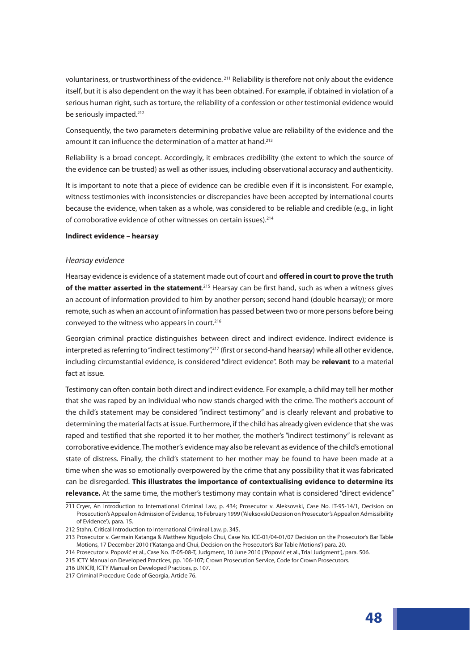voluntariness, or trustworthiness of the evidence.<sup>211</sup> Reliability is therefore not only about the evidence itself, but it is also dependent on the way it has been obtained. For example, if obtained in violation of a serious human right, such as torture, the reliability of a confession or other testimonial evidence would be seriously impacted.<sup>212</sup>

Consequently, the two parameters determining probative value are reliability of the evidence and the amount it can influence the determination of a matter at hand.<sup>213</sup>

Reliability is a broad concept. Accordingly, it embraces credibility (the extent to which the source of the evidence can be trusted) as well as other issues, including observational accuracy and authenticity.

It is important to note that a piece of evidence can be credible even if it is inconsistent. For example, witness testimonies with inconsistencies or discrepancies have been accepted by international courts because the evidence, when taken as a whole, was considered to be reliable and credible (e.g., in light of corroborative evidence of other witnesses on certain issues).<sup>214</sup>

#### **Indirect evidence – hearsay**

#### *Hearsay evidence*

Hearsay evidence is evidence of a statement made out of court and **offered in court to prove the truth of the matter asserted in the statement**.<sup>215</sup> Hearsay can be first hand, such as when a witness gives an account of information provided to him by another person; second hand (double hearsay); or more remote, such as when an account of information has passed between two or more persons before being conveyed to the witness who appears in court.<sup>216</sup>

Georgian criminal practice distinguishes between direct and indirect evidence. Indirect evidence is interpreted as referring to "indirect testimony",<sup>217</sup> (first or second-hand hearsay) while all other evidence, including circumstantial evidence, is considered "direct evidence". Both may be **relevant** to a material fact at issue.

Testimony can often contain both direct and indirect evidence. For example, a child may tell her mother that she was raped by an individual who now stands charged with the crime. The mother's account of the child's statement may be considered "indirect testimony" and is clearly relevant and probative to determining the material facts at issue. Furthermore, if the child has already given evidence that she was raped and testified that she reported it to her mother, the mother's "indirect testimony" is relevant as corroborative evidence. The mother's evidence may also be relevant as evidence of the child's emotional state of distress. Finally, the child's statement to her mother may be found to have been made at a time when she was so emotionally overpowered by the crime that any possibility that it was fabricated can be disregarded. **This illustrates the importance of contextualising evidence to determine its relevance.** At the same time, the mother's testimony may contain what is considered "direct evidence"

<sup>211</sup> Cryer, An Introduction to International Criminal Law, p. 434; Prosecutor v. Aleksovski, Case No. IT-95-14/1, Decision on Prosecution's Appeal on Admission of Evidence, 16 February 1999 ('Aleksovski Decision on Prosecutor's Appeal on Admissibility of Evidence'), para. 15.

<sup>212</sup> Stahn, Critical Introduction to International Criminal Law, p. 345.

<sup>213</sup> Prosecutor v. Germain Katanga & Matthew Ngudjolo Chui, Case No. ICC-01/04-01/07 Decision on the Prosecutor's Bar Table Motions, 17 December 2010 ('Katanga and Chui, Decision on the Prosecutor's Bar Table Motions') para. 20.

<sup>214</sup> Prosecutor v. Popović et al., Case No. IT-05-08-T, Judgment, 10 June 2010 ('Popović et al., Trial Judgment'), para. 506.

<sup>215</sup> ICTY Manual on Developed Practices, pp. 106-107; Crown Prosecution Service, Code for Crown Prosecutors.

<sup>216</sup> UNICRI, ICTY Manual on Developed Practices, p. 107.

<sup>217</sup> Criminal Procedure Code of Georgia, Article 76.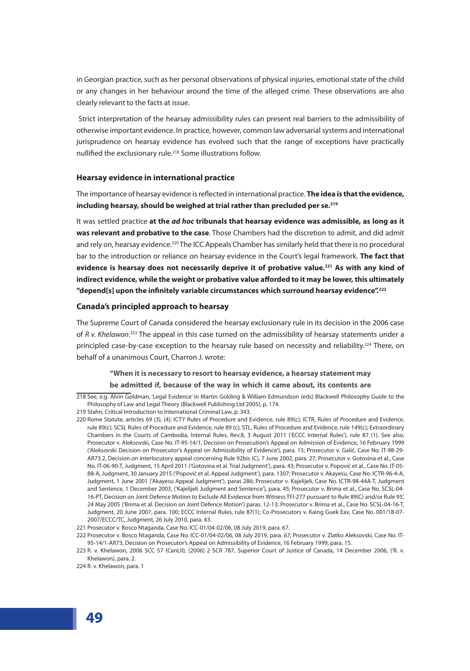in Georgian practice, such as her personal observations of physical injuries, emotional state of the child or any changes in her behaviour around the time of the alleged crime. These observations are also clearly relevant to the facts at issue.

 Strict interpretation of the hearsay admissibility rules can present real barriers to the admissibility of otherwise important evidence. In practice, however, common law adversarial systems and international jurisprudence on hearsay evidence has evolved such that the range of exceptions have practically nullified the exclusionary rule.<sup>218</sup> Some illustrations follow.

## **Hearsay evidence in international practice**

The importance of hearsay evidence is reflected in international practice. **The idea is that the evidence, including hearsay, should be weighed at trial rather than precluded per se.219**

It was settled practice **at the** *ad hoc* **tribunals that hearsay evidence was admissible, as long as it was relevant and probative to the case**. Those Chambers had the discretion to admit, and did admit and rely on, hearsay evidence.<sup>220</sup> The ICC Appeals Chamber has similarly held that there is no procedural bar to the introduction or reliance on hearsay evidence in the Court's legal framework. **The fact that**  evidence is hearsay does not necessarily deprive it of probative value.<sup>221</sup> As with any kind of **indirect evidence, while the weight or probative value afforded to it may be lower, this ultimately "depend[s] upon the infinitely variable circumstances which surround hearsay evidence".222**

### **Canada's principled approach to hearsay**

The Supreme Court of Canada considered the hearsay exclusionary rule in its decision in the 2006 case of *R v. Khelawon*. 223 The appeal in this case turned on the admissibility of hearsay statements under a principled case-by-case exception to the hearsay rule based on necessity and reliability.<sup>224</sup> There, on behalf of a unanimous Court, Charron J. wrote:

# **"When it is necessary to resort to hearsay evidence, a hearsay statement may**

# **be admitted if, because of the way in which it came about, its contents are**

<sup>218</sup> See, e.g. Alvin Goldman, 'Legal Evidence' in Martin Golding & William Edmundson (eds) Blackwell Philosophy Guide to the Philosophy of Law and Legal Theory (Blackwell Publishing Ltd 2005), p. 174.

<sup>219</sup> Stahn, Critical Introduction to International Criminal Law, p. 343.

<sup>220</sup> Rome Statute, articles 69 (3), (4); ICTY Rules of Procedure and Evidence, rule 89(c); ICTR, Rules of Procedure and Evidence, rule 89(c); SCSL Rules of Procedure and Evidence, rule 89 (c); STL, Rules of Procedure and Evidence, rule 149(c); Extraordinary Chambers in the Courts of Cambodia, Internal Rules, Rev.8, 3 August 2011 ('ECCC Internal Rules'), rule 87 (1). See also, Prosecutor v. Aleksovski, Case No. IT-95-14/1, Decision on Prosecution's Appeal on Admission of Evidence, 16 February 1999 ('Aleksovski Decision on Prosecutor's Appeal on Admissibility of Evidence'), para. 15; Prosecutor v. Galić, Case No. IT-98-29- AR73.2, Decision on interlocutory appeal concerning Rule 92bis (C), 7 June 2002, para. 27; Prosecutor v. Gotovina et al., Case No. IT-06-90-T, Judgment, 15 April 2011 ('Gotovina et al. Trial Judgment'), para. 43; Prosecutor v. Popović et al., Case No. IT-05- 88-A, Judgment, 30 January 2015 ('Popović et al. Appeal Judgment'), para. 1307; Prosecutor v. Akayesu, Case No. ICTR-96-4-A, Judgment, 1 June 2001 ('Akayesu Appeal Judgment'), paras 286; Prosecutor v. Kajelijeli, Case No. ICTR-98-44A-T, Judgment and Sentence, 1 December 2003, ('Kajelijeli Judgment and Sentence'), para. 45; Prosecutor v. Brima et al., Case No. SCSL-04- 16-PT, Decision on Joint Defence Motion to Exclude All Evidence from Witness TFI-277 pursuant to Rule 89(C) and/or Rule 95', 24 May 2005 ('Brima et al. Decision on Joint Defence Motion') paras. 12-13; Prosecutor v. Brima et al., Case No. SCSL-04-16-T, Judgment, 20 June 2007, para. 100; ECCC Internal Rules, rule 87(1); Co-Prosecutors v. Kaing Guek Eav, Case No. 001/18-07- 2007/ECCC/TC, Judgment, 26 July 2010, para. 43.

<sup>221</sup> Prosecutor v. Bosco Ntaganda, Case No. ICC-01/04-02/06, 08 July 2019, para. 67.

<sup>222</sup> Prosecutor v. Bosco Ntaganda, Case No. ICC-01/04-02/06, 08 July 2019, para. 67; Prosecutor v. Zlatko Aleksovski, Case No. IT-95-14/1-AR73, Decision on Prosecutor's Appeal on Admissibility of Evidence, 16 February 1999, para. 15.

<sup>223</sup> R. v. Khelawon, 2006 SCC 57 (CanLII), [2006] 2 SCR 787, Superior Court of Justice of Canada, 14 December 2006, ('R. v. Khelawon), para. 2.

<sup>224</sup> R. v. Khelawon, para. 1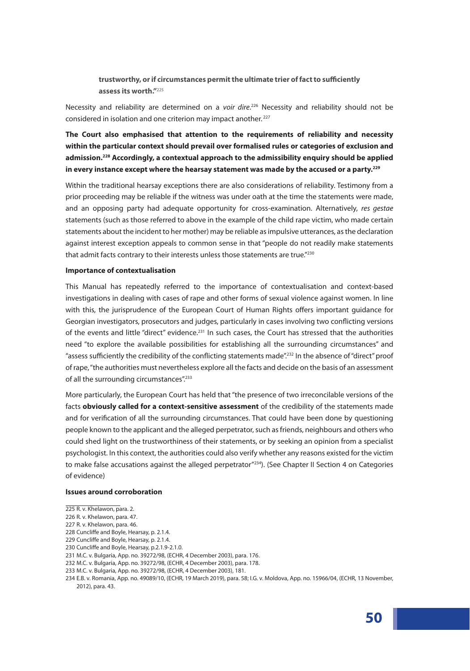# **trustworthy, or if circumstances permit the ultimate trier of fact to sufficiently assess its worth."**<sup>225</sup>

Necessity and reliability are determined on a *voir dire*. 226 Necessity and reliability should not be considered in isolation and one criterion may impact another. <sup>227</sup>

**The Court also emphasised that attention to the requirements of reliability and necessity within the particular context should prevail over formalised rules or categories of exclusion and admission.228 Accordingly, a contextual approach to the admissibility enquiry should be applied in every instance except where the hearsay statement was made by the accused or a party.229**

Within the traditional hearsay exceptions there are also considerations of reliability. Testimony from a prior proceeding may be reliable if the witness was under oath at the time the statements were made, and an opposing party had adequate opportunity for cross-examination. Alternatively, *res gestae* statements (such as those referred to above in the example of the child rape victim, who made certain statements about the incident to her mother) may be reliable as impulsive utterances, as the declaration against interest exception appeals to common sense in that "people do not readily make statements that admit facts contrary to their interests unless those statements are true."<sup>230</sup>

#### **Importance of contextualisation**

This Manual has repeatedly referred to the importance of contextualisation and context-based investigations in dealing with cases of rape and other forms of sexual violence against women. In line with this, the jurisprudence of the European Court of Human Rights offers important guidance for Georgian investigators, prosecutors and judges, particularly in cases involving two conflicting versions of the events and little "direct" evidence.<sup>231</sup> In such cases, the Court has stressed that the authorities need "to explore the available possibilities for establishing all the surrounding circumstances'' and "assess sufficiently the credibility of the conflicting statements made".<sup>232</sup> In the absence of "direct" proof of rape, "the authorities must nevertheless explore all the facts and decide on the basis of an assessment of all the surrounding circumstances".<sup>233</sup>

More particularly, the European Court has held that "the presence of two irreconcilable versions of the facts **obviously called for a context-sensitive assessment** of the credibility of the statements made and for verification of all the surrounding circumstances. That could have been done by questioning people known to the applicant and the alleged perpetrator, such as friends, neighbours and others who could shed light on the trustworthiness of their statements, or by seeking an opinion from a specialist psychologist. In this context, the authorities could also verify whether any reasons existed for the victim to make false accusations against the alleged perpetrator $^{\prime\prime}$ 234). (See Chapter II Section 4 on Categories of evidence)

#### **Issues around corroboration**

- 228 Cuncliffe and Boyle, Hearsay, p. 2.1.4.
- 229 Cuncliffe and Boyle, Hearsay, p. 2.1.4.
- 230 Cuncliffe and Boyle, Hearsay, p.2.1.9-2.1.0.

<sup>225</sup> R. v. Khelawon, para. 2.

<sup>226</sup> R. v. Khelawon, para. 47.

<sup>227</sup> R. v. Khelawon, para. 46.

<sup>231</sup> M.C. v. Bulgaria, App. no. 39272/98, (ECHR, 4 December 2003), para. 176.

<sup>232</sup> M.C. v. Bulgaria, App. no. 39272/98, (ECHR, 4 December 2003), para. 178.

<sup>233</sup> M.C. v. Bulgaria, App. no. 39272/98, (ECHR, 4 December 2003), 181.

<sup>234</sup> E.B. v. Romania, App. no. 49089/10, (ECHR, 19 March 2019), para. 58; I.G. v. Moldova, App. no. 15966/04, (ECHR, 13 November, 2012), para. 43.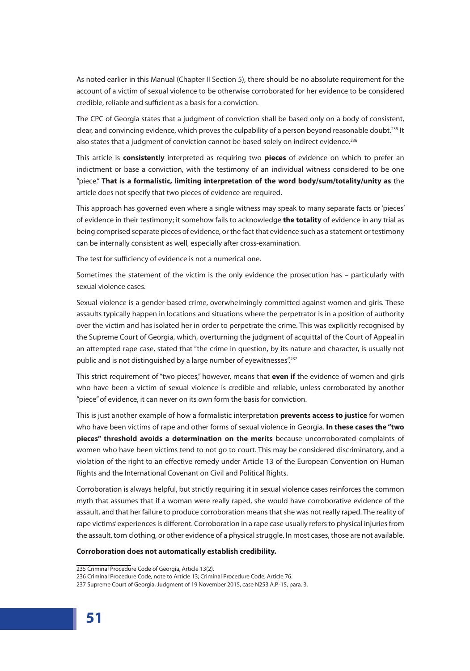As noted earlier in this Manual (Chapter II Section 5), there should be no absolute requirement for the account of a victim of sexual violence to be otherwise corroborated for her evidence to be considered credible, reliable and sufficient as a basis for a conviction.

The CPC of Georgia states that a judgment of conviction shall be based only on a body of consistent, clear, and convincing evidence, which proves the culpability of a person beyond reasonable doubt.<sup>235</sup> It also states that a judgment of conviction cannot be based solely on indirect evidence.<sup>236</sup>

This article is **consistently** interpreted as requiring two **pieces** of evidence on which to prefer an indictment or base a conviction, with the testimony of an individual witness considered to be one "piece." **That is a formalistic, limiting interpretation of the word body/sum/totality/unity as** the article does not specify that two pieces of evidence are required.

This approach has governed even where a single witness may speak to many separate facts or 'pieces' of evidence in their testimony; it somehow fails to acknowledge **the totality** of evidence in any trial as being comprised separate pieces of evidence, or the fact that evidence such as a statement or testimony can be internally consistent as well, especially after cross-examination.

The test for sufficiency of evidence is not a numerical one.

Sometimes the statement of the victim is the only evidence the prosecution has – particularly with sexual violence cases.

Sexual violence is a gender-based crime, overwhelmingly committed against women and girls. These assaults typically happen in locations and situations where the perpetrator is in a position of authority over the victim and has isolated her in order to perpetrate the crime. This was explicitly recognised by the Supreme Court of Georgia, which, overturning the judgment of acquittal of the Court of Appeal in an attempted rape case, stated that "the crime in question, by its nature and character, is usually not public and is not distinguished by a large number of eyewitnesses".<sup>237</sup>

This strict requirement of "two pieces," however, means that **even if** the evidence of women and girls who have been a victim of sexual violence is credible and reliable, unless corroborated by another "piece" of evidence, it can never on its own form the basis for conviction.

This is just another example of how a formalistic interpretation **prevents access to justice** for women who have been victims of rape and other forms of sexual violence in Georgia. **In these cases the "two pieces" threshold avoids a determination on the merits** because uncorroborated complaints of women who have been victims tend to not go to court. This may be considered discriminatory, and a violation of the right to an effective remedy under Article 13 of the European Convention on Human Rights and the International Covenant on Civil and Political Rights.

Corroboration is always helpful, but strictly requiring it in sexual violence cases reinforces the common myth that assumes that if a woman were really raped, she would have corroborative evidence of the assault, and that her failure to produce corroboration means that she was not really raped. The reality of rape victims' experiences is different. Corroboration in a rape case usually refers to physical injuries from the assault, torn clothing, or other evidence of a physical struggle. In most cases, those are not available.

#### **Corroboration does not automatically establish credibility.**

<sup>235</sup> Criminal Procedure Code of Georgia, Article 13(2).

<sup>236</sup> Criminal Procedure Code, note to Article 13; Criminal Procedure Code, Article 76.

<sup>237</sup> Supreme Court of Georgia, Judgment of 19 November 2015, case N253 A.P.-15, para. 3.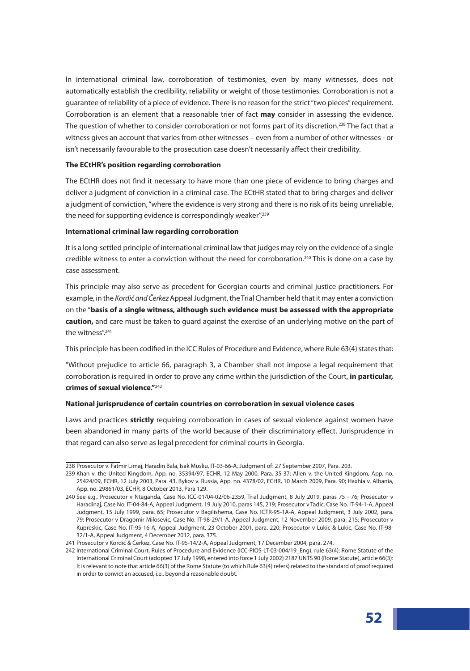In international criminal law, corroboration of testimonies, even by many witnesses, does not automatically establish the credibility, reliability or weight of those testimonies. Corroboration is not a guarantee of reliability of a piece of evidence. There is no reason for the strict "two pieces" requirement. Corroboration is an element that a reasonable trier of fact **may** consider in assessing the evidence. The question of whether to consider corroboration or not forms part of its discretion.<sup>238</sup> The fact that a witness gives an account that varies from other witnesses – even from a number of other witnesses - or isn't necessarily favourable to the prosecution case doesn't necessarily affect their credibility.

#### **The ECtHR's position regarding corroboration**

The ECtHR does not find it necessary to have more than one piece of evidence to bring charges and deliver a judgment of conviction in a criminal case. The ECtHR stated that to bring charges and deliver a judgment of conviction, "where the evidence is very strong and there is no risk of its being unreliable, the need for supporting evidence is correspondingly weaker".<sup>239</sup>

### **International criminal law regarding corroboration**

It is a long-settled principle of international criminal law that judges may rely on the evidence of a single credible witness to enter a conviction without the need for corroboration.<sup>240</sup> This is done on a case by case assessment.

This principle may also serve as precedent for Georgian courts and criminal justice practitioners. For example, in the *Kordić and Čerkez* Appeal Judgment, the Trial Chamber held that it may enter a conviction on the "**basis of a single witness, although such evidence must be assessed with the appropriate caution,** and care must be taken to guard against the exercise of an underlying motive on the part of the witness".<sup>241</sup>

This principle has been codified in the ICC Rules of Procedure and Evidence, where Rule 63(4) states that:

"Without prejudice to article 66, paragraph 3, a Chamber shall not impose a legal requirement that corroboration is required in order to prove any crime within the jurisdiction of the Court, **in particular, crimes of sexual violence."**<sup>242</sup>

### **National jurisprudence of certain countries on corroboration in sexual violence cases**

Laws and practices **strictly** requiring corroboration in cases of sexual violence against women have been abandoned in many parts of the world because of their discriminatory effect. Jurisprudence in that regard can also serve as legal precedent for criminal courts in Georgia.

<sup>238</sup> Prosecutor v. Fatmir Limaj, Haradin Bala, Isak Musliu, IT-03-66-A, Judgment of: 27 September 2007, Para. 203.

<sup>239</sup> Khan v. the United Kingdom, App. no. 35394/97, ECHR, 12 May 2000, Para. 35-37; Allen v. the United Kingdom, App. no. 25424/09, ECHR, 12 July 2003, Para. 43, Bykov v. Russia, App. no. 4378/02, ECHR, 10 March 2009, Para. 90; Haxhia v. Albania, App. no. 29861/03, ECHR, 8 October 2013, Para 129.

<sup>240</sup> See e.g., Prosecutor v Ntaganda, Case No. ICC-01/04-02/06-2359, Trial Judgment, 8 July 2019, paras 75 - 76; Prosecutor v Haradinaj, Case No. IT-04-84-A, Appeal Judgment, 19 July 2010, paras 145, 219; Prosecutor v Tadic, Case No. IT-94-1-A, Appeal Judgment, 15 July 1999, para. 65; Prosecutor v Bagilishema, Case No. ICTR-95-1A-A, Appeal Judgment, 3 July 2002, para. 79; Prosecutor v Dragomir Milosevic, Case No. IT-98-29/1-A, Appeal Judgment, 12 November 2009, para. 215; Prosecutor v Kupreskic, Case No. IT-95-16-A, Appeal Judgment, 23 October 2001, para. 220; Prosecutor v Lukic & Lukic, Case No. IT-98- 32/1-A, Appeal Judgment, 4 December 2012, para. 375.

<sup>241</sup> Prosecutor v Kordić & Čerkez, Case No. IT-95-14/2-A, Appeal Judgment, 17 December 2004, para. 274.

<sup>242</sup> International Criminal Court, Rules of Procedure and Evidence (ICC-PIOS-LT-03-004/19\_Eng), rule 63(4); Rome Statute of the International Criminal Court (adopted 17 July 1998, entered into force 1 July 2002) 2187 UNTS 90 (Rome Statute), article 66(3): It is relevant to note that article 66(3) of the Rome Statute (to which Rule 63(4) refers) related to the standard of proof required in order to convict an accused, i.e., beyond a reasonable doubt.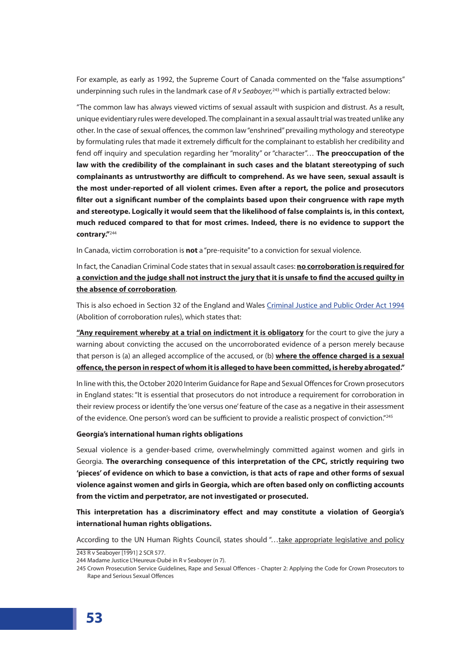For example, as early as 1992, the Supreme Court of Canada commented on the "false assumptions" underpinning such rules in the landmark case of *R v Seaboyer,*<sup>243</sup> which is partially extracted below:

"The common law has always viewed victims of sexual assault with suspicion and distrust. As a result, unique evidentiary rules were developed. The complainant in a sexual assault trial was treated unlike any other. In the case of sexual offences, the common law "enshrined" prevailing mythology and stereotype by formulating rules that made it extremely difficult for the complainant to establish her credibility and fend off inquiry and speculation regarding her "morality" or "character"… **The preoccupation of the law with the credibility of the complainant in such cases and the blatant stereotyping of such complainants as untrustworthy are difficult to comprehend. As we have seen, sexual assault is the most under-reported of all violent crimes. Even after a report, the police and prosecutors filter out a significant number of the complaints based upon their congruence with rape myth and stereotype. Logically it would seem that the likelihood of false complaints is, in this context, much reduced compared to that for most crimes. Indeed, there is no evidence to support the contrary."**<sup>244</sup>

In Canada, victim corroboration is **not** a "pre-requisite" to a conviction for sexual violence.

In fact, the Canadian Criminal Code states that in sexual assault cases: **no corroboration is required for a conviction and the judge shall not instruct the jury that it is unsafe to find the accused guilty in the absence of corroboration**.

This is also echoed in Section 32 of the England and Wales Criminal Justice and Public Order Act 1994 (Abolition of corroboration rules), which states that:

**"Any requirement whereby at a trial on indictment it is obligatory** for the court to give the jury a warning about convicting the accused on the uncorroborated evidence of a person merely because that person is (a) an alleged accomplice of the accused, or (b) **where the offence charged is a sexual offence, the person in respect of whom it is alleged to have been committed, is hereby abrogated."**

In line with this, the October 2020 Interim Guidance for Rape and Sexual Offences for Crown prosecutors in England states: "It is essential that prosecutors do not introduce a requirement for corroboration in their review process or identify the 'one versus one' feature of the case as a negative in their assessment of the evidence. One person's word can be sufficient to provide a realistic prospect of conviction."<sup>245</sup>

#### **Georgia's international human rights obligations**

Sexual violence is a gender-based crime, overwhelmingly committed against women and girls in Georgia. **The overarching consequence of this interpretation of the CPC, strictly requiring two 'pieces' of evidence on which to base a conviction, is that acts of rape and other forms of sexual violence against women and girls in Georgia, which are often based only on conflicting accounts from the victim and perpetrator, are not investigated or prosecuted.**

**This interpretation has a discriminatory effect and may constitute a violation of Georgia's international human rights obligations.** 

According to the UN Human Rights Council, states should "...take appropriate legislative and policy

<sup>243</sup> R v Seaboyer [1991] 2 SCR 577.

<sup>244</sup> Madame Justice L'Heureux-Dubé in R v Seaboyer (n 7).

<sup>245</sup> Crown Prosecution Service Guidelines, Rape and Sexual Offences - Chapter 2: Applying the Code for Crown Prosecutors to Rape and Serious Sexual Offences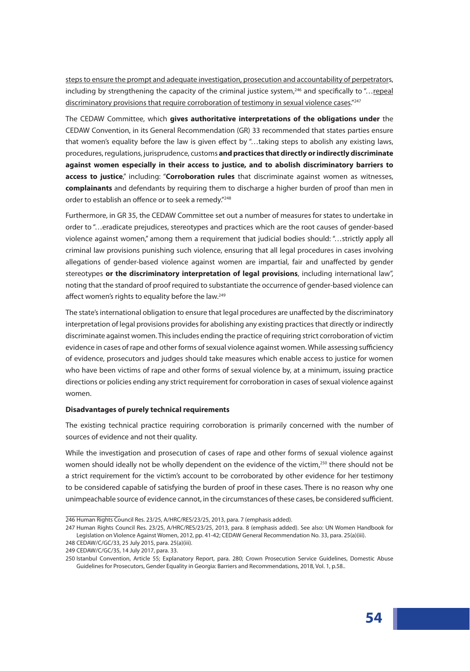steps to ensure the prompt and adequate investigation, prosecution and accountability of perpetrators, including by strengthening the capacity of the criminal justice system,<sup>246</sup> and specifically to "...repeal discriminatory provisions that require corroboration of testimony in sexual violence cases."247

The CEDAW Committee, which **gives authoritative interpretations of the obligations under** the CEDAW Convention, in its General Recommendation (GR) 33 recommended that states parties ensure that women's equality before the law is given effect by "…taking steps to abolish any existing laws, procedures, regulations, jurisprudence, customs **and practices that directly or indirectly discriminate against women especially in their access to justice, and to abolish discriminatory barriers to access to justice**," including: "**Corroboration rules** that discriminate against women as witnesses, **complainants** and defendants by requiring them to discharge a higher burden of proof than men in order to establish an offence or to seek a remedy."<sup>248</sup>

Furthermore, in GR 35, the CEDAW Committee set out a number of measures for states to undertake in order to "…eradicate prejudices, stereotypes and practices which are the root causes of gender-based violence against women," among them a requirement that judicial bodies should: "…strictly apply all criminal law provisions punishing such violence, ensuring that all legal procedures in cases involving allegations of gender-based violence against women are impartial, fair and unaffected by gender stereotypes **or the discriminatory interpretation of legal provisions**, including international law", noting that the standard of proof required to substantiate the occurrence of gender-based violence can affect women's rights to equality before the law.<sup>249</sup>

The state's international obligation to ensure that legal procedures are unaffected by the discriminatory interpretation of legal provisions provides for abolishing any existing practices that directly or indirectly discriminate against women. This includes ending the practice of requiring strict corroboration of victim evidence in cases of rape and other forms of sexual violence against women. While assessing sufficiency of evidence, prosecutors and judges should take measures which enable access to justice for women who have been victims of rape and other forms of sexual violence by, at a minimum, issuing practice directions or policies ending any strict requirement for corroboration in cases of sexual violence against women.

### **Disadvantages of purely technical requirements**

The existing technical practice requiring corroboration is primarily concerned with the number of sources of evidence and not their quality.

While the investigation and prosecution of cases of rape and other forms of sexual violence against women should ideally not be wholly dependent on the evidence of the victim,<sup>250</sup> there should not be a strict requirement for the victim's account to be corroborated by other evidence for her testimony to be considered capable of satisfying the burden of proof in these cases. There is no reason why one unimpeachable source of evidence cannot, in the circumstances of these cases, be considered sufficient.

<sup>246</sup> Human Rights Council Res. 23/25, A/HRC/RES/23/25, 2013, para. 7 (emphasis added).

<sup>247</sup> Human Rights Council Res. 23/25, A/HRC/RES/23/25, 2013, para. 8 (emphasis added). See also: UN Women Handbook for Legislation on Violence Against Women, 2012, pp. 41-42; CEDAW General Recommendation No. 33, para. 25(a)(iii).

<sup>248</sup> CEDAW/C/GC/33, 25 July 2015, para. 25(a)(iii). 249 CEDAW/C/GC/35, 14 July 2017, para. 33.

<sup>250</sup> Istanbul Convention, Article 55; Explanatory Report, para. 280; Crown Prosecution Service Guidelines, Domestic Abuse Guidelines for Prosecutors, Gender Equality in Georgia: Barriers and Recommendations, 2018, Vol. 1, p.58..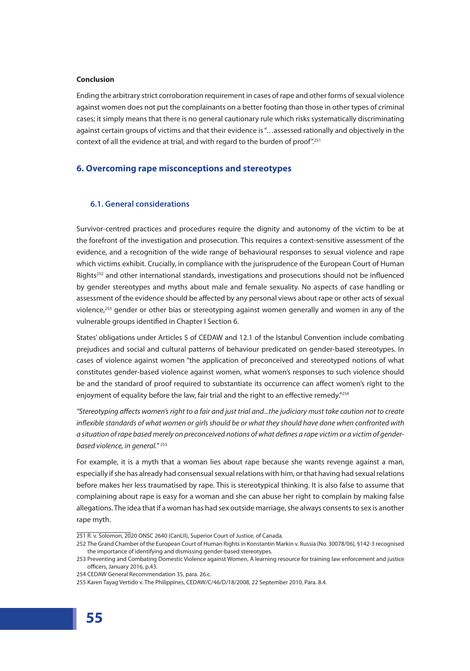### **Conclusion**

Ending the arbitrary strict corroboration requirement in cases of rape and other forms of sexual violence against women does not put the complainants on a better footing than those in other types of criminal cases; it simply means that there is no general cautionary rule which risks systematically discriminating against certain groups of victims and that their evidence is "…assessed rationally and objectively in the context of all the evidence at trial, and with regard to the burden of proof".<sup>251</sup>

## **6. Overcoming rape misconceptions and stereotypes**

# **6.1. General considerations**

Survivor-centred practices and procedures require the dignity and autonomy of the victim to be at the forefront of the investigation and prosecution. This requires a context-sensitive assessment of the evidence, and a recognition of the wide range of behavioural responses to sexual violence and rape which victims exhibit. Crucially, in compliance with the jurisprudence of the European Court of Human Rights<sup>252</sup> and other international standards, investigations and prosecutions should not be influenced by gender stereotypes and myths about male and female sexuality. No aspects of case handling or assessment of the evidence should be affected by any personal views about rape or other acts of sexual violence, $253$  gender or other bias or stereotyping against women generally and women in any of the vulnerable groups identified in Chapter I Section 6.

States' obligations under Articles 5 of CEDAW and 12.1 of the Istanbul Convention include combating prejudices and social and cultural patterns of behaviour predicated on gender-based stereotypes. In cases of violence against women "the application of preconceived and stereotyped notions of what constitutes gender-based violence against women, what women's responses to such violence should be and the standard of proof required to substantiate its occurrence can affect women's right to the enjoyment of equality before the law, fair trial and the right to an effective remedy."<sup>254</sup>

*"Stereotyping affects women's right to a fair and just trial and...the judiciary must take caution not to create inflexible standards of what women or girls should be or what they should have done when confronted with a situation of rape based merely on preconceived notions of what defines a rape victim or a victim of genderbased violence, in general.*" 255

For example, it is a myth that a woman lies about rape because she wants revenge against a man, especially if she has already had consensual sexual relations with him, or that having had sexual relations before makes her less traumatised by rape. This is stereotypical thinking. It is also false to assume that complaining about rape is easy for a woman and she can abuse her right to complain by making false allegations. The idea that if a woman has had sex outside marriage, she always consents to sex is another rape myth.

<sup>251</sup> R. v. Solomon, 2020 ONSC 2640 (CanLII), Superior Court of Justice, of Canada.

<sup>252</sup> The Grand Chamber of the European Court of Human Rights in Konstantin Markin v. Russia (No. 30078/06), §142-3 recognised the importance of identifying and dismissing gender-based stereotypes.

<sup>253</sup> Preventing and Combating Domestic Violence against Women, A learning resource for training law enforcement and justice officers, January 2016, p.43.

<sup>254</sup> CEDAW General Recommendation 35, para. 26.c.

<sup>255</sup> Karen Tayag Vertido v. The Philippines, CEDAW/C/46/D/18/2008, 22 September 2010, Para. 8.4.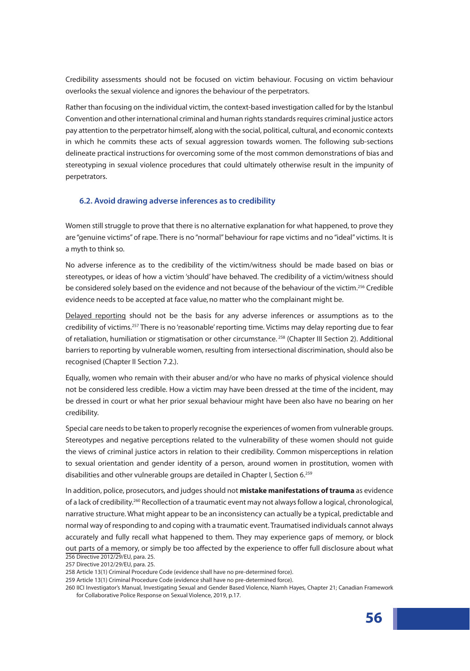Credibility assessments should not be focused on victim behaviour. Focusing on victim behaviour overlooks the sexual violence and ignores the behaviour of the perpetrators.

Rather than focusing on the individual victim, the context-based investigation called for by the Istanbul Convention and other international criminal and human rights standards requires criminal justice actors pay attention to the perpetrator himself, along with the social, political, cultural, and economic contexts in which he commits these acts of sexual aggression towards women. The following sub-sections delineate practical instructions for overcoming some of the most common demonstrations of bias and stereotyping in sexual violence procedures that could ultimately otherwise result in the impunity of perpetrators.

### **6.2. Avoid drawing adverse inferences as to credibility**

Women still struggle to prove that there is no alternative explanation for what happened, to prove they are "genuine victims" of rape. There is no "normal" behaviour for rape victims and no "ideal" victims. It is a myth to think so.

No adverse inference as to the credibility of the victim/witness should be made based on bias or stereotypes, or ideas of how a victim 'should' have behaved. The credibility of a victim/witness should be considered solely based on the evidence and not because of the behaviour of the victim.<sup>256</sup> Credible evidence needs to be accepted at face value,no matter who the complainant might be.

Delayed reporting should not be the basis for any adverse inferences or assumptions as to the credibility of victims.257 There is no 'reasonable' reporting time. Victims may delay reporting due to fear of retaliation, humiliation or stigmatisation or other circumstance.<sup>258</sup> (Chapter III Section 2). Additional barriers to reporting by vulnerable women, resulting from intersectional discrimination, should also be recognised (Chapter II Section 7.2.).

Equally, women who remain with their abuser and/or who have no marks of physical violence should not be considered less credible. How a victim may have been dressed at the time of the incident, may be dressed in court or what her prior sexual behaviour might have been also have no bearing on her credibility.

Special care needs to be taken to properly recognise the experiences of women from vulnerable groups. Stereotypes and negative perceptions related to the vulnerability of these women should not guide the views of criminal justice actors in relation to their credibility. Common misperceptions in relation to sexual orientation and gender identity of a person, around women in prostitution, women with disabilities and other vulnerable groups are detailed in Chapter I, Section 6.<sup>259</sup>

In addition, police, prosecutors, and judges should not **mistake manifestations of trauma** as evidence of a lack of credibility.<sup>260</sup> Recollection of a traumatic event may not always follow a logical, chronological, narrative structure. What might appear to be an inconsistency can actually be a typical, predictable and normal way of responding to and coping with a traumatic event. Traumatised individuals cannot always accurately and fully recall what happened to them. They may experience gaps of memory, or block out parts of a memory, or simply be too affected by the experience to offer full disclosure about what 256 Directive 2012/29/EU, para. 25.

257 Directive 2012/29/EU, para. 25.

<sup>258</sup> Article 13(1) Criminal Procedure Code (evidence shall have no pre-determined force).

<sup>259</sup> Article 13(1) Criminal Procedure Code (evidence shall have no pre-determined force).

<sup>260</sup> IICI Investigator's Manual, Investigating Sexual and Gender Based Violence, Niamh Hayes, Chapter 21; Canadian Framework for Collaborative Police Response on Sexual Violence, 2019, p.17.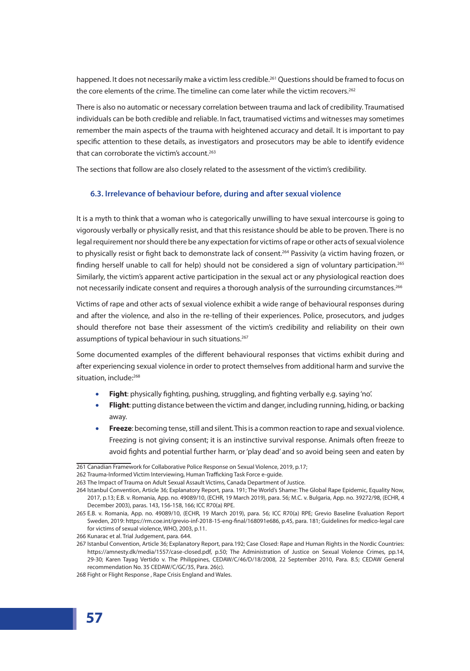happened. It does not necessarily make a victim less credible.<sup>261</sup> Questions should be framed to focus on the core elements of the crime. The timeline can come later while the victim recovers.<sup>262</sup>

There is also no automatic or necessary correlation between trauma and lack of credibility. Traumatised individuals can be both credible and reliable. In fact, traumatised victims and witnesses may sometimes remember the main aspects of the trauma with heightened accuracy and detail. It is important to pay specific attention to these details, as investigators and prosecutors may be able to identify evidence that can corroborate the victim's account.<sup>263</sup>

The sections that follow are also closely related to the assessment of the victim's credibility.

# **6.3. Irrelevance of behaviour before, during and after sexual violence**

It is a myth to think that a woman who is categorically unwilling to have sexual intercourse is going to vigorously verbally or physically resist, and that this resistance should be able to be proven. There is no legal requirement nor should there be any expectation for victims of rape or other acts of sexual violence to physically resist or fight back to demonstrate lack of consent.<sup>264</sup> Passivity (a victim having frozen, or finding herself unable to call for help) should not be considered a sign of voluntary participation.<sup>265</sup> Similarly, the victim's apparent active participation in the sexual act or any physiological reaction does not necessarily indicate consent and requires a thorough analysis of the surrounding circumstances.<sup>266</sup>

Victims of rape and other acts of sexual violence exhibit a wide range of behavioural responses during and after the violence, and also in the re-telling of their experiences. Police, prosecutors, and judges should therefore not base their assessment of the victim's credibility and reliability on their own assumptions of typical behaviour in such situations.<sup>267</sup>

Some documented examples of the different behavioural responses that victims exhibit during and after experiencing sexual violence in order to protect themselves from additional harm and survive the situation, include:<sup>268</sup>

- **Fight**: physically fighting, pushing, struggling, and fighting verbally e.g. saying 'no'.
- **Flight**: putting distance between the victim and danger, including running, hiding, or backing away.
- **Freeze**: becoming tense, still and silent. This is a common reaction to rape and sexual violence. Freezing is not giving consent; it is an instinctive survival response. Animals often freeze to avoid fights and potential further harm, or 'play dead' and so avoid being seen and eaten by

<sup>261</sup> Canadian Framework for Collaborative Police Response on Sexual Violence, 2019, p.17;

<sup>262</sup> Trauma-Informed Victim Interviewing, Human Trafficking Task Force e-guide.

<sup>263</sup> The Impact of Trauma on Adult Sexual Assault Victims, Canada Department of Justice.

<sup>264</sup> Istanbul Convention, Article 36; Explanatory Report, para. 191; The World's Shame: The Global Rape Epidemic, Equality Now, 2017, p.13; E.B. v. Romania, App. no. 49089/10, (ECHR, 19 March 2019), para. 56; M.C. v. Bulgaria, App. no. 39272/98, (ECHR, 4 December 2003), paras. 143, 156-158, 166; ICC R70(a) RPE.

<sup>265</sup> E.B. v. Romania, App. no. 49089/10, (ECHR, 19 March 2019), para. 56; ICC R70(a) RPE; Grevio Baseline Evaluation Report Sweden, 2019: https://rm.coe.int/grevio-inf-2018-15-eng-final/168091e686, p.45, para. 181; Guidelines for medico-legal care for victims of sexual violence, WHO, 2003, p.11.

<sup>266</sup> Kunarac et al. Trial Judgement, para. 644.

<sup>267</sup> Istanbul Convention, Article 36; Explanatory Report, para.192; Case Closed: Rape and Human Rights in the Nordic Countries: https://amnesty.dk/media/1557/case-closed.pdf, p.50; The Administration of Justice on Sexual Violence Crimes, pp.14, 29-30; Karen Tayag Vertido v. The Philippines, CEDAW/C/46/D/18/2008, 22 September 2010, Para. 8.5; CEDAW General recommendation No. 35 CEDAW/C/GC/35, Para. 26(c).

<sup>268</sup> Fight or Flight Response , Rape Crisis England and Wales.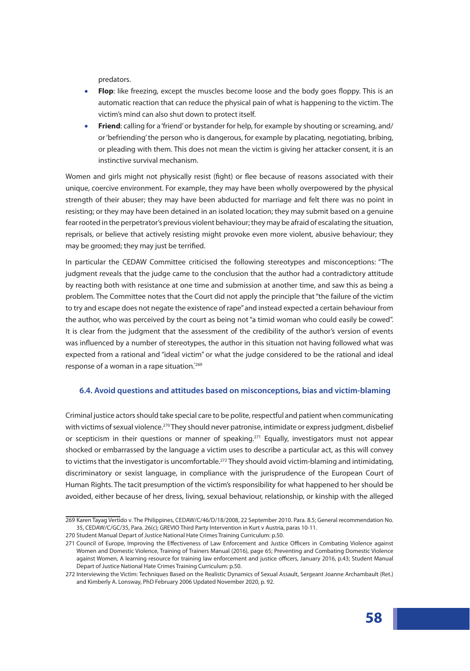predators.

- **Flop**: like freezing, except the muscles become loose and the body goes floppy. This is an automatic reaction that can reduce the physical pain of what is happening to the victim. The victim's mind can also shut down to protect itself.
- **Friend**: calling for a 'friend' or bystander for help, for example by shouting or screaming, and/ or 'befriending' the person who is dangerous, for example by placating, negotiating, bribing, or pleading with them. This does not mean the victim is giving her attacker consent, it is an instinctive survival mechanism.

Women and girls might not physically resist (fight) or flee because of reasons associated with their unique, coercive environment. For example, they may have been wholly overpowered by the physical strength of their abuser; they may have been abducted for marriage and felt there was no point in resisting; or they may have been detained in an isolated location; they may submit based on a genuine fear rooted in the perpetrator's previous violent behaviour; they may be afraid of escalating the situation, reprisals, or believe that actively resisting might provoke even more violent, abusive behaviour; they may be groomed; they may just be terrified.

In particular the CEDAW Committee criticised the following stereotypes and misconceptions: "The judgment reveals that the judge came to the conclusion that the author had a contradictory attitude by reacting both with resistance at one time and submission at another time, and saw this as being a problem. The Committee notes that the Court did not apply the principle that "the failure of the victim to try and escape does not negate the existence of rape" and instead expected a certain behaviour from the author, who was perceived by the court as being not "a timid woman who could easily be cowed". It is clear from the judgment that the assessment of the credibility of the author's version of events was influenced by a number of stereotypes, the author in this situation not having followed what was expected from a rational and "ideal victim" or what the judge considered to be the rational and ideal response of a woman in a rape situation.<sup>"269</sup>

### **6.4. Avoid questions and attitudes based on misconceptions, bias and victim-blaming**

Criminal justice actors should take special care to be polite, respectful and patient when communicating with victims of sexual violence.<sup>270</sup> They should never patronise, intimidate or express judgment, disbelief or scepticism in their questions or manner of speaking.<sup>271</sup> Equally, investigators must not appear shocked or embarrassed by the language a victim uses to describe a particular act, as this will convey to victims that the investigator is uncomfortable.<sup>272</sup> They should avoid victim-blaming and intimidating, discriminatory or sexist language, in compliance with the jurisprudence of the European Court of Human Rights. The tacit presumption of the victim's responsibility for what happened to her should be avoided, either because of her dress, living, sexual behaviour, relationship, or kinship with the alleged

<sup>269</sup> Karen Tayag Vertido v. The Philippines, CEDAW/C/46/D/18/2008, 22 September 2010. Para. 8.5; General recommendation No. 35, CEDAW/C/GC/35, Para. 26(c); GREVIO Third Party Intervention in Kurt v Austria, paras 10-11.

<sup>270</sup> Student Manual Depart of Justice National Hate Crimes Training Curriculum: p.50.

<sup>271</sup> Council of Europe, Improving the Effectiveness of Law Enforcement and Justice Officers in Combating Violence against Women and Domestic Violence, Training of Trainers Manual (2016), page 65; Preventing and Combating Domestic Violence against Women, A learning resource for training law enforcement and justice officers, January 2016, p.43; Student Manual Depart of Justice National Hate Crimes Training Curriculum: p.50.

<sup>272</sup> Interviewing the Victim: Techniques Based on the Realistic Dynamics of Sexual Assault, Sergeant Joanne Archambault (Ret.) and Kimberly A. Lonsway, PhD February 2006 Updated November 2020, p. 92.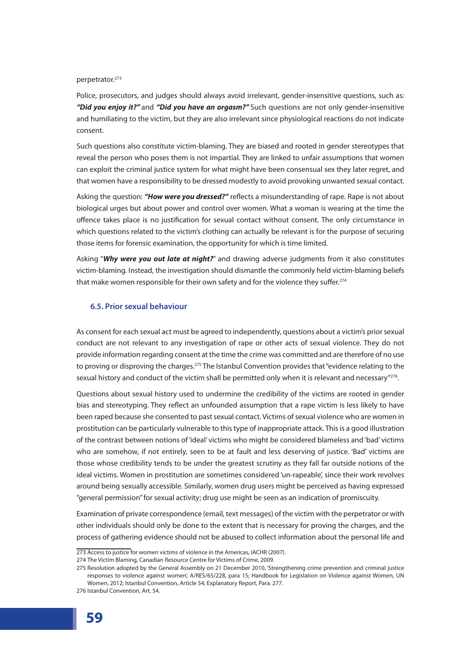perpetrator.<sup>273</sup>

Police, prosecutors, and judges should always avoid irrelevant, gender-insensitive questions, such as: *"Did you enjoy it?"* and *"Did you have an orgasm?"* Such questions are not only gender-insensitive and humiliating to the victim, but they are also irrelevant since physiological reactions do not indicate consent.

Such questions also constitute victim-blaming. They are biased and rooted in gender stereotypes that reveal the person who poses them is not impartial. They are linked to unfair assumptions that women can exploit the criminal justice system for what might have been consensual sex they later regret, and that women have a responsibility to be dressed modestly to avoid provoking unwanted sexual contact.

Asking the question: *"How were you dressed?"* reflects a misunderstanding of rape. Rape is not about biological urges but about power and control over women. What a woman is wearing at the time the offence takes place is no justification for sexual contact without consent. The only circumstance in which questions related to the victim's clothing can actually be relevant is for the purpose of securing those items for forensic examination, the opportunity for which is time limited.

Asking "*Why were you out late at night?*" and drawing adverse judgments from it also constitutes victim-blaming. Instead, the investigation should dismantle the commonly held victim-blaming beliefs that make women responsible for their own safety and for the violence they suffer.<sup>274</sup>

### **6.5. Prior sexual behaviour**

As consent for each sexual act must be agreed to independently, questions about a victim's prior sexual conduct are not relevant to any investigation of rape or other acts of sexual violence. They do not provide information regarding consent at the time the crime was committed and are therefore of no use to proving or disproving the charges.<sup>275</sup> The Istanbul Convention provides that "evidence relating to the sexual history and conduct of the victim shall be permitted only when it is relevant and necessary"<sup>276</sup>.

Questions about sexual history used to undermine the credibility of the victims are rooted in gender bias and stereotyping. They reflect an unfounded assumption that a rape victim is less likely to have been raped because she consented to past sexual contact. Victims of sexual violence who are women in prostitution can be particularly vulnerable to this type of inappropriate attack. This is a good illustration of the contrast between notions of 'ideal' victims who might be considered blameless and 'bad' victims who are somehow, if not entirely, seen to be at fault and less deserving of justice. 'Bad' victims are those whose credibility tends to be under the greatest scrutiny as they fall far outside notions of the ideal victims. Women in prostitution are sometimes considered 'un-rapeable', since their work revolves around being sexually accessible. Similarly, women drug users might be perceived as having expressed "general permission" for sexual activity; drug use might be seen as an indication of promiscuity.

Examination of private correspondence (email, text messages) of the victim with the perpetrator or with other individuals should only be done to the extent that is necessary for proving the charges, and the process of gathering evidence should not be abused to collect information about the personal life and

<sup>273</sup> Access to justice for women victims of violence in the Americas, IACHR (2007).

<sup>274</sup> The Victim Blaming, Canadian Resource Centre for Victims of Crime, 2009.

<sup>275</sup> Resolution adopted by the General Assembly on 21 December 2010, 'Strengthening crime prevention and criminal justice responses to violence against women', A/RES/65/228, para 15; Handbook for Legislation on Violence against Women, UN Women, 2012; Istanbul Convention, Article 54; Explanatory Report, Para. 277.

<sup>276</sup> Istanbul Convention, Art. 54.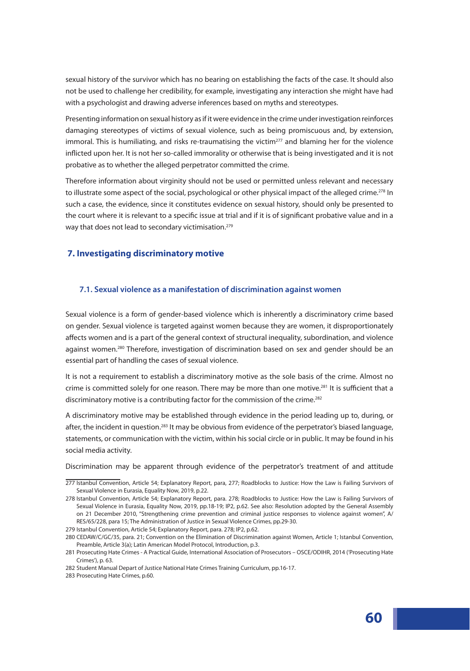sexual history of the survivor which has no bearing on establishing the facts of the case. It should also not be used to challenge her credibility, for example, investigating any interaction she might have had with a psychologist and drawing adverse inferences based on myths and stereotypes.

Presenting information on sexual history as if it were evidence in the crime under investigation reinforces damaging stereotypes of victims of sexual violence, such as being promiscuous and, by extension, immoral. This is humiliating, and risks re-traumatising the victim $^{277}$  and blaming her for the violence inflicted upon her. It is not her so-called immorality or otherwise that is being investigated and it is not probative as to whether the alleged perpetrator committed the crime.

Therefore information about virginity should not be used or permitted unless relevant and necessary to illustrate some aspect of the social, psychological or other physical impact of the alleged crime.<sup>278</sup> In such a case, the evidence, since it constitutes evidence on sexual history, should only be presented to the court where it is relevant to a specific issue at trial and if it is of significant probative value and in a way that does not lead to secondary victimisation.<sup>279</sup>

# **7. Investigating discriminatory motive**

### **7.1. Sexual violence as a manifestation of discrimination against women**

Sexual violence is a form of gender-based violence which is inherently a discriminatory crime based on gender. Sexual violence is targeted against women because they are women, it disproportionately affects women and is a part of the general context of structural inequality, subordination, and violence against women.<sup>280</sup> Therefore, investigation of discrimination based on sex and gender should be an essential part of handling the cases of sexual violence.

It is not a requirement to establish a discriminatory motive as the sole basis of the crime. Almost no crime is committed solely for one reason. There may be more than one motive.<sup>281</sup> It is sufficient that a discriminatory motive is a contributing factor for the commission of the crime.<sup>282</sup>

A discriminatory motive may be established through evidence in the period leading up to, during, or after, the incident in question.<sup>283</sup> It may be obvious from evidence of the perpetrator's biased language, statements, or communication with the victim, within his social circle or in public. It may be found in his social media activity.

Discrimination may be apparent through evidence of the perpetrator's treatment of and attitude

<sup>277</sup> Istanbul Convention, Article 54; Explanatory Report, para, 277; Roadblocks to Justice: How the Law is Failing Survivors of Sexual Violence in Eurasia, Equality Now, 2019, p.22.

<sup>278</sup> Istanbul Convention, Article 54; Explanatory Report, para. 278; Roadblocks to Justice: How the Law is Failing Survivors of Sexual Violence in Eurasia, Equality Now, 2019, pp.18-19; IP2, p.62. See also: Resolution adopted by the General Assembly on 21 December 2010, "Strengthening crime prevention and criminal justice responses to violence against women", A/ RES/65/228, para 15; The Administration of Justice in Sexual Violence Crimes, pp.29-30.

<sup>279</sup> Istanbul Convention, Article 54; Explanatory Report, para. 278; IP2, p.62.

<sup>280</sup> CEDAW/C/GC/35, para. 21; Convention on the Elimination of Discrimination against Women, Article 1; Istanbul Convention, Preamble, Article 3(a); Latin American Model Protocol, Introduction, p.3.

<sup>281</sup> Prosecuting Hate Crimes - A Practical Guide, International Association of Prosecutors – OSCE/ODIHR, 2014 ('Prosecuting Hate Crimes'), p. 63.

<sup>282</sup> Student Manual Depart of Justice National Hate Crimes Training Curriculum, pp.16-17.

<sup>283</sup> Prosecuting Hate Crimes, p.60.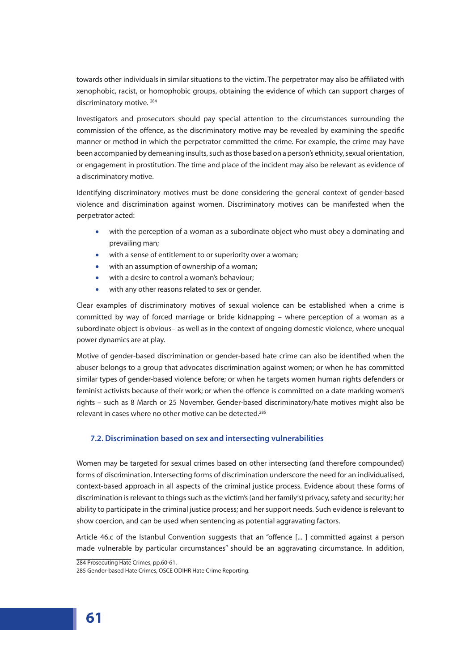towards other individuals in similar situations to the victim. The perpetrator may also be affiliated with xenophobic, racist, or homophobic groups, obtaining the evidence of which can support charges of discriminatory motive.<sup>284</sup>

Investigators and prosecutors should pay special attention to the circumstances surrounding the commission of the offence, as the discriminatory motive may be revealed by examining the specific manner or method in which the perpetrator committed the crime. For example, the crime may have been accompanied by demeaning insults, such as those based on a person's ethnicity, sexual orientation, or engagement in prostitution. The time and place of the incident may also be relevant as evidence of a discriminatory motive.

Identifying discriminatory motives must be done considering the general context of gender-based violence and discrimination against women. Discriminatory motives can be manifested when the perpetrator acted:

- with the perception of a woman as a subordinate object who must obey a dominating and prevailing man;
- with a sense of entitlement to or superiority over a woman;
- with an assumption of ownership of a woman;
- with a desire to control a woman's behaviour;
- with any other reasons related to sex or gender.

Clear examples of discriminatory motives of sexual violence can be established when a crime is committed by way of forced marriage or bride kidnapping – where perception of a woman as a subordinate object is obvious– as well as in the context of ongoing domestic violence, where unequal power dynamics are at play.

Motive of gender-based discrimination or gender-based hate crime can also be identified when the abuser belongs to a group that advocates discrimination against women; or when he has committed similar types of gender-based violence before; or when he targets women human rights defenders or feminist activists because of their work; or when the offence is committed on a date marking women's rights – such as 8 March or 25 November. Gender-based discriminatory/hate motives might also be relevant in cases where no other motive can be detected.<sup>285</sup>

# **7.2. Discrimination based on sex and intersecting vulnerabilities**

Women may be targeted for sexual crimes based on other intersecting (and therefore compounded) forms of discrimination. Intersecting forms of discrimination underscore the need for an individualised, context-based approach in all aspects of the criminal justice process. Evidence about these forms of discrimination is relevant to things such as the victim's (and her family's) privacy, safety and security; her ability to participate in the criminal justice process; and her support needs. Such evidence is relevant to show coercion, and can be used when sentencing as potential aggravating factors.

Article 46.c of the Istanbul Convention suggests that an "offence [... ] committed against a person made vulnerable by particular circumstances" should be an aggravating circumstance. In addition,

284 Prosecuting Hate Crimes, pp.60-61.

<sup>285</sup> Gender-based Hate Crimes, OSCE ODIHR Hate Crime Reporting.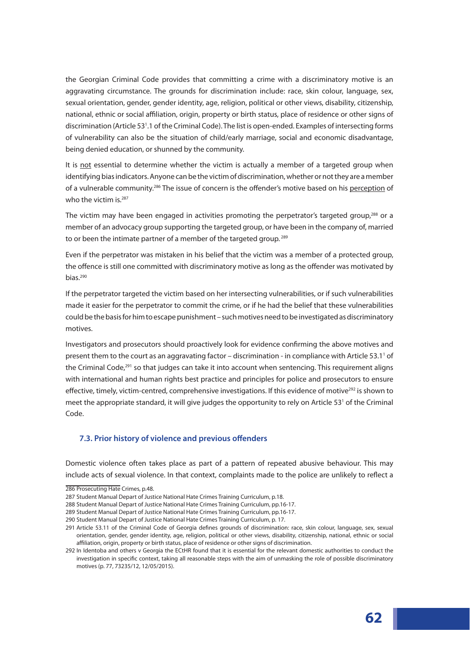the Georgian Criminal Code provides that committing a crime with a discriminatory motive is an aggravating circumstance. The grounds for discrimination include: race, skin colour, language, sex, sexual orientation, gender, gender identity, age, religion, political or other views, disability, citizenship, national, ethnic or social affiliation, origin, property or birth status, place of residence or other signs of discrimination (Article 531 .1 of the Criminal Code). The list is open-ended. Examples of intersecting forms of vulnerability can also be the situation of child/early marriage, social and economic disadvantage, being denied education, or shunned by the community.

It is not essential to determine whether the victim is actually a member of a targeted group when identifying bias indicators. Anyone can be the victim of discrimination, whether or not they are a member of a vulnerable community.286 The issue of concern is the offender's motive based on his perception of who the victim is.<sup>287</sup>

The victim may have been engaged in activities promoting the perpetrator's targeted group,<sup>288</sup> or a member of an advocacy group supporting the targeted group, or have been in the company of, married to or been the intimate partner of a member of the targeted group.<sup>289</sup>

Even if the perpetrator was mistaken in his belief that the victim was a member of a protected group, the offence is still one committed with discriminatory motive as long as the offender was motivated by bias. $290$ 

If the perpetrator targeted the victim based on her intersecting vulnerabilities, or if such vulnerabilities made it easier for the perpetrator to commit the crime, or if he had the belief that these vulnerabilities could be the basis for him to escape punishment – such motives need to be investigated as discriminatory motives.

Investigators and prosecutors should proactively look for evidence confirming the above motives and present them to the court as an aggravating factor – discrimination - in compliance with Article 53.1<sup>1</sup> of the Criminal Code, $291$  so that judges can take it into account when sentencing. This requirement aligns with international and human rights best practice and principles for police and prosecutors to ensure effective, timely, victim-centred, comprehensive investigations. If this evidence of motive<sup>292</sup> is shown to meet the appropriate standard, it will give judges the opportunity to rely on Article 53<sup>1</sup> of the Criminal Code.

### **7.3. Prior history of violence and previous offenders**

Domestic violence often takes place as part of a pattern of repeated abusive behaviour. This may include acts of sexual violence. In that context, complaints made to the police are unlikely to reflect a

<sup>286</sup> Prosecuting Hate Crimes, p.48.

<sup>287</sup> Student Manual Depart of Justice National Hate Crimes Training Curriculum, p.18.

<sup>288</sup> Student Manual Depart of Justice National Hate Crimes Training Curriculum, pp.16-17.

<sup>289</sup> Student Manual Depart of Justice National Hate Crimes Training Curriculum, pp.16-17.

<sup>290</sup> Student Manual Depart of Justice National Hate Crimes Training Curriculum, p. 17.

<sup>291</sup> Article 53.11 of the Criminal Code of Georgia defines grounds of discrimination: race, skin colour, language, sex, sexual orientation, gender, gender identity, age, religion, political or other views, disability, citizenship, national, ethnic or social affiliation, origin, property or birth status, place of residence or other signs of discrimination.

<sup>292</sup> In Identoba and others v Georgia the ECtHR found that it is essential for the relevant domestic authorities to conduct the investigation in specific context, taking all reasonable steps with the aim of unmasking the role of possible discriminatory motives (p. 77, 73235/12, 12/05/2015).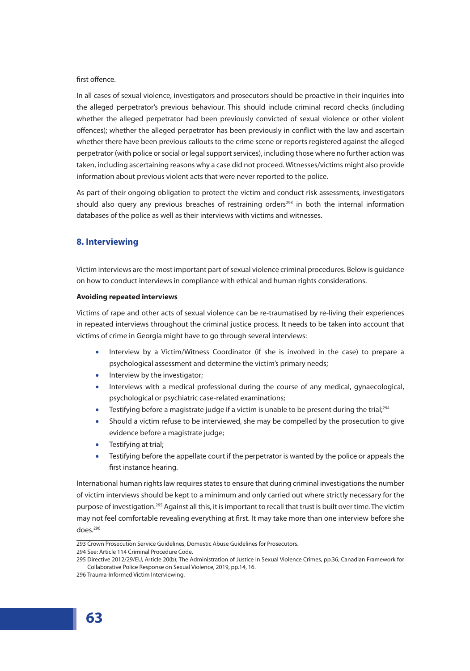## first offence.

In all cases of sexual violence, investigators and prosecutors should be proactive in their inquiries into the alleged perpetrator's previous behaviour. This should include criminal record checks (including whether the alleged perpetrator had been previously convicted of sexual violence or other violent offences); whether the alleged perpetrator has been previously in conflict with the law and ascertain whether there have been previous callouts to the crime scene or reports registered against the alleged perpetrator (with police or social or legal support services), including those where no further action was taken, including ascertaining reasons why a case did not proceed. Witnesses/victims might also provide information about previous violent acts that were never reported to the police.

As part of their ongoing obligation to protect the victim and conduct risk assessments, investigators should also query any previous breaches of restraining orders<sup>293</sup> in both the internal information databases of the police as well as their interviews with victims and witnesses.

# **8. Interviewing**

Victim interviews are the most important part of sexual violence criminal procedures. Below is guidance on how to conduct interviews in compliance with ethical and human rights considerations.

#### **Avoiding repeated interviews**

Victims of rape and other acts of sexual violence can be re-traumatised by re-living their experiences in repeated interviews throughout the criminal justice process. It needs to be taken into account that victims of crime in Georgia might have to go through several interviews:

- Interview by a Victim/Witness Coordinator (if she is involved in the case) to prepare a psychological assessment and determine the victim's primary needs;
- Interview by the investigator;
- Interviews with a medical professional during the course of any medical, gynaecological, psychological or psychiatric case-related examinations;
- **•** Testifying before a magistrate judge if a victim is unable to be present during the trial;<sup>294</sup>
- Should a victim refuse to be interviewed, she may be compelled by the prosecution to give evidence before a magistrate judge;
- Testifying at trial;
- Testifying before the appellate court if the perpetrator is wanted by the police or appeals the first instance hearing.

International human rights law requires states to ensure that during criminal investigations the number of victim interviews should be kept to a minimum and only carried out where strictly necessary for the purpose of investigation.<sup>295</sup> Against all this, it is important to recall that trust is built over time. The victim may not feel comfortable revealing everything at first. It may take more than one interview before she does.296

294 See: Article 114 Criminal Procedure Code.

<sup>293</sup> Crown Prosecution Service Guidelines, Domestic Abuse Guidelines for Prosecutors.

<sup>295</sup> Directive 2012/29/EU, Article 20(b); The Administration of Justice in Sexual Violence Crimes, pp.36; Canadian Framework for Collaborative Police Response on Sexual Violence, 2019, pp.14, 16.

<sup>296</sup> Trauma-Informed Victim Interviewing.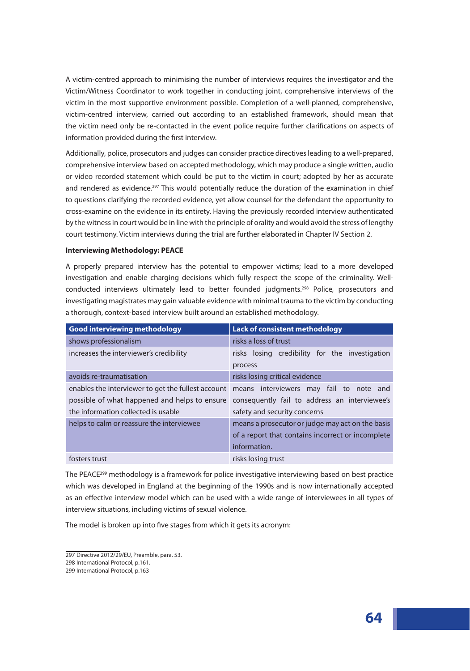A victim-centred approach to minimising the number of interviews requires the investigator and the Victim/Witness Coordinator to work together in conducting joint, comprehensive interviews of the victim in the most supportive environment possible. Completion of a well-planned, comprehensive, victim-centred interview, carried out according to an established framework, should mean that the victim need only be re-contacted in the event police require further clarifications on aspects of information provided during the first interview.

Additionally, police, prosecutors and judges can consider practice directives leading to a well-prepared, comprehensive interview based on accepted methodology, which may produce a single written, audio or video recorded statement which could be put to the victim in court; adopted by her as accurate and rendered as evidence.<sup>297</sup> This would potentially reduce the duration of the examination in chief to questions clarifying the recorded evidence, yet allow counsel for the defendant the opportunity to cross-examine on the evidence in its entirety. Having the previously recorded interview authenticated by the witness in court would be in line with the principle of orality and would avoid the stress of lengthy court testimony. Victim interviews during the trial are further elaborated in Chapter IV Section 2.

### **Interviewing Methodology: PEACE**

A properly prepared interview has the potential to empower victims; lead to a more developed investigation and enable charging decisions which fully respect the scope of the criminality. Wellconducted interviews ultimately lead to better founded judgments.<sup>298</sup> Police, prosecutors and investigating magistrates may gain valuable evidence with minimal trauma to the victim by conducting a thorough, context-based interview built around an established methodology.

| <b>Good interviewing methodology</b>               | <b>Lack of consistent methodology</b>                     |
|----------------------------------------------------|-----------------------------------------------------------|
| shows professionalism                              | risks a loss of trust                                     |
| increases the interviewer's credibility            | risks losing credibility for the investigation<br>process |
| avoids re-traumatisation                           | risks losing critical evidence                            |
| enables the interviewer to get the fullest account | means interviewers may fail to note and                   |
| possible of what happened and helps to ensure      | consequently fail to address an interviewee's             |
| the information collected is usable                | safety and security concerns                              |
| helps to calm or reassure the interviewee          | means a prosecutor or judge may act on the basis          |
|                                                    | of a report that contains incorrect or incomplete         |
|                                                    | information.                                              |
| fosters trust                                      | risks losing trust                                        |

The PEACE<sup>299</sup> methodology is a framework for police investigative interviewing based on best practice which was developed in England at the beginning of the 1990s and is now internationally accepted as an effective interview model which can be used with a wide range of interviewees in all types of interview situations, including victims of sexual violence.

The model is broken up into five stages from which it gets its acronym:

<sup>297</sup> Directive 2012/29/EU, Preamble, para. 53.

<sup>298</sup> International Protocol, p.161.

<sup>299</sup> International Protocol, p.163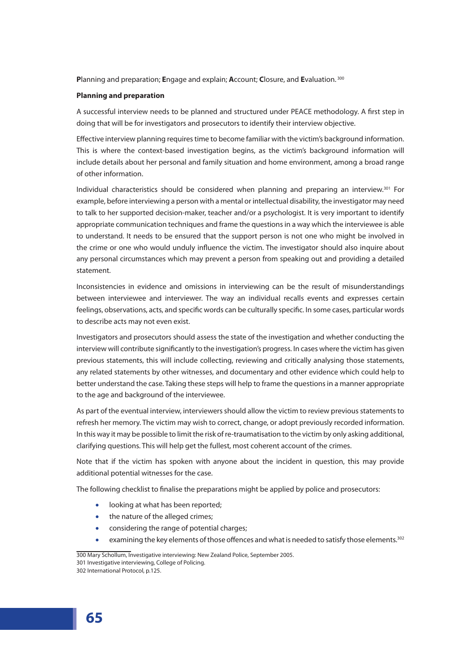**P**lanning and preparation; **E**ngage and explain; **A**ccount; **C**losure, and **E**valuation. <sup>300</sup>

### **Planning and preparation**

A successful interview needs to be planned and structured under PEACE methodology. A first step in doing that will be for investigators and prosecutors to identify their interview objective.

Effective interview planning requires time to become familiar with the victim's background information. This is where the context-based investigation begins, as the victim's background information will include details about her personal and family situation and home environment, among a broad range of other information.

Individual characteristics should be considered when planning and preparing an interview.301 For example, before interviewing a person with a mental or intellectual disability, the investigator may need to talk to her supported decision-maker, teacher and/or a psychologist. It is very important to identify appropriate communication techniques and frame the questions in a way which the interviewee is able to understand. It needs to be ensured that the support person is not one who might be involved in the crime or one who would unduly influence the victim. The investigator should also inquire about any personal circumstances which may prevent a person from speaking out and providing a detailed statement.

Inconsistencies in evidence and omissions in interviewing can be the result of misunderstandings between interviewee and interviewer. The way an individual recalls events and expresses certain feelings, observations, acts, and specific words can be culturally specific. In some cases, particular words to describe acts may not even exist.

Investigators and prosecutors should assess the state of the investigation and whether conducting the interview will contribute significantly to the investigation's progress. In cases where the victim has given previous statements, this will include collecting, reviewing and critically analysing those statements, any related statements by other witnesses, and documentary and other evidence which could help to better understand the case. Taking these steps will help to frame the questions in a manner appropriate to the age and background of the interviewee.

As part of the eventual interview, interviewers should allow the victim to review previous statements to refresh her memory. The victim may wish to correct, change, or adopt previously recorded information. In this way it may be possible to limit the risk of re-traumatisation to the victim by only asking additional, clarifying questions. This will help get the fullest, most coherent account of the crimes.

Note that if the victim has spoken with anyone about the incident in question, this may provide additional potential witnesses for the case.

The following checklist to finalise the preparations might be applied by police and prosecutors:

- looking at what has been reported;
- the nature of the alleged crimes;
- considering the range of potential charges;
- examining the key elements of those offences and what is needed to satisfy those elements.<sup>302</sup>

300 Mary Schollum, Investigative interviewing: New Zealand Police, September 2005. 301 Investigative interviewing, College of Policing. 302 International Protocol, p.125.

**65**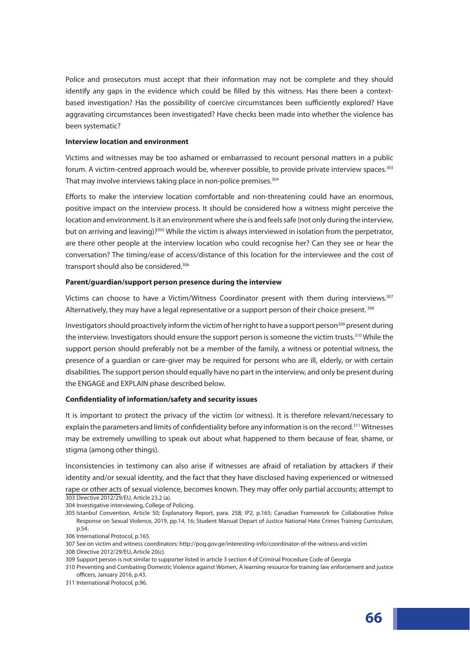Police and prosecutors must accept that their information may not be complete and they should identify any gaps in the evidence which could be filled by this witness. Has there been a contextbased investigation? Has the possibility of coercive circumstances been sufficiently explored? Have aggravating circumstances been investigated? Have checks been made into whether the violence has been systematic?

#### **Interview location and environment**

Victims and witnesses may be too ashamed or embarrassed to recount personal matters in a public forum. A victim-centred approach would be, wherever possible, to provide private interview spaces.<sup>303</sup> That may involve interviews taking place in non-police premises.<sup>304</sup>

Efforts to make the interview location comfortable and non-threatening could have an enormous, positive impact on the interview process. It should be considered how a witness might perceive the location and environment. Is it an environment where she is and feels safe (not only during the interview, but on arriving and leaving)?<sup>305</sup> While the victim is always interviewed in isolation from the perpetrator, are there other people at the interview location who could recognise her? Can they see or hear the conversation? The timing/ease of access/distance of this location for the interviewee and the cost of transport should also be considered.<sup>306</sup>

#### **Parent/guardian/support person presence during the interview**

Victims can choose to have a Victim/Witness Coordinator present with them during interviews.<sup>307</sup> Alternatively, they may have a legal representative or a support person of their choice present.  $308$ 

Investigators should proactively inform the victim of her right to have a support person<sup>309</sup> present during the interview. Investigators should ensure the support person is someone the victim trusts.<sup>310</sup> While the support person should preferably not be a member of the family, a witness or potential witness, the presence of a guardian or care-giver may be required for persons who are ill, elderly, or with certain disabilities. The support person should equally have no part in the interview, and only be present during the ENGAGE and EXPLAIN phase described below.

#### **Confidentiality of information/safety and security issues**

It is important to protect the privacy of the victim (or witness). It is therefore relevant/necessary to explain the parameters and limits of confidentiality before any information is on the record.<sup>311</sup> Witnesses may be extremely unwilling to speak out about what happened to them because of fear, shame, or stigma (among other things).

Inconsistencies in testimony can also arise if witnesses are afraid of retaliation by attackers if their identity and/or sexual identity, and the fact that they have disclosed having experienced or witnessed rape or other acts of sexual violence, becomes known. They may offer only partial accounts; attempt to 303 Directive 2012/29/EU, Article 23.2 (a).

<sup>304</sup> Investigative interviewing, College of Policing.

<sup>305</sup> Istanbul Convention, Article 50; Explanatory Report, para. 258; IP2, p.165; Canadian Framework for Collaborative Police Response on Sexual Violence, 2019, pp.14, 16; Student Manual Depart of Justice National Hate Crimes Training Curriculum, p.54.

<sup>306</sup> International Protocol, p.165.

<sup>307</sup> See on victim and witness coordinators: http://pog.gov.ge/interesting-info/coordinator-of-the-witness-and-victim

<sup>308</sup> Directive 2012/29/EU, Article 20(c).

<sup>309</sup> Support person is not similar to supporter listed in article 3 section 4 of Criminal Procedure Code of Georgia

<sup>310</sup> Preventing and Combating Domestic Violence against Women, A learning resource for training law enforcement and justice officers, January 2016, p.43.

<sup>311</sup> International Protocol, p.96.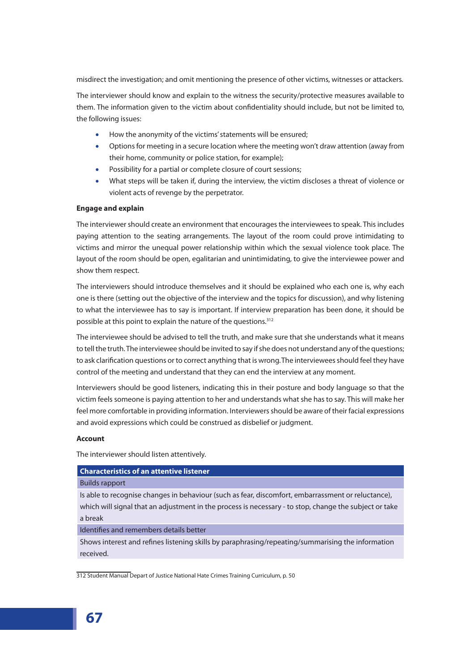misdirect the investigation; and omit mentioning the presence of other victims, witnesses or attackers.

The interviewer should know and explain to the witness the security/protective measures available to them. The information given to the victim about confidentiality should include, but not be limited to, the following issues:

- How the anonymity of the victims' statements will be ensured;
- Options for meeting in a secure location where the meeting won't draw attention (away from their home, community or police station, for example);
- Possibility for a partial or complete closure of court sessions;
- What steps will be taken if, during the interview, the victim discloses a threat of violence or violent acts of revenge by the perpetrator.

## **Engage and explain**

The interviewer should create an environment that encourages the interviewees to speak. This includes paying attention to the seating arrangements. The layout of the room could prove intimidating to victims and mirror the unequal power relationship within which the sexual violence took place. The layout of the room should be open, egalitarian and unintimidating, to give the interviewee power and show them respect.

The interviewers should introduce themselves and it should be explained who each one is, why each one is there (setting out the objective of the interview and the topics for discussion), and why listening to what the interviewee has to say is important. If interview preparation has been done, it should be possible at this point to explain the nature of the questions.<sup>312</sup>

The interviewee should be advised to tell the truth, and make sure that she understands what it means to tell the truth. The interviewee should be invited to say if she does not understand any of the questions; to ask clarification questions or to correct anything that is wrong.The interviewees should feel they have control of the meeting and understand that they can end the interview at any moment.

Interviewers should be good listeners, indicating this in their posture and body language so that the victim feels someone is paying attention to her and understands what she has to say. This will make her feel more comfortable in providing information. Interviewers should be aware of their facial expressions and avoid expressions which could be construed as disbelief or judgment.

## **Account**

The interviewer should listen attentively.

## **Characteristics of an attentive listener**

## Builds rapport

Is able to recognise changes in behaviour (such as fear, discomfort, embarrassment or reluctance), which will signal that an adjustment in the process is necessary - to stop, change the subject or take a break

Identifies and remembers details better

Shows interest and refines listening skills by paraphrasing/repeating/summarising the information received.

312 Student Manual Depart of Justice National Hate Crimes Training Curriculum, p. 50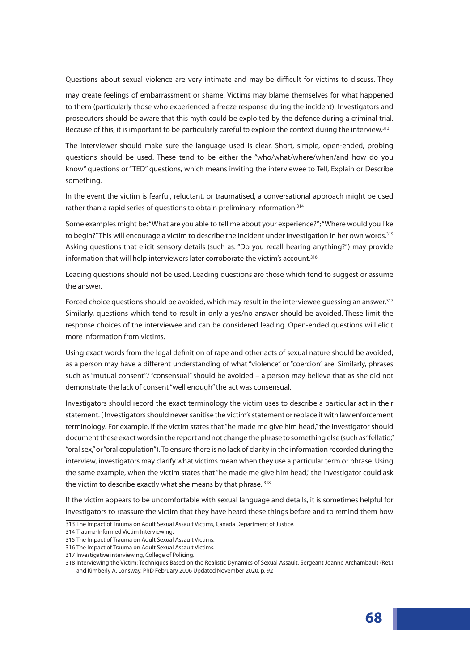Questions about sexual violence are very intimate and may be difficult for victims to discuss. They

may create feelings of embarrassment or shame. Victims may blame themselves for what happened to them (particularly those who experienced a freeze response during the incident). Investigators and prosecutors should be aware that this myth could be exploited by the defence during a criminal trial. Because of this, it is important to be particularly careful to explore the context during the interview.<sup>313</sup>

The interviewer should make sure the language used is clear. Short, simple, open-ended, probing questions should be used. These tend to be either the "who/what/where/when/and how do you know" questions or "TED" questions, which means inviting the interviewee to Tell, Explain or Describe something.

In the event the victim is fearful, reluctant, or traumatised, a conversational approach might be used rather than a rapid series of questions to obtain preliminary information.<sup>314</sup>

Some examples might be: "What are you able to tell me about your experience?"; "Where would you like to begin?" This will encourage a victim to describe the incident under investigation in her own words.<sup>315</sup> Asking questions that elicit sensory details (such as: "Do you recall hearing anything?") may provide information that will help interviewers later corroborate the victim's account.<sup>316</sup>

Leading questions should not be used. Leading questions are those which tend to suggest or assume the answer.

Forced choice questions should be avoided, which may result in the interviewee quessing an answer.<sup>317</sup> Similarly, questions which tend to result in only a yes/no answer should be avoided. These limit the response choices of the interviewee and can be considered leading. Open-ended questions will elicit more information from victims.

Using exact words from the legal definition of rape and other acts of sexual nature should be avoided, as a person may have a different understanding of what "violence" or "coercion" are. Similarly, phrases such as "mutual consent"/ "consensual" should be avoided – a person may believe that as she did not demonstrate the lack of consent "well enough" the act was consensual.

Investigators should record the exact terminology the victim uses to describe a particular act in their statement. ( Investigators should never sanitise the victim's statement or replace it with law enforcement terminology. For example, if the victim states that "he made me give him head," the investigator should document these exact words in the report and not change the phrase to something else (such as "fellatio," "oral sex," or "oral copulation"). To ensure there is no lack of clarity in the information recorded during the interview, investigators may clarify what victims mean when they use a particular term or phrase. Using the same example, when the victim states that "he made me give him head," the investigator could ask the victim to describe exactly what she means by that phrase. 318

If the victim appears to be uncomfortable with sexual language and details, it is sometimes helpful for investigators to reassure the victim that they have heard these things before and to remind them how

<sup>313</sup> The Impact of Trauma on Adult Sexual Assault Victims, Canada Department of Justice.

<sup>314</sup> Trauma-Informed Victim Interviewing.

<sup>315</sup> The Impact of Trauma on Adult Sexual Assault Victims.

<sup>316</sup> The Impact of Trauma on Adult Sexual Assault Victims.

<sup>317</sup> Investigative interviewing, College of Policing.

<sup>318</sup> Interviewing the Victim: Techniques Based on the Realistic Dynamics of Sexual Assault, Sergeant Joanne Archambault (Ret.) and Kimberly A. Lonsway, PhD February 2006 Updated November 2020, p. 92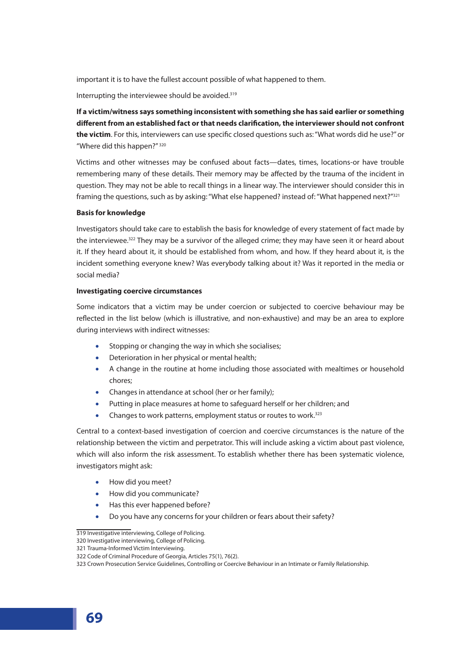important it is to have the fullest account possible of what happened to them.

Interrupting the interviewee should be avoided.<sup>319</sup>

**If a victim/witness says something inconsistent with something she has said earlier or something different from an established fact or that needs clarification, the interviewer should not confront the victim**. For this, interviewers can use specific closed questions such as: "What words did he use?" or "Where did this happen?" 320

Victims and other witnesses may be confused about facts—dates, times, locations-or have trouble remembering many of these details. Their memory may be affected by the trauma of the incident in question. They may not be able to recall things in a linear way. The interviewer should consider this in framing the questions, such as by asking: "What else happened? instead of: "What happened next?"<sup>321</sup>

#### **Basis for knowledge**

Investigators should take care to establish the basis for knowledge of every statement of fact made by the interviewee.<sup>322</sup> They may be a survivor of the alleged crime; they may have seen it or heard about it. If they heard about it, it should be established from whom, and how. If they heard about it, is the incident something everyone knew? Was everybody talking about it? Was it reported in the media or social media?

#### **Investigating coercive circumstances**

Some indicators that a victim may be under coercion or subjected to coercive behaviour may be reflected in the list below (which is illustrative, and non-exhaustive) and may be an area to explore during interviews with indirect witnesses:

- Stopping or changing the way in which she socialises;
- Deterioration in her physical or mental health;
- A change in the routine at home including those associated with mealtimes or household chores;
- Changes in attendance at school (her or her family);
- Putting in place measures at home to safeguard herself or her children; and
- Changes to work patterns, employment status or routes to work.<sup>323</sup>

Central to a context-based investigation of coercion and coercive circumstances is the nature of the relationship between the victim and perpetrator. This will include asking a victim about past violence, which will also inform the risk assessment. To establish whether there has been systematic violence, investigators might ask:

- How did you meet?
- How did you communicate?
- Has this ever happened before?
- Do you have any concerns for your children or fears about their safety?

<sup>319</sup> Investigative interviewing, College of Policing.

<sup>320</sup> Investigative interviewing, College of Policing.

<sup>321</sup> Trauma-Informed Victim Interviewing.

<sup>322</sup> Code of Criminal Procedure of Georgia, Articles 75(1), 76(2).

<sup>323</sup> Crown Prosecution Service Guidelines, Controlling or Coercive Behaviour in an Intimate or Family Relationship.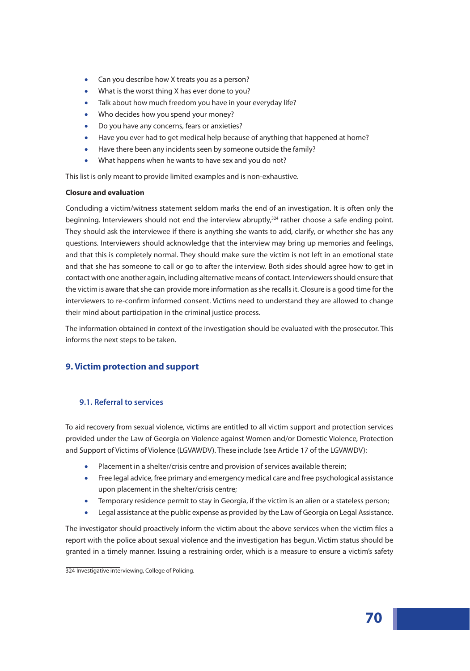- Can you describe how X treats you as a person?
- What is the worst thing X has ever done to you?
- Talk about how much freedom you have in your everyday life?
- Who decides how you spend your money?
- Do you have any concerns, fears or anxieties?
- Have you ever had to get medical help because of anything that happened at home?
- Have there been any incidents seen by someone outside the family?
- What happens when he wants to have sex and you do not?

This list is only meant to provide limited examples and is non-exhaustive.

## **Closure and evaluation**

Concluding a victim/witness statement seldom marks the end of an investigation. It is often only the beginning. Interviewers should not end the interview abruptly, $324$  rather choose a safe ending point. They should ask the interviewee if there is anything she wants to add, clarify, or whether she has any questions. Interviewers should acknowledge that the interview may bring up memories and feelings, and that this is completely normal. They should make sure the victim is not left in an emotional state and that she has someone to call or go to after the interview. Both sides should agree how to get in contact with one another again, including alternative means of contact. Interviewers should ensure that the victim is aware that she can provide more information as she recalls it. Closure is a good time for the interviewers to re-confirm informed consent. Victims need to understand they are allowed to change their mind about participation in the criminal justice process.

The information obtained in context of the investigation should be evaluated with the prosecutor. This informs the next steps to be taken.

# **9. Victim protection and support**

# **9.1. Referral to services**

To aid recovery from sexual violence, victims are entitled to all victim support and protection services provided under the Law of Georgia on Violence against Women and/or Domestic Violence, Protection and Support of Victims of Violence (LGVAWDV). These include (see Article 17 of the LGVAWDV):

- Placement in a shelter/crisis centre and provision of services available therein;
- Free legal advice, free primary and emergency medical care and free psychological assistance upon placement in the shelter/crisis centre;
- Temporary residence permit to stay in Georgia, if the victim is an alien or a stateless person;
- Legal assistance at the public expense as provided by the Law of Georgia on Legal Assistance.

The investigator should proactively inform the victim about the above services when the victim files a report with the police about sexual violence and the investigation has begun. Victim status should be granted in a timely manner. Issuing a restraining order, which is a measure to ensure a victim's safety

<sup>324</sup> Investigative interviewing, College of Policing.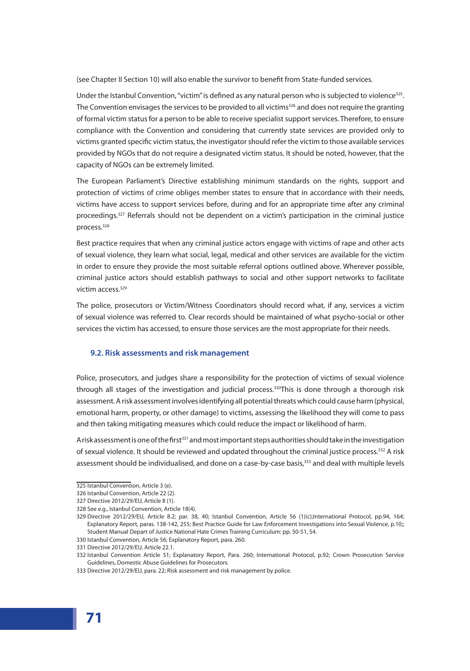(see Chapter II Section 10) will also enable the survivor to benefit from State-funded services.

Under the Istanbul Convention, "victim" is defined as any natural person who is subjected to violence<sup>325</sup>. The Convention envisages the services to be provided to all victims<sup>326</sup> and does not require the granting of formal victim status for a person to be able to receive specialist support services. Therefore, to ensure compliance with the Convention and considering that currently state services are provided only to victims granted specific victim status, the investigator should refer the victim to those available services provided by NGOs that do not require a designated victim status. It should be noted, however, that the capacity of NGOs can be extremely limited.

The European Parliament's Directive establishing minimum standards on the rights, support and protection of victims of crime obliges member states to ensure that in accordance with their needs, victims have access to support services before, during and for an appropriate time after any criminal proceedings.<sup>327</sup> Referrals should not be dependent on a victim's participation in the criminal justice process.328

Best practice requires that when any criminal justice actors engage with victims of rape and other acts of sexual violence, they learn what social, legal, medical and other services are available for the victim in order to ensure they provide the most suitable referral options outlined above. Wherever possible, criminal justice actors should establish pathways to social and other support networks to facilitate victim access.329

The police, prosecutors or Victim/Witness Coordinators should record what, if any, services a victim of sexual violence was referred to. Clear records should be maintained of what psycho-social or other services the victim has accessed, to ensure those services are the most appropriate for their needs.

## **9.2. Risk assessments and risk management**

Police, prosecutors, and judges share a responsibility for the protection of victims of sexual violence through all stages of the investigation and judicial process.<sup>330</sup>This is done through a thorough risk assessment. A risk assessment involves identifying all potential threats which could cause harm (physical, emotional harm, property, or other damage) to victims, assessing the likelihood they will come to pass and then taking mitigating measures which could reduce the impact or likelihood of harm.

A risk assessment is one of the first<sup>331</sup> and most important steps authorities should take in the investigation of sexual violence. It should be reviewed and updated throughout the criminal justice process.<sup>332</sup> A risk assessment should be individualised, and done on a case-by-case basis,<sup>333</sup> and deal with multiple levels

<sup>325</sup> Istanbul Convention, Article 3 (e).

<sup>326</sup> Istanbul Convention, Article 22 (2).

<sup>327</sup> Directive 2012/29/EU, Article 8 (1).

<sup>328</sup> See e.g., Istanbul Convention, Article 18(4).

<sup>329</sup> Directive 2012/29/EU, Article 8.2; par. 38, 40; Istanbul Convention, Article 56 (1)(c);International Protocol, pp.94, 164; Explanatory Report, paras. 138-142, 255; Best Practice Guide for Law Enforcement Investigations into Sexual Violence, p.10;; Student Manual Depart of Justice National Hate Crimes Training Curriculum: pp. 50-51, 54.

<sup>330</sup> Istanbul Convention, Article 56; Explanatory Report, para. 260.

<sup>331</sup> Directive 2012/29/EU, Article 22.1.

<sup>332</sup> Istanbul Convention Article 51; Explanatory Report, Para. 260; International Protocol, p.92; Crown Prosecution Service Guidelines, Domestic Abuse Guidelines for Prosecutors.

<sup>333</sup> Directive 2012/29/EU, para. 22; Risk assessment and risk management by police.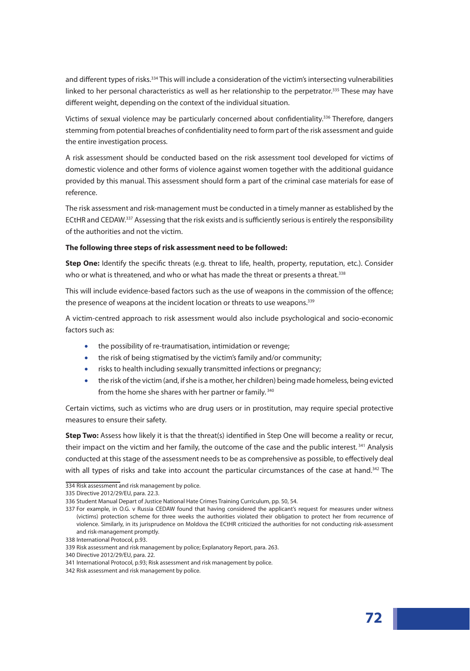and different types of risks.<sup>334</sup> This will include a consideration of the victim's intersecting vulnerabilities linked to her personal characteristics as well as her relationship to the perpetrator.<sup>335</sup> These may have different weight, depending on the context of the individual situation.

Victims of sexual violence may be particularly concerned about confidentiality.<sup>336</sup> Therefore, dangers stemming from potential breaches of confidentiality need to form part of the risk assessment and guide the entire investigation process.

A risk assessment should be conducted based on the risk assessment tool developed for victims of domestic violence and other forms of violence against women together with the additional guidance provided by this manual. This assessment should form a part of the criminal case materials for ease of reference.

The risk assessment and risk-management must be conducted in a timely manner as established by the ECtHR and CEDAW.337 Assessing that the risk exists and is sufficiently serious is entirely the responsibility of the authorities and not the victim.

#### **The following three steps of risk assessment need to be followed:**

**Step One:** Identify the specific threats (e.g. threat to life, health, property, reputation, etc.). Consider who or what is threatened, and who or what has made the threat or presents a threat.<sup>338</sup>

This will include evidence-based factors such as the use of weapons in the commission of the offence; the presence of weapons at the incident location or threats to use weapons.<sup>339</sup>

A victim-centred approach to risk assessment would also include psychological and socio-economic factors such as:

- the possibility of re-traumatisation, intimidation or revenge;
- the risk of being stigmatised by the victim's family and/or community;
- risks to health including sexually transmitted infections or pregnancy;
- the risk of the victim (and, if she is a mother, her children) being made homeless, being evicted from the home she shares with her partner or family.<sup>340</sup>

Certain victims, such as victims who are drug users or in prostitution, may require special protective measures to ensure their safety.

**Step Two:** Assess how likely it is that the threat(s) identified in Step One will become a reality or recur, their impact on the victim and her family, the outcome of the case and the public interest.<sup>341</sup> Analysis conducted at this stage of the assessment needs to be as comprehensive as possible, to effectively deal with all types of risks and take into account the particular circumstances of the case at hand.<sup>342</sup> The

<sup>334</sup> Risk assessment and risk management by police.

<sup>335</sup> Directive 2012/29/EU, para. 22.3.

<sup>336</sup> Student Manual Depart of Justice National Hate Crimes Training Curriculum, pp. 50, 54.

<sup>337</sup> For example, in O.G. v Russia CEDAW found that having considered the applicant's request for measures under witness (victims) protection scheme for three weeks the authorities violated their obligation to protect her from recurrence of violence. Similarly, in its jurisprudence on Moldova the ECtHR criticized the authorities for not conducting risk-assessment and risk-management promptly.

<sup>338</sup> International Protocol, p.93.

<sup>339</sup> Risk assessment and risk management by police; Explanatory Report, para. 263.

<sup>340</sup> Directive 2012/29/EU, para. 22.

<sup>341</sup> International Protocol, p.93; Risk assessment and risk management by police.

<sup>342</sup> Risk assessment and risk management by police.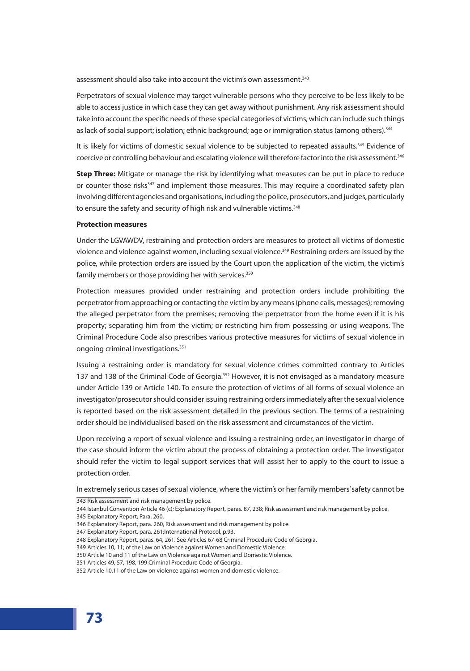assessment should also take into account the victim's own assessment.<sup>343</sup>

Perpetrators of sexual violence may target vulnerable persons who they perceive to be less likely to be able to access justice in which case they can get away without punishment. Any risk assessment should take into account the specific needs of these special categories of victims, which can include such things as lack of social support; isolation; ethnic background; age or immigration status (among others).<sup>344</sup>

It is likely for victims of domestic sexual violence to be subjected to repeated assaults.<sup>345</sup> Evidence of coercive or controlling behaviour and escalating violence will therefore factor into the risk assessment.<sup>346</sup>

**Step Three:** Mitigate or manage the risk by identifying what measures can be put in place to reduce or counter those risks<sup>347</sup> and implement those measures. This may require a coordinated safety plan involving different agencies and organisations, including the police, prosecutors, and judges, particularly to ensure the safety and security of high risk and vulnerable victims.<sup>348</sup>

#### **Protection measures**

Under the LGVAWDV, restraining and protection orders are measures to protect all victims of domestic violence and violence against women, including sexual violence.<sup>349</sup> Restraining orders are issued by the police, while protection orders are issued by the Court upon the application of the victim, the victim's family members or those providing her with services.<sup>350</sup>

Protection measures provided under restraining and protection orders include prohibiting the perpetrator from approaching or contacting the victim by any means (phone calls, messages); removing the alleged perpetrator from the premises; removing the perpetrator from the home even if it is his property; separating him from the victim; or restricting him from possessing or using weapons. The Criminal Procedure Code also prescribes various protective measures for victims of sexual violence in ongoing criminal investigations.351

Issuing a restraining order is mandatory for sexual violence crimes committed contrary to Articles 137 and 138 of the Criminal Code of Georgia.<sup>352</sup> However, it is not envisaged as a mandatory measure under Article 139 or Article 140. To ensure the protection of victims of all forms of sexual violence an investigator/prosecutor should consider issuing restraining orders immediately after the sexual violence is reported based on the risk assessment detailed in the previous section. The terms of a restraining order should be individualised based on the risk assessment and circumstances of the victim.

Upon receiving a report of sexual violence and issuing a restraining order, an investigator in charge of the case should inform the victim about the process of obtaining a protection order. The investigator should refer the victim to legal support services that will assist her to apply to the court to issue a protection order.

In extremely serious cases of sexual violence, where the victim's or her family members' safety cannot be

343 Risk assessment and risk management by police.

344 Istanbul Convention Article 46 (c); Explanatory Report, paras. 87, 238; Risk assessment and risk management by police.

345 Explanatory Report, Para. 260.

- 347 Explanatory Report, para. 261; International Protocol, p.93.
- 348 Explanatory Report, paras. 64, 261. See Articles 67-68 Criminal Procedure Code of Georgia.

350 Article 10 and 11 of the Law on Violence against Women and Domestic Violence.

<sup>346</sup> Explanatory Report, para. 260, Risk assessment and risk management by police.

<sup>349</sup> Articles 10, 11; of the Law on Violence against Women and Domestic Violence.

<sup>351</sup> Articles 49, 57, 198, 199 Criminal Procedure Code of Georgia.

<sup>352</sup> Article 10.11 of the Law on violence against women and domestic violence.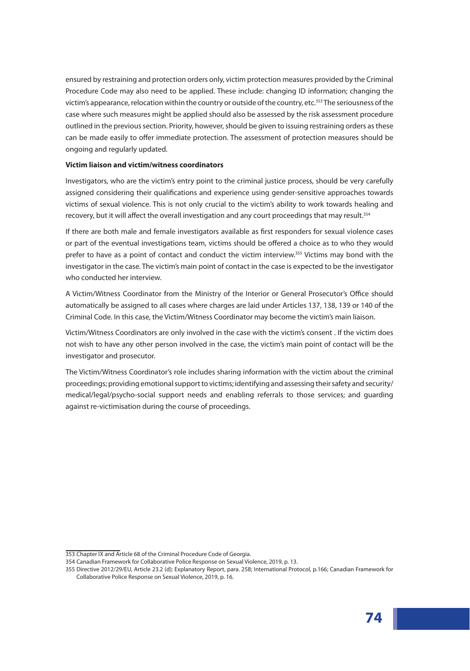ensured by restraining and protection orders only, victim protection measures provided by the Criminal Procedure Code may also need to be applied. These include: changing ID information; changing the victim's appearance, relocation within the country or outside of the country, etc.<sup>353</sup> The seriousness of the case where such measures might be applied should also be assessed by the risk assessment procedure outlined in the previous section. Priority, however, should be given to issuing restraining orders as these can be made easily to offer immediate protection. The assessment of protection measures should be ongoing and regularly updated.

#### **Victim liaison and victim/witness coordinators**

Investigators, who are the victim's entry point to the criminal justice process, should be very carefully assigned considering their qualifications and experience using gender-sensitive approaches towards victims of sexual violence. This is not only crucial to the victim's ability to work towards healing and recovery, but it will affect the overall investigation and any court proceedings that may result.<sup>354</sup>

If there are both male and female investigators available as first responders for sexual violence cases or part of the eventual investigations team, victims should be offered a choice as to who they would prefer to have as a point of contact and conduct the victim interview.<sup>355</sup> Victims may bond with the investigator in the case. The victim's main point of contact in the case is expected to be the investigator who conducted her interview.

A Victim/Witness Coordinator from the Ministry of the Interior or General Prosecutor's Office should automatically be assigned to all cases where charges are laid under Articles 137, 138, 139 or 140 of the Criminal Code. In this case, the Victim/Witness Coordinator may become the victim's main liaison.

Victim/Witness Coordinators are only involved in the case with the victim's consent . If the victim does not wish to have any other person involved in the case, the victim's main point of contact will be the investigator and prosecutor.

The Victim/Witness Coordinator's role includes sharing information with the victim about the criminal proceedings; providing emotional support to victims; identifying and assessing their safety and security/ medical/legal/psycho-social support needs and enabling referrals to those services; and guarding against re-victimisation during the course of proceedings.

<sup>353</sup> Chapter IX and Article 68 of the Criminal Procedure Code of Georgia.

<sup>354</sup> Canadian Framework for Collaborative Police Response on Sexual Violence, 2019, p. 13.

<sup>355</sup> Directive 2012/29/EU, Article 23.2 (d); Explanatory Report, para. 258; International Protocol, p.166; Canadian Framework for Collaborative Police Response on Sexual Violence, 2019, p. 16.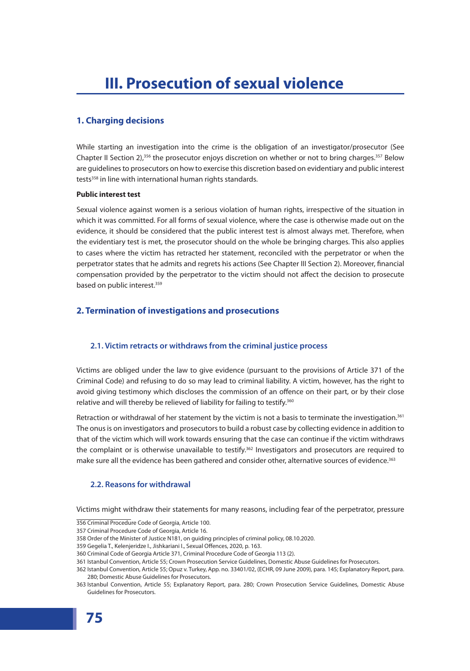# **1. Charging decisions**

While starting an investigation into the crime is the obligation of an investigator/prosecutor (See Chapter II Section 2),<sup>356</sup> the prosecutor enjoys discretion on whether or not to bring charges.<sup>357</sup> Below are guidelines to prosecutors on how to exercise this discretion based on evidentiary and public interest tests<sup>358</sup> in line with international human rights standards.

## **Public interest test**

Sexual violence against women is a serious violation of human rights, irrespective of the situation in which it was committed. For all forms of sexual violence, where the case is otherwise made out on the evidence, it should be considered that the public interest test is almost always met. Therefore, when the evidentiary test is met, the prosecutor should on the whole be bringing charges. This also applies to cases where the victim has retracted her statement, reconciled with the perpetrator or when the perpetrator states that he admits and regrets his actions (See Chapter III Section 2). Moreover, financial compensation provided by the perpetrator to the victim should not affect the decision to prosecute based on public interest.<sup>359</sup>

# **2. Termination of investigations and prosecutions**

# **2.1. Victim retracts or withdraws from the criminal justice process**

Victims are obliged under the law to give evidence (pursuant to the provisions of Article 371 of the Criminal Code) and refusing to do so may lead to criminal liability. A victim, however, has the right to avoid giving testimony which discloses the commission of an offence on their part, or by their close relative and will thereby be relieved of liability for failing to testify.<sup>360</sup>

Retraction or withdrawal of her statement by the victim is not a basis to terminate the investigation.<sup>361</sup> The onus is on investigators and prosecutors to build a robust case by collecting evidence in addition to that of the victim which will work towards ensuring that the case can continue if the victim withdraws the complaint or is otherwise unavailable to testify.<sup>362</sup> Investigators and prosecutors are required to make sure all the evidence has been gathered and consider other, alternative sources of evidence.<sup>363</sup>

# **2.2. Reasons for withdrawal**

Victims might withdraw their statements for many reasons, including fear of the perpetrator, pressure

<sup>356</sup> Criminal Procedure Code of Georgia, Article 100.

<sup>357</sup> Criminal Procedure Code of Georgia, Article 16.

<sup>358</sup> Order of the Minister of Justice N181, on guiding principles of criminal policy, 08.10.2020.

<sup>359</sup> Gegelia T., Kelenjeridze I., Jishkariani I., Sexual Offences, 2020, p. 163.

<sup>360</sup> Criminal Code of Georgia Article 371, Criminal Procedure Code of Georgia 113 (2).

<sup>361</sup> Istanbul Convention, Article 55; Crown Prosecution Service Guidelines, Domestic Abuse Guidelines for Prosecutors.

<sup>362</sup> Istanbul Convention, Article 55; Opuz v. Turkey, App. no. 33401/02, (ECHR, 09 June 2009), para. 145; Explanatory Report, para. 280; Domestic Abuse Guidelines for Prosecutors.

<sup>363</sup> Istanbul Convention, Article 55; Explanatory Report, para. 280; Crown Prosecution Service Guidelines, Domestic Abuse Guidelines for Prosecutors.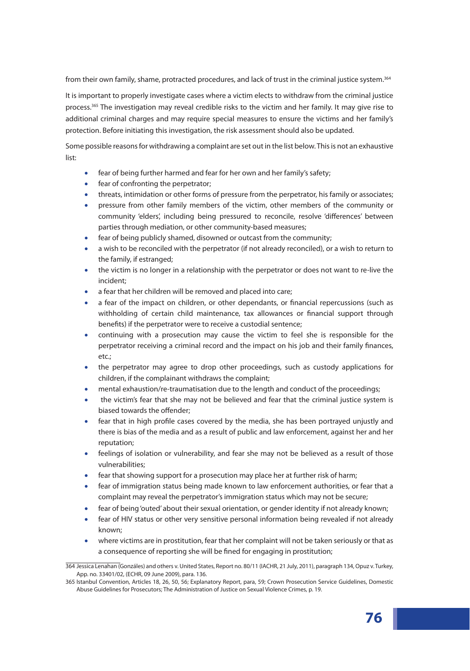from their own family, shame, protracted procedures, and lack of trust in the criminal justice system.<sup>364</sup>

It is important to properly investigate cases where a victim elects to withdraw from the criminal justice process.<sup>365</sup> The investigation may reveal credible risks to the victim and her family. It may give rise to additional criminal charges and may require special measures to ensure the victims and her family's protection. Before initiating this investigation, the risk assessment should also be updated.

Some possible reasons for withdrawing a complaint are set out in the list below. This is not an exhaustive list:

- fear of being further harmed and fear for her own and her family's safety;
- fear of confronting the perpetrator;
- threats, intimidation or other forms of pressure from the perpetrator, his family or associates;
- pressure from other family members of the victim, other members of the community or community 'elders', including being pressured to reconcile, resolve 'differences' between parties through mediation, or other community-based measures;
- fear of being publicly shamed, disowned or outcast from the community;
- a wish to be reconciled with the perpetrator (if not already reconciled), or a wish to return to the family, if estranged;
- the victim is no longer in a relationship with the perpetrator or does not want to re-live the incident;
- a fear that her children will be removed and placed into care;
- a fear of the impact on children, or other dependants, or financial repercussions (such as withholding of certain child maintenance, tax allowances or financial support through benefits) if the perpetrator were to receive a custodial sentence;
- continuing with a prosecution may cause the victim to feel she is responsible for the perpetrator receiving a criminal record and the impact on his job and their family finances, etc.;
- the perpetrator may agree to drop other proceedings, such as custody applications for children, if the complainant withdraws the complaint;
- mental exhaustion/re-traumatisation due to the length and conduct of the proceedings;
- the victim's fear that she may not be believed and fear that the criminal justice system is biased towards the offender;
- fear that in high profile cases covered by the media, she has been portrayed unjustly and there is bias of the media and as a result of public and law enforcement, against her and her reputation;
- feelings of isolation or vulnerability, and fear she may not be believed as a result of those vulnerabilities;
- fear that showing support for a prosecution may place her at further risk of harm;
- fear of immigration status being made known to law enforcement authorities, or fear that a complaint may reveal the perpetrator's immigration status which may not be secure;
- fear of being 'outed' about their sexual orientation, or gender identity if not already known;
- fear of HIV status or other very sensitive personal information being revealed if not already known;
- where victims are in prostitution, fear that her complaint will not be taken seriously or that as a consequence of reporting she will be fined for engaging in prostitution;

<sup>364</sup> Jessica Lenahan (Gonzáles) and others v. United States, Report no. 80/11 (IACHR, 21 July, 2011), paragraph 134, Opuz v. Turkey, App. no. 33401/02, (ECHR, 09 June 2009), para. 136.

<sup>365</sup> Istanbul Convention, Articles 18, 26, 50, 56; Explanatory Report, para, 59; Crown Prosecution Service Guidelines, Domestic Abuse Guidelines for Prosecutors; The Administration of Justice on Sexual Violence Crimes, p. 19.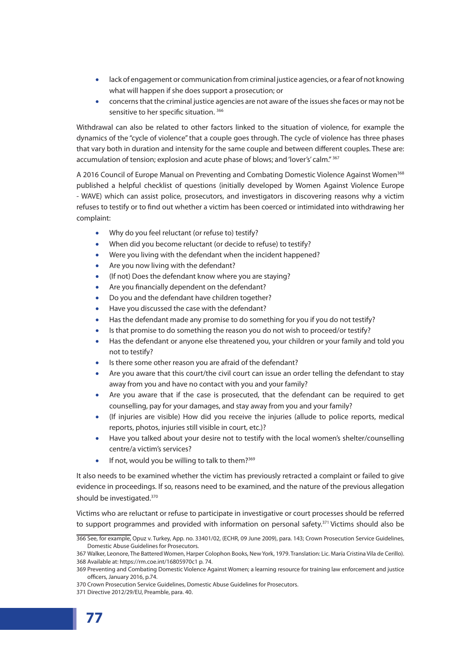- lack of engagement or communication from criminal justice agencies, or a fear of not knowing what will happen if she does support a prosecution; or
- concerns that the criminal justice agencies are not aware of the issues she faces or may not be sensitive to her specific situation. <sup>366</sup>

Withdrawal can also be related to other factors linked to the situation of violence, for example the dynamics of the "cycle of violence" that a couple goes through. The cycle of violence has three phases that vary both in duration and intensity for the same couple and between different couples. These are: accumulation of tension; explosion and acute phase of blows; and 'lover's' calm." 367

A 2016 Council of Europe Manual on Preventing and Combating Domestic Violence Against Women<sup>368</sup> published a helpful checklist of questions (initially developed by Women Against Violence Europe - WAVE) which can assist police, prosecutors, and investigators in discovering reasons why a victim refuses to testify or to find out whether a victim has been coerced or intimidated into withdrawing her complaint:

- Why do you feel reluctant (or refuse to) testify?
- When did you become reluctant (or decide to refuse) to testify?
- Were you living with the defendant when the incident happened?
- Are you now living with the defendant?
- (If not) Does the defendant know where you are staying?
- Are you financially dependent on the defendant?
- Do you and the defendant have children together?
- Have you discussed the case with the defendant?
- Has the defendant made any promise to do something for you if you do not testify?
- Is that promise to do something the reason you do not wish to proceed/or testify?
- Has the defendant or anyone else threatened you, your children or your family and told you not to testify?
- Is there some other reason you are afraid of the defendant?
- Are you aware that this court/the civil court can issue an order telling the defendant to stay away from you and have no contact with you and your family?
- Are you aware that if the case is prosecuted, that the defendant can be required to get counselling, pay for your damages, and stay away from you and your family?
- (If injuries are visible) How did you receive the injuries (allude to police reports, medical reports, photos, injuries still visible in court, etc.)?
- Have you talked about your desire not to testify with the local women's shelter/counselling centre/a victim's services?
- If not, would you be willing to talk to them?<sup>369</sup>

It also needs to be examined whether the victim has previously retracted a complaint or failed to give evidence in proceedings. If so, reasons need to be examined, and the nature of the previous allegation should be investigated.<sup>370</sup>

Victims who are reluctant or refuse to participate in investigative or court processes should be referred to support programmes and provided with information on personal safety. $371$  Victims should also be

<sup>366</sup> See, for example, Opuz v. Turkey, App. no. 33401/02, (ECHR, 09 June 2009), para. 143; Crown Prosecution Service Guidelines, Domestic Abuse Guidelines for Prosecutors.

<sup>367</sup> Walker, Leonore, The Battered Women, Harper Colophon Books, New York, 1979. Translation: Lic. María Cristina Vila de Cerillo). 368 Available at: https://rm.coe.int/16805970c1 p. 74.

<sup>369</sup> Preventing and Combating Domestic Violence Against Women; a learning resource for training law enforcement and justice officers, January 2016, p.74.

<sup>370</sup> Crown Prosecution Service Guidelines, Domestic Abuse Guidelines for Prosecutors.

<sup>371</sup> Directive 2012/29/EU, Preamble, para. 40.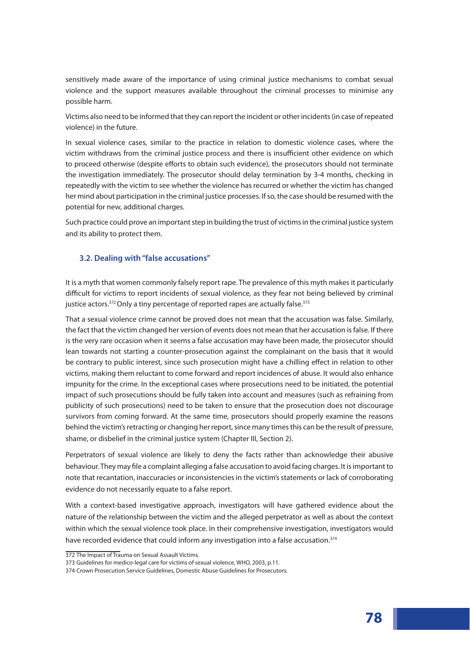sensitively made aware of the importance of using criminal justice mechanisms to combat sexual violence and the support measures available throughout the criminal processes to minimise any possible harm.

Victims also need to be informed that they can report the incident or other incidents (in case of repeated violence) in the future.

In sexual violence cases, similar to the practice in relation to domestic violence cases, where the victim withdraws from the criminal justice process and there is insufficient other evidence on which to proceed otherwise (despite efforts to obtain such evidence), the prosecutors should not terminate the investigation immediately. The prosecutor should delay termination by 3-4 months, checking in repeatedly with the victim to see whether the violence has recurred or whether the victim has changed her mind about participation in the criminal justice processes. If so, the case should be resumed with the potential for new, additional charges.

Such practice could prove an important step in building the trust of victims in the criminal justice system and its ability to protect them.

## **3.2. Dealing with "false accusations"**

It is a myth that women commonly falsely report rape. The prevalence of this myth makes it particularly difficult for victims to report incidents of sexual violence, as they fear not being believed by criminal justice actors.<sup>372</sup> Only a tiny percentage of reported rapes are actually false.<sup>373</sup>

That a sexual violence crime cannot be proved does not mean that the accusation was false. Similarly, the fact that the victim changed her version of events does not mean that her accusation is false. If there is the very rare occasion when it seems a false accusation may have been made, the prosecutor should lean towards not starting a counter-prosecution against the complainant on the basis that it would be contrary to public interest, since such prosecution might have a chilling effect in relation to other victims, making them reluctant to come forward and report incidences of abuse. It would also enhance impunity for the crime. In the exceptional cases where prosecutions need to be initiated, the potential impact of such prosecutions should be fully taken into account and measures (such as refraining from publicity of such prosecutions) need to be taken to ensure that the prosecution does not discourage survivors from coming forward. At the same time, prosecutors should properly examine the reasons behind the victim's retracting or changing her report, since many times this can be the result of pressure, shame, or disbelief in the criminal justice system (Chapter III, Section 2).

Perpetrators of sexual violence are likely to deny the facts rather than acknowledge their abusive behaviour. They may file a complaint alleging a false accusation to avoid facing charges. It is important to note that recantation, inaccuracies or inconsistencies in the victim's statements or lack of corroborating evidence do not necessarily equate to a false report.

With a context-based investigative approach, investigators will have gathered evidence about the nature of the relationship between the victim and the alleged perpetrator as well as about the context within which the sexual violence took place. In their comprehensive investigation, investigators would have recorded evidence that could inform any investigation into a false accusation.<sup>374</sup>

<sup>372</sup> The Impact of Trauma on Sexual Assault Victims.

<sup>373</sup> Guidelines for medico-legal care for victims of sexual violence, WHO, 2003, p.11.

<sup>374</sup> Crown Prosecution Service Guidelines, Domestic Abuse Guidelines for Prosecutors.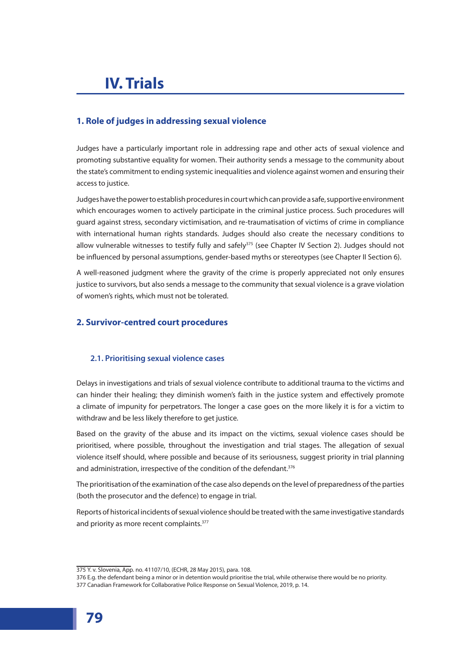# **IV. Trials**

# **1. Role of judges in addressing sexual violence**

Judges have a particularly important role in addressing rape and other acts of sexual violence and promoting substantive equality for women. Their authority sends a message to the community about the state's commitment to ending systemic inequalities and violence against women and ensuring their access to justice.

Judges have the power to establish procedures in court which can provide a safe, supportive environment which encourages women to actively participate in the criminal justice process. Such procedures will guard against stress, secondary victimisation, and re-traumatisation of victims of crime in compliance with international human rights standards. Judges should also create the necessary conditions to allow vulnerable witnesses to testify fully and safely<sup>375</sup> (see Chapter IV Section 2). Judges should not be influenced by personal assumptions, gender-based myths or stereotypes (see Chapter II Section 6).

A well-reasoned judgment where the gravity of the crime is properly appreciated not only ensures justice to survivors, but also sends a message to the community that sexual violence is a grave violation of women's rights, which must not be tolerated.

## **2. Survivor-centred court procedures**

## **2.1. Prioritising sexual violence cases**

Delays in investigations and trials of sexual violence contribute to additional trauma to the victims and can hinder their healing; they diminish women's faith in the justice system and effectively promote a climate of impunity for perpetrators. The longer a case goes on the more likely it is for a victim to withdraw and be less likely therefore to get justice.

Based on the gravity of the abuse and its impact on the victims, sexual violence cases should be prioritised, where possible, throughout the investigation and trial stages. The allegation of sexual violence itself should, where possible and because of its seriousness, suggest priority in trial planning and administration, irrespective of the condition of the defendant.<sup>376</sup>

The prioritisation of the examination of the case also depends on the level of preparedness of the parties (both the prosecutor and the defence) to engage in trial.

Reports of historical incidents of sexual violence should be treated with the same investigative standards and priority as more recent complaints.<sup>377</sup>

<sup>375</sup> Y. v. Slovenia, App. no. 41107/10, (ECHR, 28 May 2015), para. 108.

<sup>376</sup> E.g. the defendant being a minor or in detention would prioritise the trial, while otherwise there would be no priority. 377 Canadian Framework for Collaborative Police Response on Sexual Violence, 2019, p. 14.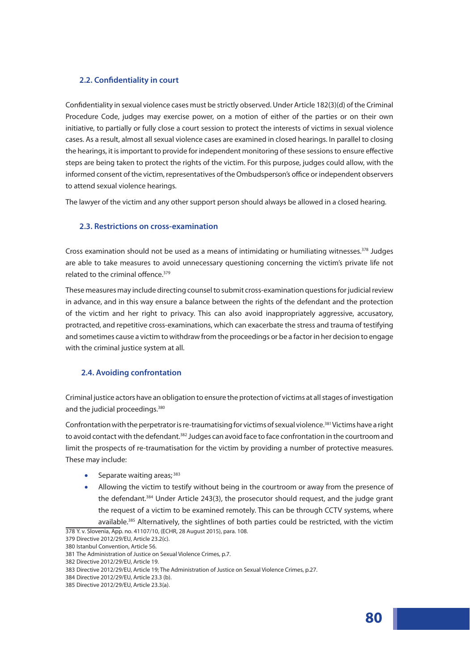## **2.2. Confidentiality in court**

Confidentiality in sexual violence cases must be strictly observed. Under Article 182(3)(d) of the Criminal Procedure Code, judges may exercise power, on a motion of either of the parties or on their own initiative, to partially or fully close a court session to protect the interests of victims in sexual violence cases. As a result, almost all sexual violence cases are examined in closed hearings. In parallel to closing the hearings, it is important to provide for independent monitoring of these sessions to ensure effective steps are being taken to protect the rights of the victim. For this purpose, judges could allow, with the informed consent of the victim, representatives of the Ombudsperson's office or independent observers to attend sexual violence hearings.

The lawyer of the victim and any other support person should always be allowed in a closed hearing.

## **2.3. Restrictions on cross-examination**

Cross examination should not be used as a means of intimidating or humiliating witnesses. $378$  Judges are able to take measures to avoid unnecessary questioning concerning the victim's private life not related to the criminal offence.<sup>379</sup>

These measures may include directing counsel to submit cross-examination questions for judicial review in advance, and in this way ensure a balance between the rights of the defendant and the protection of the victim and her right to privacy. This can also avoid inappropriately aggressive, accusatory, protracted, and repetitive cross-examinations, which can exacerbate the stress and trauma of testifying and sometimes cause a victim to withdraw from the proceedings or be a factor in her decision to engage with the criminal justice system at all.

## **2.4. Avoiding confrontation**

Criminal justice actors have an obligation to ensure the protection of victims at all stages of investigation and the judicial proceedings.<sup>380</sup>

Confrontation with the perpetrator is re-traumatising for victims of sexual violence.<sup>381</sup> Victims have a right to avoid contact with the defendant.<sup>382</sup> Judges can avoid face to face confrontation in the courtroom and limit the prospects of re-traumatisation for the victim by providing a number of protective measures. These may include:

- Separate waiting areas;  $383$
- Allowing the victim to testify without being in the courtroom or away from the presence of the defendant.384 Under Article 243(3), the prosecutor should request, and the judge grant the request of a victim to be examined remotely. This can be through CCTV systems, where available.<sup>385</sup> Alternatively, the sightlines of both parties could be restricted, with the victim

<sup>378</sup> Y. v. Slovenia, App. no. 41107/10, (ECHR, 28 August 2015), para. 108.

<sup>379</sup> Directive 2012/29/EU, Article 23.2(c).

<sup>380</sup> Istanbul Convention, Article 56.

<sup>381</sup> The Administration of Justice on Sexual Violence Crimes, p.7.

<sup>382</sup> Directive 2012/29/EU, Article 19.

<sup>383</sup> Directive 2012/29/EU, Article 19; The Administration of Justice on Sexual Violence Crimes, p.27.

<sup>384</sup> Directive 2012/29/EU, Article 23.3 (b).

<sup>385</sup> Directive 2012/29/EU, Article 23.3(a).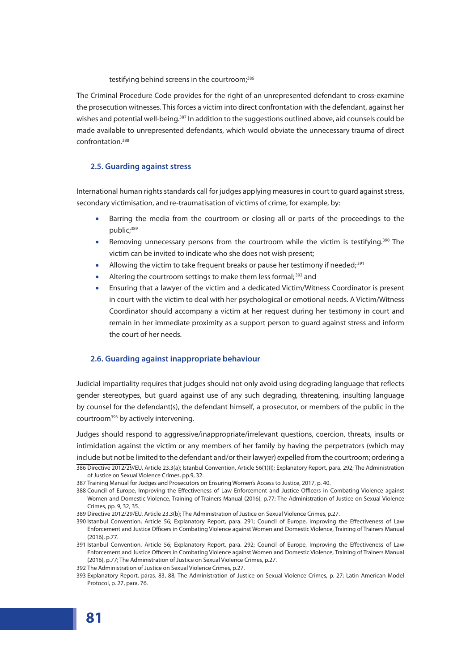testifying behind screens in the courtroom;<sup>386</sup>

The Criminal Procedure Code provides for the right of an unrepresented defendant to cross-examine the prosecution witnesses. This forces a victim into direct confrontation with the defendant, against her wishes and potential well-being.<sup>387</sup> In addition to the suggestions outlined above, aid counsels could be made available to unrepresented defendants, which would obviate the unnecessary trauma of direct confrontation<sup>388</sup>

## **2.5. Guarding against stress**

International human rights standards call for judges applying measures in court to guard against stress, secondary victimisation, and re-traumatisation of victims of crime, for example, by:

- Barring the media from the courtroom or closing all or parts of the proceedings to the public;<sup>389</sup>
- Removing unnecessary persons from the courtroom while the victim is testifying.<sup>390</sup> The victim can be invited to indicate who she does not wish present;
- Allowing the victim to take frequent breaks or pause her testimony if needed;  $391$
- Altering the courtroom settings to make them less formal;<sup>392</sup> and
- Ensuring that a lawyer of the victim and a dedicated Victim/Witness Coordinator is present in court with the victim to deal with her psychological or emotional needs. A Victim/Witness Coordinator should accompany a victim at her request during her testimony in court and remain in her immediate proximity as a support person to guard against stress and inform the court of her needs.

## **2.6. Guarding against inappropriate behaviour**

Judicial impartiality requires that judges should not only avoid using degrading language that reflects gender stereotypes, but guard against use of any such degrading, threatening, insulting language by counsel for the defendant(s), the defendant himself, a prosecutor, or members of the public in the courtroom<sup>393</sup> by actively intervening.

Judges should respond to aggressive/inappropriate/irrelevant questions, coercion, threats, insults or intimidation against the victim or any members of her family by having the perpetrators (which may include but not be limited to the defendant and/or their lawyer) expelled from the courtroom; ordering a 386 Directive 2012/29/EU, Article 23.3(a); Istanbul Convention, Article 56(1)(I); Explanatory Report, para. 292; The Administration of Justice on Sexual Violence Crimes, pp.9, 32.

388 Council of Europe, Improving the Effectiveness of Law Enforcement and Justice Officers in Combating Violence against Women and Domestic Violence, Training of Trainers Manual (2016), p.77; The Administration of Justice on Sexual Violence Crimes, pp. 9, 32, 35.

<sup>387</sup> Training Manual for Judges and Prosecutors on Ensuring Women's Access to Justice, 2017, p. 40.

<sup>389</sup> Directive 2012/29/EU, Article 23.3(b); The Administration of Justice on Sexual Violence Crimes, p.27.

<sup>390</sup> Istanbul Convention, Article 56; Explanatory Report, para. 291; Council of Europe, Improving the Effectiveness of Law Enforcement and Justice Officers in Combating Violence against Women and Domestic Violence, Training of Trainers Manual (2016), p.77.

<sup>391</sup> Istanbul Convention, Article 56; Explanatory Report, para. 292; Council of Europe, Improving the Effectiveness of Law Enforcement and Justice Officers in Combating Violence against Women and Domestic Violence, Training of Trainers Manual (2016), p.77; The Administration of Justice on Sexual Violence Crimes, p.27.

<sup>392</sup> The Administration of Justice on Sexual Violence Crimes, p.27.

<sup>393</sup> Explanatory Report, paras. 83, 88; The Administration of Justice on Sexual Violence Crimes, p. 27; Latin American Model Protocol, p. 27, para. 76.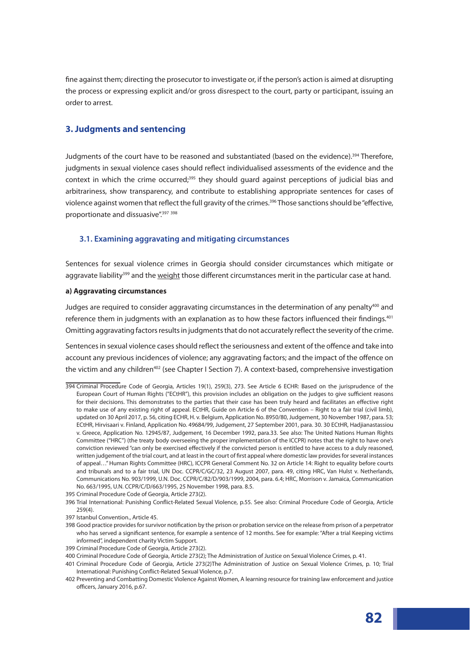fine against them; directing the prosecutor to investigate or, if the person's action is aimed at disrupting the process or expressing explicit and/or gross disrespect to the court, party or participant, issuing an order to arrest.

## **3. Judgments and sentencing**

Judgments of the court have to be reasoned and substantiated (based on the evidence).394 Therefore, judgments in sexual violence cases should reflect individualised assessments of the evidence and the context in which the crime occurred;<sup>395</sup> they should guard against perceptions of judicial bias and arbitrariness, show transparency, and contribute to establishing appropriate sentences for cases of violence against women that reflect the full gravity of the crimes.<sup>396</sup> Those sanctions should be "effective, proportionate and dissuasive".<sup>397</sup> 398

## **3.1. Examining aggravating and mitigating circumstances**

Sentences for sexual violence crimes in Georgia should consider circumstances which mitigate or aggravate liability<sup>399</sup> and the <u>weight</u> those different circumstances merit in the particular case at hand.

#### **a) Aggravating circumstances**

Judges are required to consider aggravating circumstances in the determination of any penalty<sup>400</sup> and reference them in judgments with an explanation as to how these factors influenced their findings.<sup>401</sup> Omitting aggravating factors results in judgments that do not accurately reflect the severity of the crime.

Sentences in sexual violence cases should reflect the seriousness and extent of the offence and take into account any previous incidences of violence; any aggravating factors; and the impact of the offence on the victim and any children<sup>402</sup> (see Chapter I Section 7). A context-based, comprehensive investigation

<sup>394</sup> Criminal Procedure Code of Georgia, Articles 19(1), 259(3), 273. See Article 6 ECHR: Based on the jurisprudence of the European Court of Human Rights ("ECtHR"), this provision includes an obligation on the judges to give sufficient reasons for their decisions. This demonstrates to the parties that their case has been truly heard and facilitates an effective right to make use of any existing right of appeal. ECtHR, Guide on Article 6 of the Convention – Right to a fair trial (civil limb), updated on 30 April 2017, p. 56, citing ECHR, H. v. Belgium, Application No. 8950/80, Judgement, 30 November 1987, para. 53; ECtHR, Hirvisaari v. Finland, Application No. 49684/99, Judgement, 27 September 2001, para. 30. 30 ECtHR, Hadjianastassiou v. Greece, Application No. 12945/87, Judgement, 16 December 1992, para.33. See also: The United Nations Human Rights Committee ("HRC") (the treaty body overseeing the proper implementation of the ICCPR) notes that the right to have one's conviction reviewed "can only be exercised effectively if the convicted person is entitled to have access to a duly reasoned, written judgement of the trial court, and at least in the court of first appeal where domestic law provides for several instances of appeal…" Human Rights Committee (HRC), ICCPR General Comment No. 32 on Article 14: Right to equality before courts and tribunals and to a fair trial, UN Doc. CCPR/C/GC/32, 23 August 2007, para. 49, citing HRC, Van Hulst v. Netherlands, Communications No. 903/1999, U.N. Doc. CCPR/C/82/D/903/1999, 2004, para. 6.4; HRC, Morrison v. Jamaica, Communication No. 663/1995, U.N. CCPR/C/D/663/1995, 25 November 1998, para. 8.5.

<sup>395</sup> Criminal Procedure Code of Georgia, Article 273(2).

<sup>396</sup> Trial International: Punishing Conflict-Related Sexual Violence, p.55. See also: Criminal Procedure Code of Georgia, Article 259(4).

<sup>397</sup> Istanbul Convention., Article 45.

<sup>398</sup> Good practice provides for survivor notification by the prison or probation service on the release from prison of a perpetrator who has served a significant sentence, for example a sentence of 12 months. See for example: "After a trial Keeping victims informed", independent charity Victim Support.

<sup>399</sup> Criminal Procedure Code of Georgia, Article 273(2).

<sup>400</sup> Criminal Procedure Code of Georgia, Article 273(2); The Administration of Justice on Sexual Violence Crimes, p. 41.

<sup>401</sup> Criminal Procedure Code of Georgia, Article 273(2)The Administration of Justice on Sexual Violence Crimes, p. 10; Trial International: Punishing Conflict-Related Sexual Violence, p.7.

<sup>402</sup> Preventing and Combatting Domestic Violence Against Women, A learning resource for training law enforcement and justice officers, January 2016, p.67.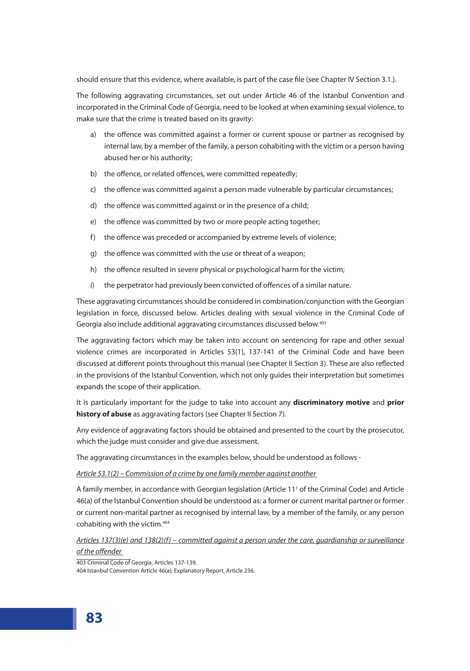should ensure that this evidence, where available, is part of the case file (see Chapter IV Section 3.1.).

The following aggravating circumstances, set out under Article 46 of the Istanbul Convention and incorporated in the Criminal Code of Georgia, need to be looked at when examining sexual violence, to make sure that the crime is treated based on its gravity:

- a) the offence was committed against a former or current spouse or partner as recognised by internal law, by a member of the family, a person cohabiting with the victim or a person having abused her or his authority;
- b) the offence, or related offences, were committed repeatedly;
- c) the offence was committed against a person made vulnerable by particular circumstances;
- d) the offence was committed against or in the presence of a child;
- e) the offence was committed by two or more people acting together;
- f) the offence was preceded or accompanied by extreme levels of violence;
- g) the offence was committed with the use or threat of a weapon;
- h) the offence resulted in severe physical or psychological harm for the victim;
- i) the perpetrator had previously been convicted of offences of a similar nature.

These aggravating circumstances should be considered in combination/conjunction with the Georgian legislation in force, discussed below. Articles dealing with sexual violence in the Criminal Code of Georgia also include additional aggravating circumstances discussed below.403

The aggravating factors which may be taken into account on sentencing for rape and other sexual violence crimes are incorporated in Articles 53(1), 137-141 of the Criminal Code and have been discussed at different points throughout this manual (see Chapter II Section 3). These are also reflected in the provisions of the Istanbul Convention, which not only guides their interpretation but sometimes expands the scope of their application.

It is particularly important for the judge to take into account any **discriminatory motive** and **prior history of abuse** as aggravating factors (see Chapter II Section 7).

Any evidence of aggravating factors should be obtained and presented to the court by the prosecutor, which the judge must consider and give due assessment.

The aggravating circumstances in the examples below, should be understood as follows -

## *Article 53.1(2) – Commission of a crime by one family member against another*

A family member, in accordance with Georgian legislation (Article 11<sup>1</sup> of the Criminal Code) and Article 46(a) of the Istanbul Convention should be understood as: a former or current marital partner or former or current non-marital partner as recognised by internal law, by a member of the family, or any person cohabiting with the victim.<sup>404</sup>

# *Articles 137(3)(e) and 138(2)(f) – committed against a person under the care, guardianship or surveillance of the offender*

403 Criminal Code of Georgia, Articles 137-139.

404 Istanbul Convention Article 46(a); Explanatory Report, Article 236.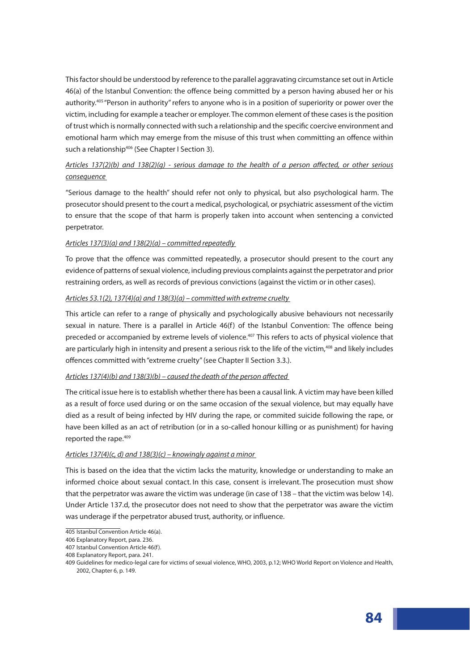This factor should be understood by reference to the parallel aggravating circumstance set out in Article 46(a) of the Istanbul Convention: the offence being committed by a person having abused her or his authority.405 "Person in authority" refers to anyone who is in a position of superiority or power over the victim, including for example a teacher or employer. The common element of these cases is the position of trust which is normally connected with such a relationship and the specific coercive environment and emotional harm which may emerge from the misuse of this trust when committing an offence within such a relationship<sup>406</sup> (See Chapter I Section 3).

# *Articles 137(2)(b) and 138(2)(g) - serious damage to the health of a person affected, or other serious consequence*

"Serious damage to the health" should refer not only to physical, but also psychological harm. The prosecutor should present to the court a medical, psychological, or psychiatric assessment of the victim to ensure that the scope of that harm is properly taken into account when sentencing a convicted perpetrator.

## *Articles 137(3)(a) and 138(2)(a) – committed repeatedly*

To prove that the offence was committed repeatedly, a prosecutor should present to the court any evidence of patterns of sexual violence, including previous complaints against the perpetrator and prior restraining orders, as well as records of previous convictions (against the victim or in other cases).

## *Articles 53.1(2), 137(4)(a) and 138(3)(a) – committed with extreme cruelty*

This article can refer to a range of physically and psychologically abusive behaviours not necessarily sexual in nature. There is a parallel in Article 46(f) of the Istanbul Convention: The offence being preceded or accompanied by extreme levels of violence.<sup>407</sup> This refers to acts of physical violence that are particularly high in intensity and present a serious risk to the life of the victim,<sup>408</sup> and likely includes offences committed with "extreme cruelty" (see Chapter II Section 3.3.).

## *Articles 137(4)(b) and 138(3)(b) – caused the death of the person affected*

The critical issue here is to establish whether there has been a causal link. A victim may have been killed as a result of force used during or on the same occasion of the sexual violence, but may equally have died as a result of being infected by HIV during the rape, or commited suicide following the rape, or have been killed as an act of retribution (or in a so-called honour killing or as punishment) for having reported the rape.<sup>409</sup>

## *Articles 137(4)(c, d) and 138(3)(c) – knowingly against a minor*

This is based on the idea that the victim lacks the maturity, knowledge or understanding to make an informed choice about sexual contact. In this case, consent is irrelevant. The prosecution must show that the perpetrator was aware the victim was underage (in case of 138 – that the victim was below 14). Under Article 137.d, the prosecutor does not need to show that the perpetrator was aware the victim was underage if the perpetrator abused trust, authority, or influence.

<sup>405</sup> Istanbul Convention Article 46(a).

<sup>406</sup> Explanatory Report, para. 236.

<sup>407</sup> Istanbul Convention Article 46(f).

<sup>408</sup> Explanatory Report, para. 241.

<sup>409</sup> Guidelines for medico-legal care for victims of sexual violence, WHO, 2003, p.12; WHO World Report on Violence and Health, 2002, Chapter 6, p. 149.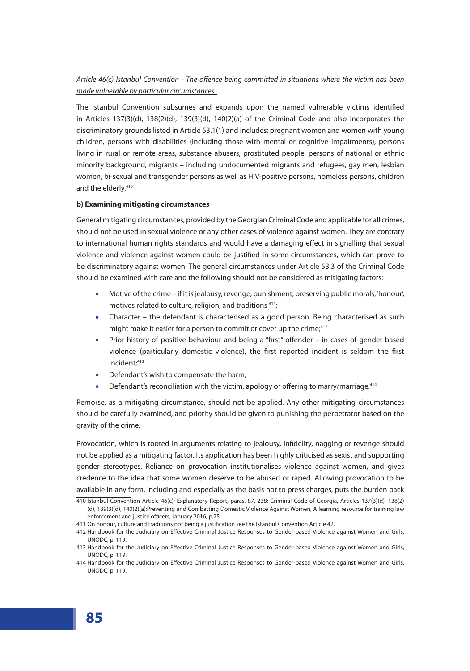# *Article 46(c) Istanbul Convention - The offence being committed in situations where the victim has been made vulnerable by particular circumstances.*

The Istanbul Convention subsumes and expands upon the named vulnerable victims identified in Articles 137(3)(d), 138(2)(d), 139(3)(d), 140(2)(a) of the Criminal Code and also incorporates the discriminatory grounds listed in Article 53.1(1) and includes: pregnant women and women with young children, persons with disabilities (including those with mental or cognitive impairments), persons living in rural or remote areas, substance abusers, prostituted people, persons of national or ethnic minority background, migrants – including undocumented migrants and refugees, gay men, lesbian women, bi-sexual and transgender persons as well as HIV-positive persons, homeless persons, children and the elderly.<sup>410</sup>

#### **b) Examining mitigating circumstances**

General mitigating circumstances, provided by the Georgian Criminal Code and applicable for all crimes, should not be used in sexual violence or any other cases of violence against women. They are contrary to international human rights standards and would have a damaging effect in signalling that sexual violence and violence against women could be justified in some circumstances, which can prove to be discriminatory against women. The general circumstances under Article 53.3 of the Criminal Code should be examined with care and the following should not be considered as mitigating factors:

- Motive of the crime if it is jealousy, revenge, punishment, preserving public morals, 'honour', motives related to culture, religion, and traditions 411;
- Character the defendant is characterised as a good person. Being characterised as such might make it easier for a person to commit or cover up the crime $t^{412}$
- Prior history of positive behaviour and being a "first" offender in cases of gender-based violence (particularly domestic violence), the first reported incident is seldom the first incident:<sup>413</sup>
- Defendant's wish to compensate the harm;
- Defendant's reconciliation with the victim, apology or offering to marry/marriage.<sup>414</sup>

Remorse, as a mitigating circumstance, should not be applied. Any other mitigating circumstances should be carefully examined, and priority should be given to punishing the perpetrator based on the gravity of the crime.

Provocation, which is rooted in arguments relating to jealousy, infidelity, nagging or revenge should not be applied as a mitigating factor. Its application has been highly criticised as sexist and supporting gender stereotypes. Reliance on provocation institutionalises violence against women, and gives credence to the idea that some women deserve to be abused or raped. Allowing provocation to be available in any form, including and especially as the basis not to press charges, puts the burden back

<sup>410</sup> Istanbul Convention Article 46(c); Explanatory Report, paras. 87, 238; Criminal Code of Georgia, Articles 137(3)(d), 138(2) (d), 139(3)(d), 140(2)(a);Preventing and Combatting Domestic Violence Against Women, A learning resource for training law enforcement and justice officers, January 2016, p.25.

<sup>411</sup> On honour, culture and traditions not being a justification see the Istanbul Convention Article 42.

<sup>412</sup> Handbook for the Judiciary on Effective Criminal Justice Responses to Gender-based Violence against Women and Girls, UNODC, p. 119.

<sup>413</sup> Handbook for the Judiciary on Effective Criminal Justice Responses to Gender-based Violence against Women and Girls, UNODC, p. 119.

<sup>414</sup> Handbook for the Judiciary on Effective Criminal Justice Responses to Gender-based Violence against Women and Girls, UNODC, p. 119.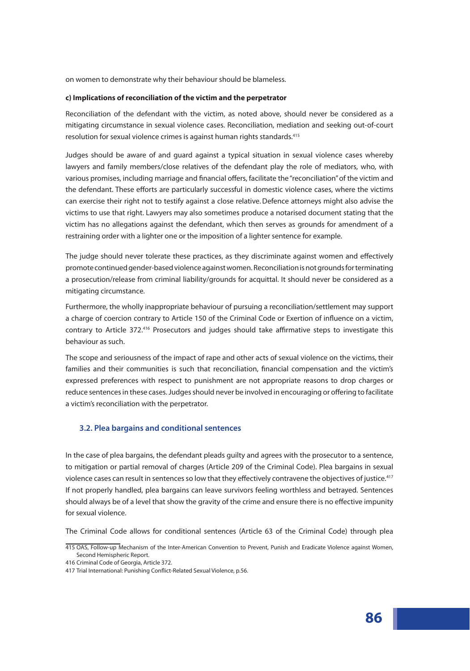on women to demonstrate why their behaviour should be blameless.

#### **c) Implications of reconciliation of the victim and the perpetrator**

Reconciliation of the defendant with the victim, as noted above, should never be considered as a mitigating circumstance in sexual violence cases. Reconciliation, mediation and seeking out-of-court resolution for sexual violence crimes is against human rights standards.<sup>415</sup>

Judges should be aware of and guard against a typical situation in sexual violence cases whereby lawyers and family members/close relatives of the defendant play the role of mediators, who, with various promises, including marriage and financial offers, facilitate the "reconciliation" of the victim and the defendant. These efforts are particularly successful in domestic violence cases, where the victims can exercise their right not to testify against a close relative. Defence attorneys might also advise the victims to use that right. Lawyers may also sometimes produce a notarised document stating that the victim has no allegations against the defendant, which then serves as grounds for amendment of a restraining order with a lighter one or the imposition of a lighter sentence for example.

The judge should never tolerate these practices, as they discriminate against women and effectively promote continued gender-based violence against women. Reconciliation is not grounds for terminating a prosecution/release from criminal liability/grounds for acquittal. It should never be considered as a mitigating circumstance.

Furthermore, the wholly inappropriate behaviour of pursuing a reconciliation/settlement may support a charge of coercion contrary to Article 150 of the Criminal Code or Exertion of influence on a victim, contrary to Article 372.<sup>416</sup> Prosecutors and judges should take affirmative steps to investigate this behaviour as such.

The scope and seriousness of the impact of rape and other acts of sexual violence on the victims, their families and their communities is such that reconciliation, financial compensation and the victim's expressed preferences with respect to punishment are not appropriate reasons to drop charges or reduce sentences in these cases. Judges should never be involved in encouraging or offering to facilitate a victim's reconciliation with the perpetrator.

## **3.2. Plea bargains and conditional sentences**

In the case of plea bargains, the defendant pleads guilty and agrees with the prosecutor to a sentence, to mitigation or partial removal of charges (Article 209 of the Criminal Code). Plea bargains in sexual violence cases can result in sentences so low that they effectively contravene the objectives of justice.<sup>417</sup> If not properly handled, plea bargains can leave survivors feeling worthless and betrayed. Sentences should always be of a level that show the gravity of the crime and ensure there is no effective impunity for sexual violence.

The Criminal Code allows for conditional sentences (Article 63 of the Criminal Code) through plea

<sup>415</sup> OAS, Follow-up Mechanism of the Inter-American Convention to Prevent, Punish and Eradicate Violence against Women, Second Hemispheric Report.

<sup>416</sup> Criminal Code of Georgia, Article 372.

<sup>417</sup> Trial International: Punishing Conflict-Related Sexual Violence, p.56.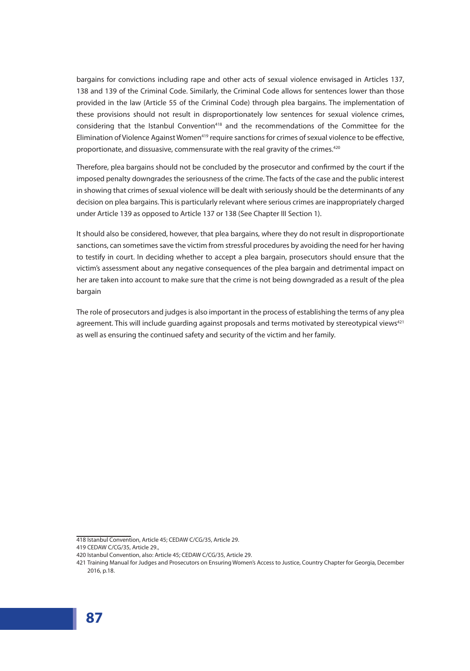bargains for convictions including rape and other acts of sexual violence envisaged in Articles 137, 138 and 139 of the Criminal Code. Similarly, the Criminal Code allows for sentences lower than those provided in the law (Article 55 of the Criminal Code) through plea bargains. The implementation of these provisions should not result in disproportionately low sentences for sexual violence crimes, considering that the Istanbul Convention<sup>418</sup> and the recommendations of the Committee for the Elimination of Violence Against Women<sup>419</sup> require sanctions for crimes of sexual violence to be effective, proportionate, and dissuasive, commensurate with the real gravity of the crimes.<sup>420</sup>

Therefore, plea bargains should not be concluded by the prosecutor and confirmed by the court if the imposed penalty downgrades the seriousness of the crime. The facts of the case and the public interest in showing that crimes of sexual violence will be dealt with seriously should be the determinants of any decision on plea bargains. This is particularly relevant where serious crimes are inappropriately charged under Article 139 as opposed to Article 137 or 138 (See Chapter III Section 1).

It should also be considered, however, that plea bargains, where they do not result in disproportionate sanctions, can sometimes save the victim from stressful procedures by avoiding the need for her having to testify in court. In deciding whether to accept a plea bargain, prosecutors should ensure that the victim's assessment about any negative consequences of the plea bargain and detrimental impact on her are taken into account to make sure that the crime is not being downgraded as a result of the plea bargain

The role of prosecutors and judges is also important in the process of establishing the terms of any plea agreement. This will include guarding against proposals and terms motivated by stereotypical views<sup>421</sup> as well as ensuring the continued safety and security of the victim and her family.

<sup>418</sup> Istanbul Convention, Article 45; CEDAW C/CG/35, Article 29.

<sup>419</sup> CEDAW C/CG/35, Article 29.,

<sup>420</sup> Istanbul Convention, also: Article 45; CEDAW C/CG/35, Article 29.

<sup>421</sup> Training Manual for Judges and Prosecutors on Ensuring Women's Access to Justice, Country Chapter for Georgia, December 2016, p.18.